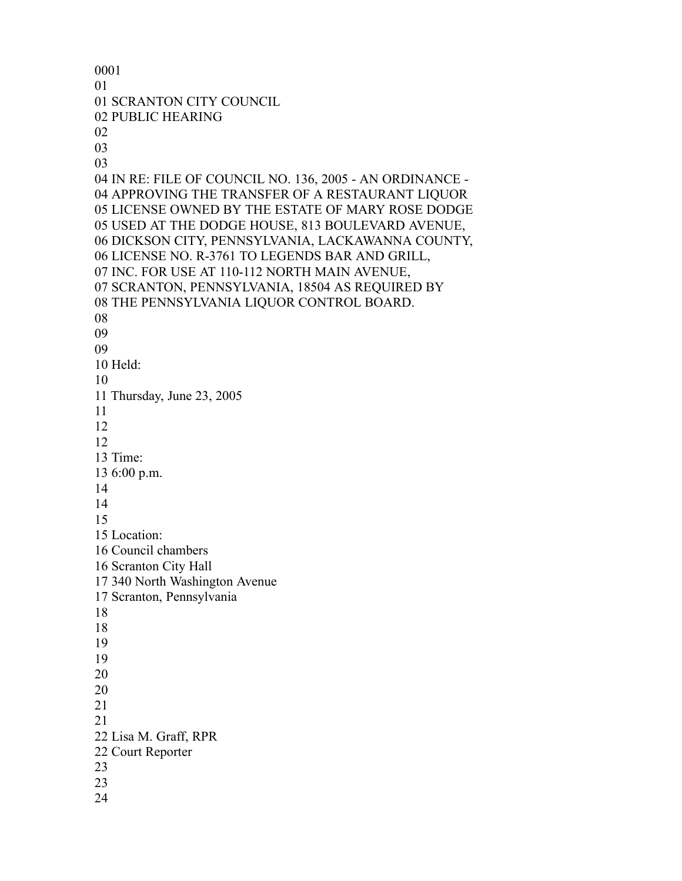SCRANTON CITY COUNCIL PUBLIC HEARING IN RE: FILE OF COUNCIL NO. 136, 2005 - AN ORDINANCE - APPROVING THE TRANSFER OF A RESTAURANT LIQUOR LICENSE OWNED BY THE ESTATE OF MARY ROSE DODGE USED AT THE DODGE HOUSE, 813 BOULEVARD AVENUE, DICKSON CITY, PENNSYLVANIA, LACKAWANNA COUNTY, LICENSE NO. R-3761 TO LEGENDS BAR AND GRILL, INC. FOR USE AT 110-112 NORTH MAIN AVENUE, SCRANTON, PENNSYLVANIA, 18504 AS REQUIRED BY THE PENNSYLVANIA LIQUOR CONTROL BOARD. Held: Thursday, June 23, 2005 Time: 6:00 p.m. Location: Council chambers Scranton City Hall 340 North Washington Avenue Scranton, Pennsylvania Lisa M. Graff, RPR Court Reporter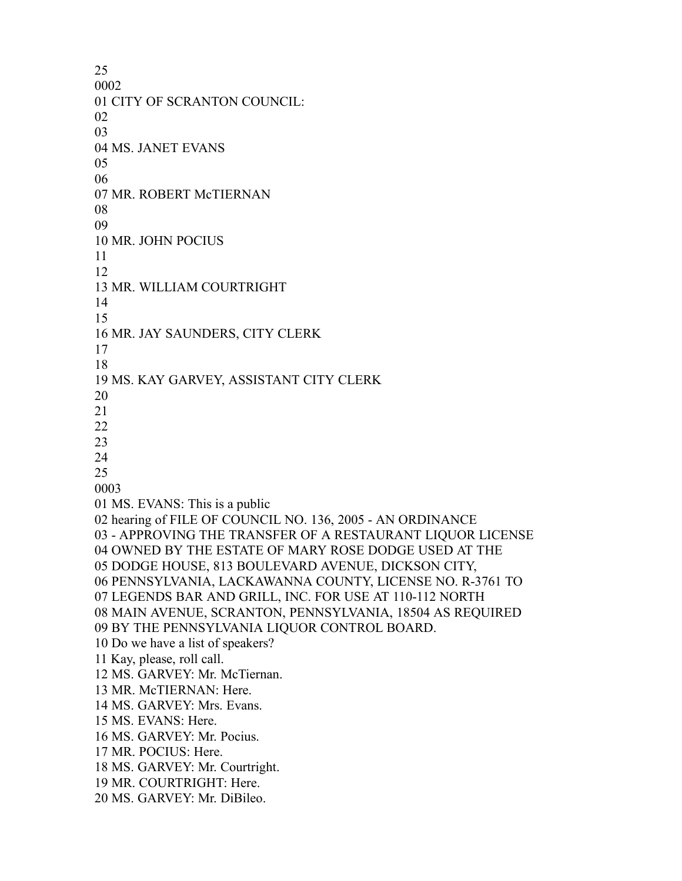CITY OF SCRANTON COUNCIL: MS. JANET EVANS MR. ROBERT McTIERNAN MR. JOHN POCIUS MR. WILLIAM COURTRIGHT MR. JAY SAUNDERS, CITY CLERK MS. KAY GARVEY, ASSISTANT CITY CLERK MS. EVANS: This is a public hearing of FILE OF COUNCIL NO. 136, 2005 - AN ORDINANCE - APPROVING THE TRANSFER OF A RESTAURANT LIQUOR LICENSE OWNED BY THE ESTATE OF MARY ROSE DODGE USED AT THE DODGE HOUSE, 813 BOULEVARD AVENUE, DICKSON CITY, PENNSYLVANIA, LACKAWANNA COUNTY, LICENSE NO. R-3761 TO LEGENDS BAR AND GRILL, INC. FOR USE AT 110-112 NORTH MAIN AVENUE, SCRANTON, PENNSYLVANIA, 18504 AS REQUIRED BY THE PENNSYLVANIA LIQUOR CONTROL BOARD. Do we have a list of speakers? Kay, please, roll call. MS. GARVEY: Mr. McTiernan. MR. McTIERNAN: Here. MS. GARVEY: Mrs. Evans. MS. EVANS: Here. MS. GARVEY: Mr. Pocius. MR. POCIUS: Here. MS. GARVEY: Mr. Courtright. MR. COURTRIGHT: Here. MS. GARVEY: Mr. DiBileo.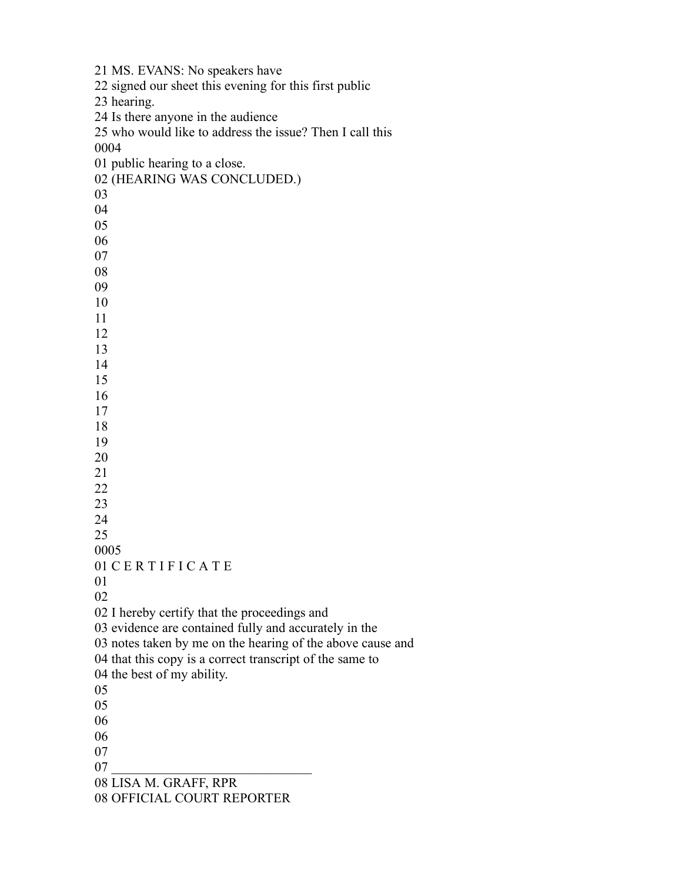MS. EVANS: No speakers have signed our sheet this evening for this first public hearing. Is there anyone in the audience who would like to address the issue? Then I call this public hearing to a close. (HEARING WAS CONCLUDED.) 01 CERTIFICATE I hereby certify that the proceedings and evidence are contained fully and accurately in the notes taken by me on the hearing of the above cause and that this copy is a correct transcript of the same to the best of my ability. LISA M. GRAFF, RPR OFFICIAL COURT REPORTER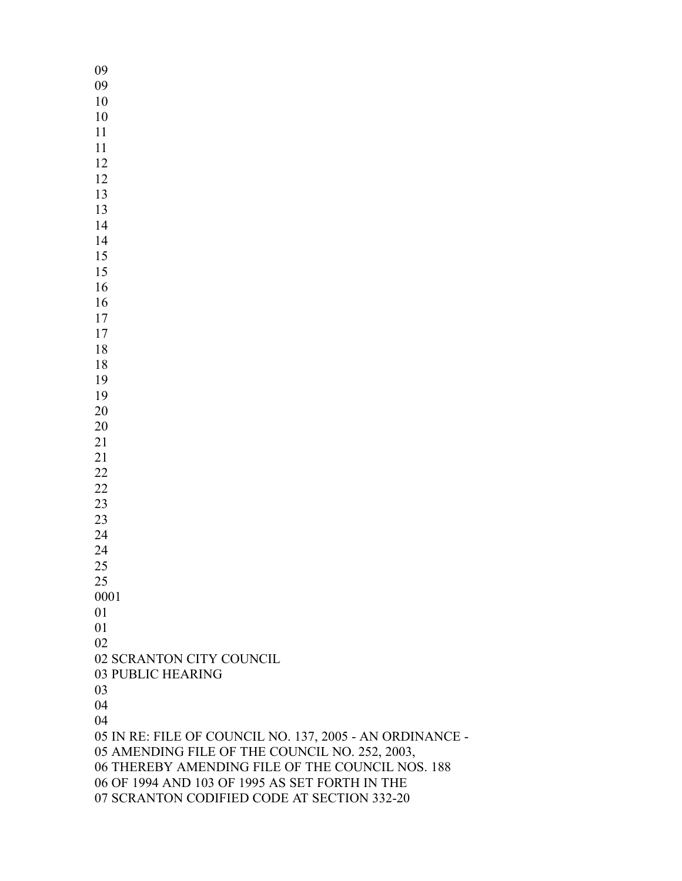SCRANTON CITY COUNCIL PUBLIC HEARING IN RE: FILE OF COUNCIL NO. 137, 2005 - AN ORDINANCE - AMENDING FILE OF THE COUNCIL NO. 252, 2003, THEREBY AMENDING FILE OF THE COUNCIL NOS. 188 OF 1994 AND 103 OF 1995 AS SET FORTH IN THE SCRANTON CODIFIED CODE AT SECTION 332-20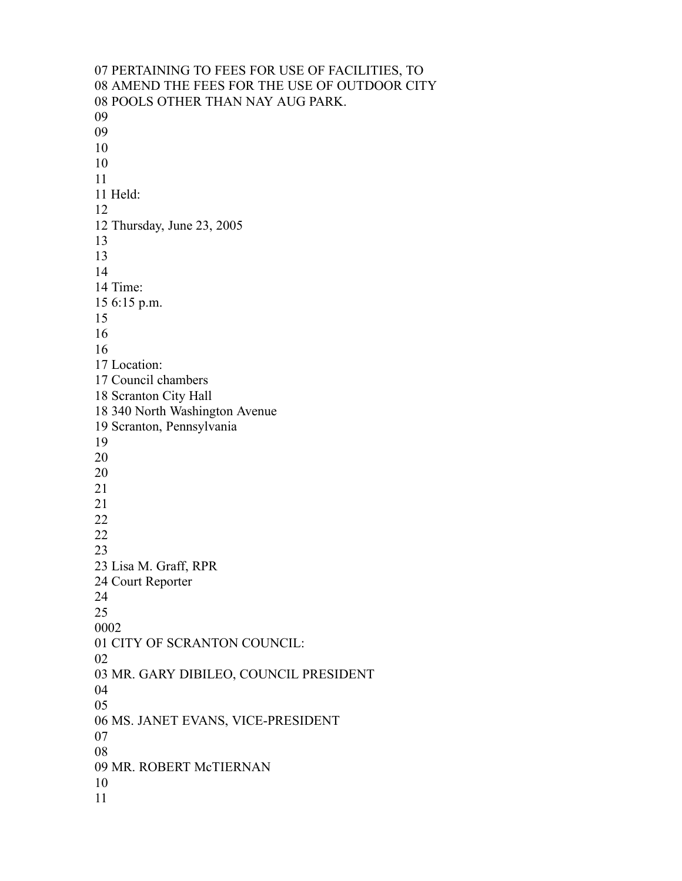PERTAINING TO FEES FOR USE OF FACILITIES, TO AMEND THE FEES FOR THE USE OF OUTDOOR CITY POOLS OTHER THAN NAY AUG PARK. Held: Thursday, June 23, 2005 Time: 6:15 p.m. Location: Council chambers Scranton City Hall 340 North Washington Avenue Scranton, Pennsylvania Lisa M. Graff, RPR Court Reporter CITY OF SCRANTON COUNCIL: MR. GARY DIBILEO, COUNCIL PRESIDENT MS. JANET EVANS, VICE-PRESIDENT MR. ROBERT McTIERNAN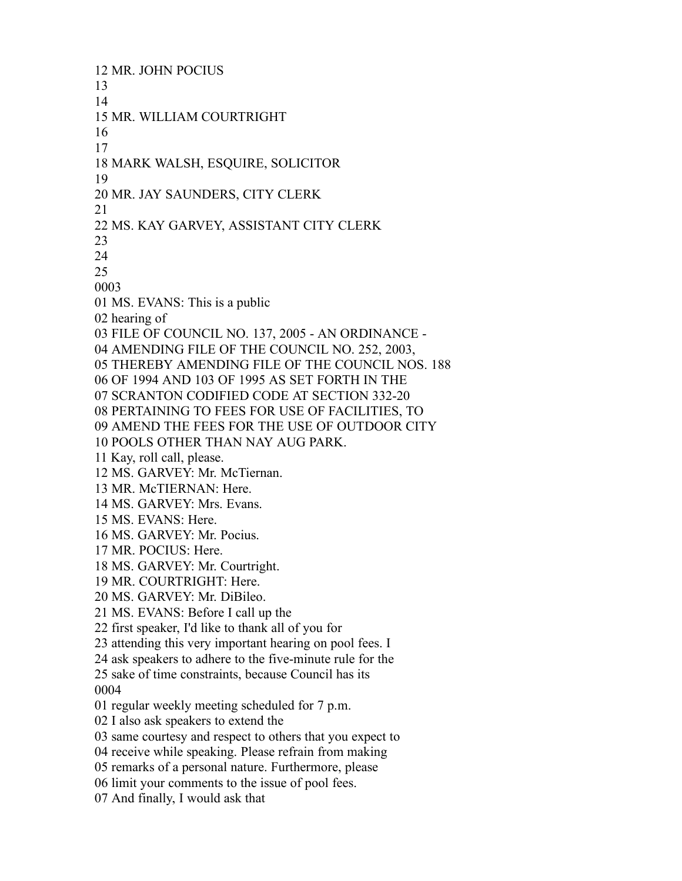MR. JOHN POCIUS MR. WILLIAM COURTRIGHT MARK WALSH, ESQUIRE, SOLICITOR MR. JAY SAUNDERS, CITY CLERK MS. KAY GARVEY, ASSISTANT CITY CLERK MS. EVANS: This is a public hearing of FILE OF COUNCIL NO. 137, 2005 - AN ORDINANCE - AMENDING FILE OF THE COUNCIL NO. 252, 2003, THEREBY AMENDING FILE OF THE COUNCIL NOS. 188 OF 1994 AND 103 OF 1995 AS SET FORTH IN THE SCRANTON CODIFIED CODE AT SECTION 332-20 PERTAINING TO FEES FOR USE OF FACILITIES, TO AMEND THE FEES FOR THE USE OF OUTDOOR CITY POOLS OTHER THAN NAY AUG PARK. Kay, roll call, please. MS. GARVEY: Mr. McTiernan. MR. McTIERNAN: Here. MS. GARVEY: Mrs. Evans. MS. EVANS: Here. MS. GARVEY: Mr. Pocius. MR. POCIUS: Here. MS. GARVEY: Mr. Courtright. MR. COURTRIGHT: Here. MS. GARVEY: Mr. DiBileo. MS. EVANS: Before I call up the first speaker, I'd like to thank all of you for attending this very important hearing on pool fees. I ask speakers to adhere to the five-minute rule for the sake of time constraints, because Council has its regular weekly meeting scheduled for 7 p.m. I also ask speakers to extend the same courtesy and respect to others that you expect to receive while speaking. Please refrain from making remarks of a personal nature. Furthermore, please limit your comments to the issue of pool fees. And finally, I would ask that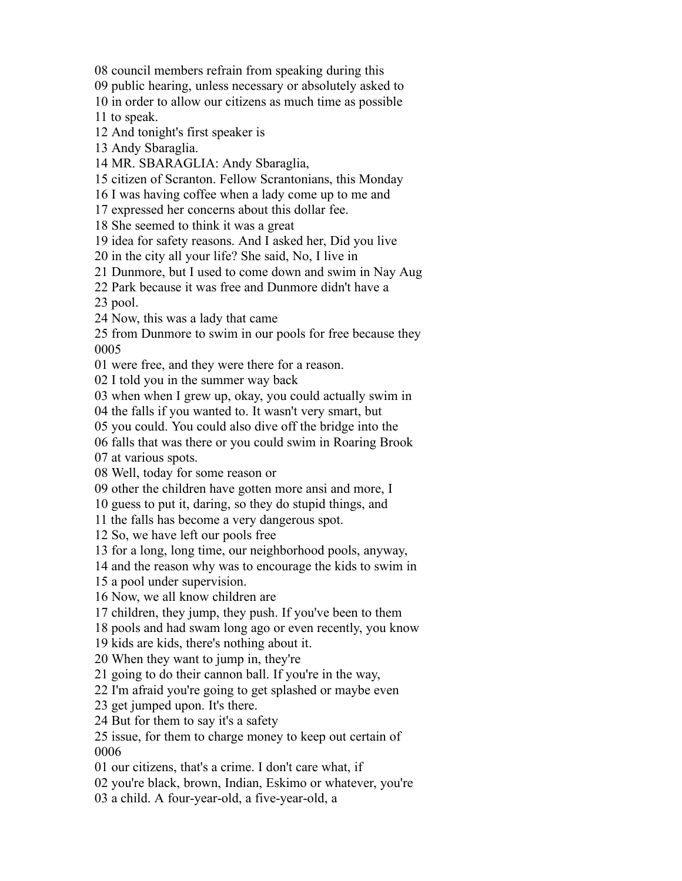council members refrain from speaking during this

public hearing, unless necessary or absolutely asked to

in order to allow our citizens as much time as possible

to speak.

And tonight's first speaker is

Andy Sbaraglia.

MR. SBARAGLIA: Andy Sbaraglia,

citizen of Scranton. Fellow Scrantonians, this Monday

I was having coffee when a lady come up to me and

expressed her concerns about this dollar fee.

She seemed to think it was a great

idea for safety reasons. And I asked her, Did you live

in the city all your life? She said, No, I live in

Dunmore, but I used to come down and swim in Nay Aug

Park because it was free and Dunmore didn't have a

pool.

Now, this was a lady that came

 from Dunmore to swim in our pools for free because they 

were free, and they were there for a reason.

I told you in the summer way back

when when I grew up, okay, you could actually swim in

the falls if you wanted to. It wasn't very smart, but

you could. You could also dive off the bridge into the

falls that was there or you could swim in Roaring Brook

at various spots.

Well, today for some reason or

other the children have gotten more ansi and more, I

guess to put it, daring, so they do stupid things, and

the falls has become a very dangerous spot.

So, we have left our pools free

for a long, long time, our neighborhood pools, anyway,

and the reason why was to encourage the kids to swim in

a pool under supervision.

Now, we all know children are

children, they jump, they push. If you've been to them

pools and had swam long ago or even recently, you know

kids are kids, there's nothing about it.

When they want to jump in, they're

going to do their cannon ball. If you're in the way,

I'm afraid you're going to get splashed or maybe even

get jumped upon. It's there.

But for them to say it's a safety

 issue, for them to charge money to keep out certain of 

our citizens, that's a crime. I don't care what, if

you're black, brown, Indian, Eskimo or whatever, you're

a child. A four-year-old, a five-year-old, a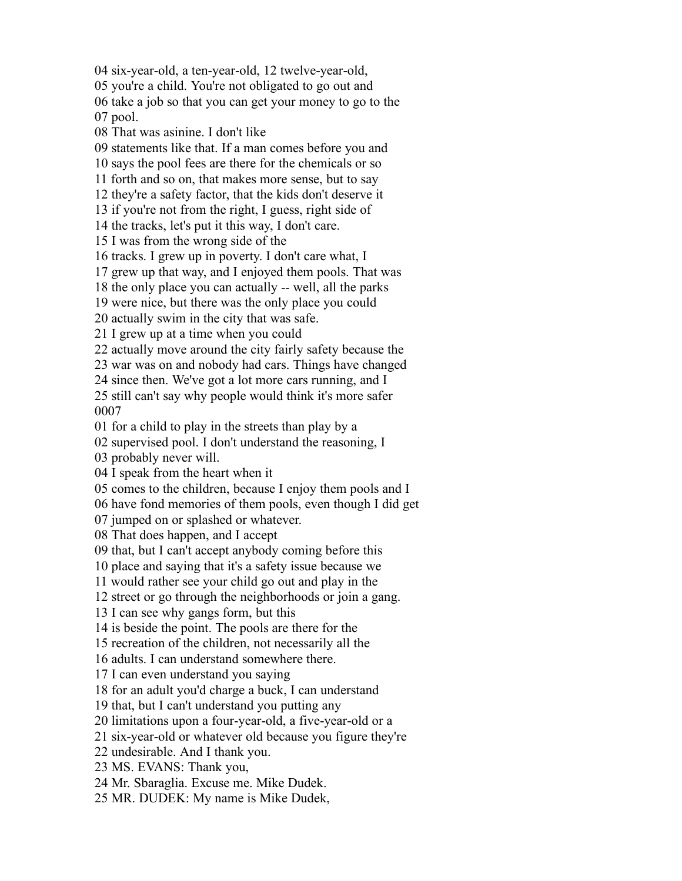six-year-old, a ten-year-old, 12 twelve-year-old, you're a child. You're not obligated to go out and take a job so that you can get your money to go to the pool. That was asinine. I don't like statements like that. If a man comes before you and says the pool fees are there for the chemicals or so forth and so on, that makes more sense, but to say they're a safety factor, that the kids don't deserve it if you're not from the right, I guess, right side of the tracks, let's put it this way, I don't care. I was from the wrong side of the tracks. I grew up in poverty. I don't care what, I grew up that way, and I enjoyed them pools. That was the only place you can actually -- well, all the parks were nice, but there was the only place you could actually swim in the city that was safe. I grew up at a time when you could actually move around the city fairly safety because the war was on and nobody had cars. Things have changed since then. We've got a lot more cars running, and I still can't say why people would think it's more safer for a child to play in the streets than play by a supervised pool. I don't understand the reasoning, I probably never will. I speak from the heart when it comes to the children, because I enjoy them pools and I have fond memories of them pools, even though I did get jumped on or splashed or whatever. That does happen, and I accept that, but I can't accept anybody coming before this place and saying that it's a safety issue because we would rather see your child go out and play in the street or go through the neighborhoods or join a gang. I can see why gangs form, but this is beside the point. The pools are there for the recreation of the children, not necessarily all the adults. I can understand somewhere there. I can even understand you saying for an adult you'd charge a buck, I can understand that, but I can't understand you putting any limitations upon a four-year-old, a five-year-old or a six-year-old or whatever old because you figure they're undesirable. And I thank you. MS. EVANS: Thank you, Mr. Sbaraglia. Excuse me. Mike Dudek. MR. DUDEK: My name is Mike Dudek,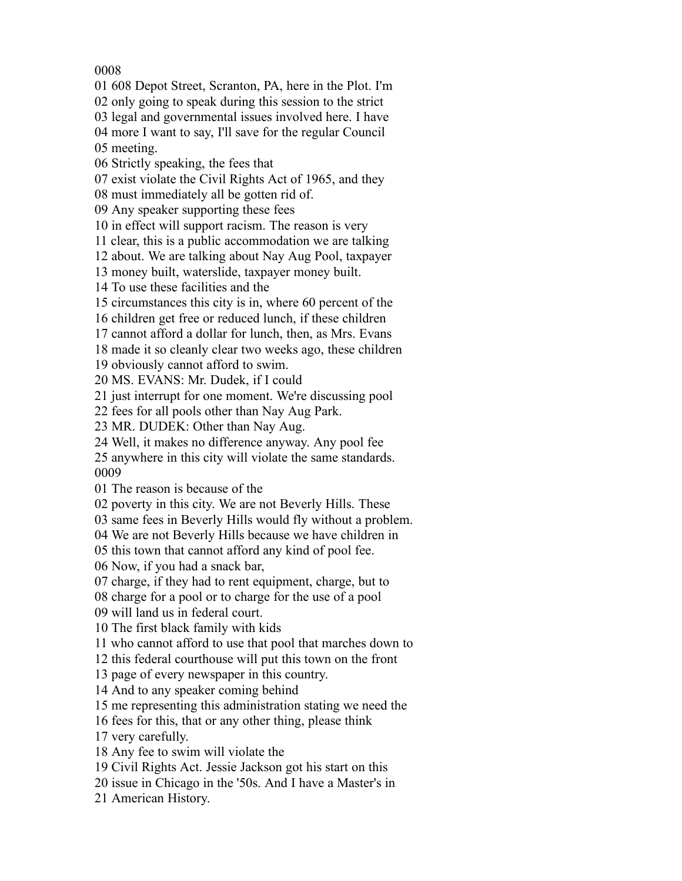## 

608 Depot Street, Scranton, PA, here in the Plot. I'm

only going to speak during this session to the strict

legal and governmental issues involved here. I have

more I want to say, I'll save for the regular Council

meeting.

Strictly speaking, the fees that

exist violate the Civil Rights Act of 1965, and they

must immediately all be gotten rid of.

Any speaker supporting these fees

in effect will support racism. The reason is very

clear, this is a public accommodation we are talking

about. We are talking about Nay Aug Pool, taxpayer

money built, waterslide, taxpayer money built.

To use these facilities and the

circumstances this city is in, where 60 percent of the

children get free or reduced lunch, if these children

cannot afford a dollar for lunch, then, as Mrs. Evans

made it so cleanly clear two weeks ago, these children

obviously cannot afford to swim.

MS. EVANS: Mr. Dudek, if I could

just interrupt for one moment. We're discussing pool

fees for all pools other than Nay Aug Park.

MR. DUDEK: Other than Nay Aug.

Well, it makes no difference anyway. Any pool fee

 anywhere in this city will violate the same standards. 

The reason is because of the

poverty in this city. We are not Beverly Hills. These

same fees in Beverly Hills would fly without a problem.

We are not Beverly Hills because we have children in

this town that cannot afford any kind of pool fee.

Now, if you had a snack bar,

charge, if they had to rent equipment, charge, but to

charge for a pool or to charge for the use of a pool

will land us in federal court.

The first black family with kids

who cannot afford to use that pool that marches down to

this federal courthouse will put this town on the front

page of every newspaper in this country.

And to any speaker coming behind

me representing this administration stating we need the

fees for this, that or any other thing, please think

very carefully.

Any fee to swim will violate the

Civil Rights Act. Jessie Jackson got his start on this

issue in Chicago in the '50s. And I have a Master's in

American History.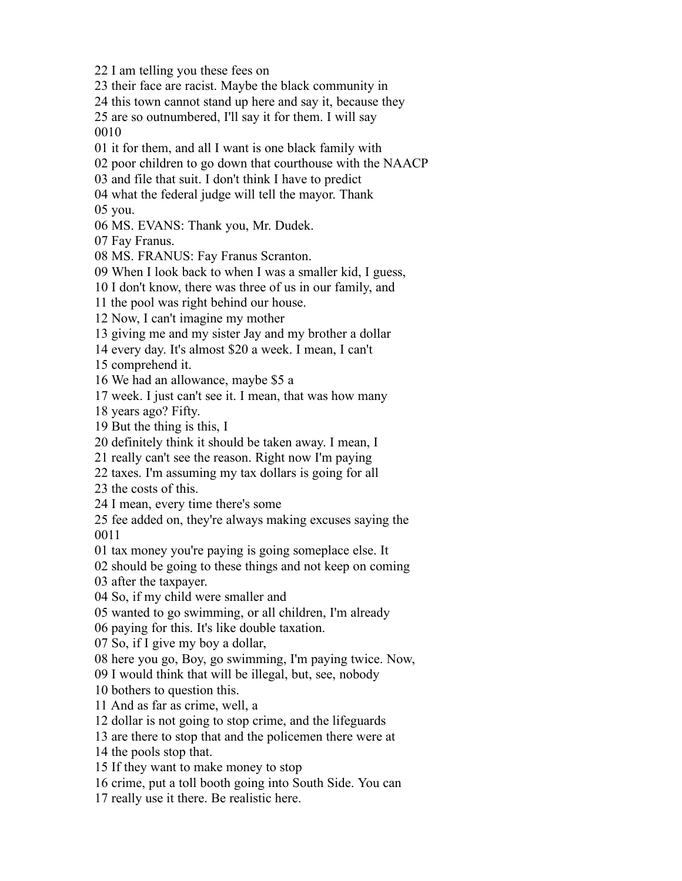their face are racist. Maybe the black community in this town cannot stand up here and say it, because they are so outnumbered, I'll say it for them. I will say it for them, and all I want is one black family with poor children to go down that courthouse with the NAACP and file that suit. I don't think I have to predict what the federal judge will tell the mayor. Thank you. MS. EVANS: Thank you, Mr. Dudek. Fay Franus. MS. FRANUS: Fay Franus Scranton. When I look back to when I was a smaller kid, I guess, I don't know, there was three of us in our family, and the pool was right behind our house. Now, I can't imagine my mother giving me and my sister Jay and my brother a dollar every day. It's almost \$20 a week. I mean, I can't comprehend it. We had an allowance, maybe \$5 a week. I just can't see it. I mean, that was how many years ago? Fifty. But the thing is this, I definitely think it should be taken away. I mean, I really can't see the reason. Right now I'm paying taxes. I'm assuming my tax dollars is going for all the costs of this. I mean, every time there's some fee added on, they're always making excuses saying the tax money you're paying is going someplace else. It should be going to these things and not keep on coming after the taxpayer. So, if my child were smaller and wanted to go swimming, or all children, I'm already paying for this. It's like double taxation. So, if I give my boy a dollar, here you go, Boy, go swimming, I'm paying twice. Now, I would think that will be illegal, but, see, nobody bothers to question this. And as far as crime, well, a dollar is not going to stop crime, and the lifeguards are there to stop that and the policemen there were at the pools stop that. If they want to make money to stop crime, put a toll booth going into South Side. You can really use it there. Be realistic here.

I am telling you these fees on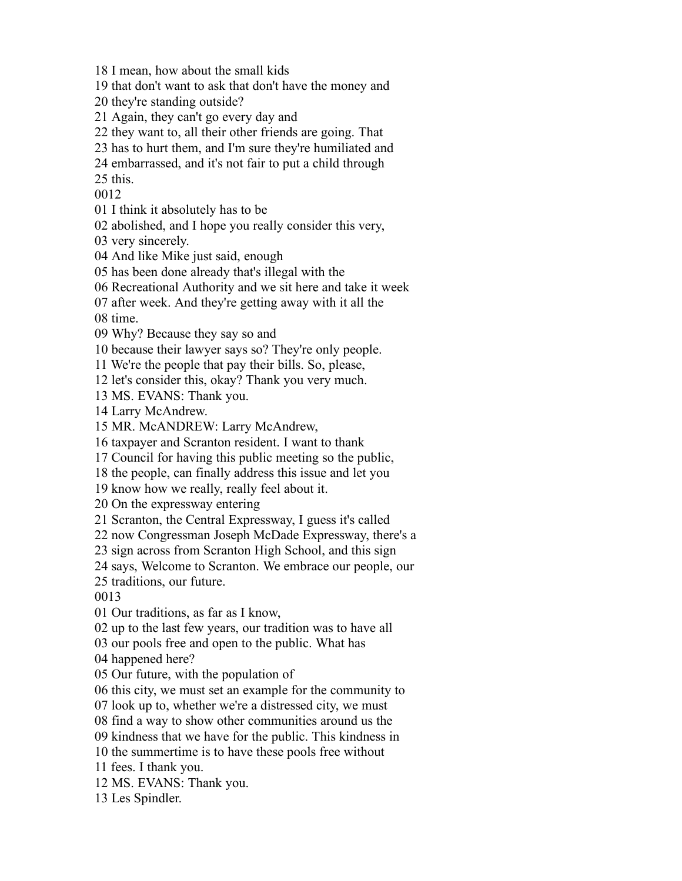I mean, how about the small kids

that don't want to ask that don't have the money and

they're standing outside?

- Again, they can't go every day and
- they want to, all their other friends are going. That
- has to hurt them, and I'm sure they're humiliated and
- embarrassed, and it's not fair to put a child through

this.

- I think it absolutely has to be
- abolished, and I hope you really consider this very,

very sincerely.

- And like Mike just said, enough
- has been done already that's illegal with the
- Recreational Authority and we sit here and take it week
- after week. And they're getting away with it all the

time.

Why? Because they say so and

because their lawyer says so? They're only people.

We're the people that pay their bills. So, please,

let's consider this, okay? Thank you very much.

MS. EVANS: Thank you.

Larry McAndrew.

MR. McANDREW: Larry McAndrew,

taxpayer and Scranton resident. I want to thank

Council for having this public meeting so the public,

the people, can finally address this issue and let you

know how we really, really feel about it.

On the expressway entering

Scranton, the Central Expressway, I guess it's called

now Congressman Joseph McDade Expressway, there's a

sign across from Scranton High School, and this sign

says, Welcome to Scranton. We embrace our people, our

traditions, our future.

Our traditions, as far as I know,

up to the last few years, our tradition was to have all

our pools free and open to the public. What has

happened here?

Our future, with the population of

this city, we must set an example for the community to

look up to, whether we're a distressed city, we must

find a way to show other communities around us the

kindness that we have for the public. This kindness in

the summertime is to have these pools free without

fees. I thank you.

MS. EVANS: Thank you.

Les Spindler.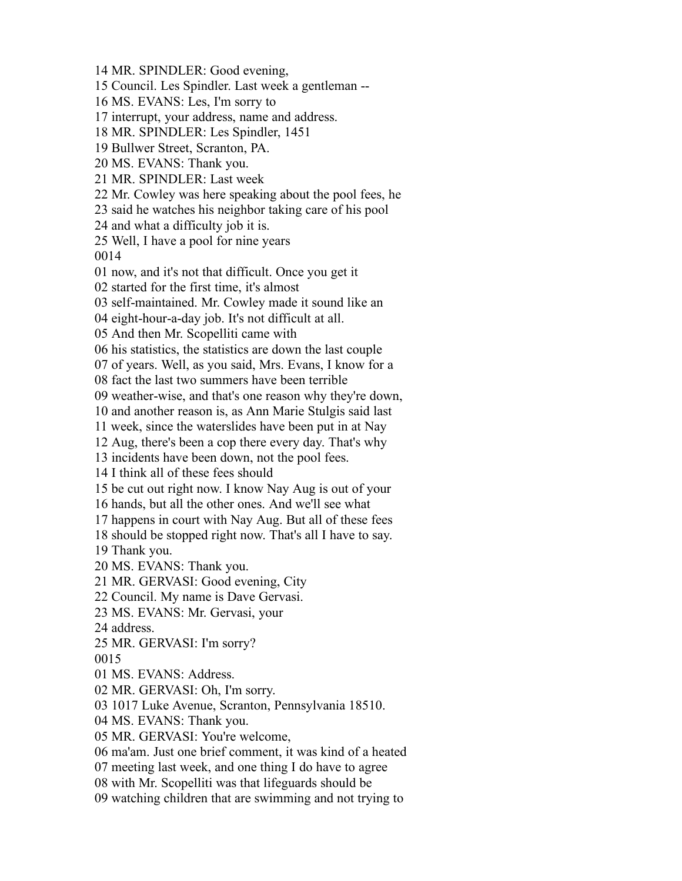MR. SPINDLER: Good evening, Council. Les Spindler. Last week a gentleman -- MS. EVANS: Les, I'm sorry to interrupt, your address, name and address. MR. SPINDLER: Les Spindler, 1451 Bullwer Street, Scranton, PA. MS. EVANS: Thank you. MR. SPINDLER: Last week Mr. Cowley was here speaking about the pool fees, he said he watches his neighbor taking care of his pool and what a difficulty job it is. Well, I have a pool for nine years now, and it's not that difficult. Once you get it started for the first time, it's almost self-maintained. Mr. Cowley made it sound like an eight-hour-a-day job. It's not difficult at all. And then Mr. Scopelliti came with his statistics, the statistics are down the last couple of years. Well, as you said, Mrs. Evans, I know for a fact the last two summers have been terrible weather-wise, and that's one reason why they're down, and another reason is, as Ann Marie Stulgis said last week, since the waterslides have been put in at Nay Aug, there's been a cop there every day. That's why incidents have been down, not the pool fees. I think all of these fees should be cut out right now. I know Nay Aug is out of your hands, but all the other ones. And we'll see what happens in court with Nay Aug. But all of these fees should be stopped right now. That's all I have to say. Thank you. MS. EVANS: Thank you. MR. GERVASI: Good evening, City Council. My name is Dave Gervasi. MS. EVANS: Mr. Gervasi, your address. MR. GERVASI: I'm sorry? MS. EVANS: Address. MR. GERVASI: Oh, I'm sorry. 1017 Luke Avenue, Scranton, Pennsylvania 18510. MS. EVANS: Thank you. MR. GERVASI: You're welcome, ma'am. Just one brief comment, it was kind of a heated meeting last week, and one thing I do have to agree with Mr. Scopelliti was that lifeguards should be watching children that are swimming and not trying to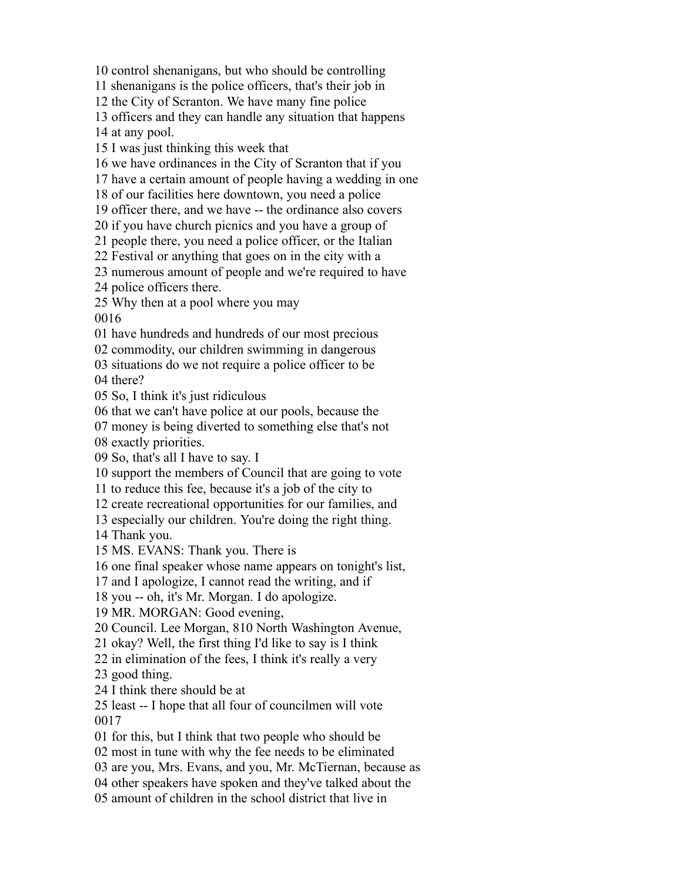control shenanigans, but who should be controlling

shenanigans is the police officers, that's their job in

the City of Scranton. We have many fine police

officers and they can handle any situation that happens

at any pool.

I was just thinking this week that

we have ordinances in the City of Scranton that if you

have a certain amount of people having a wedding in one

of our facilities here downtown, you need a police

officer there, and we have -- the ordinance also covers

if you have church picnics and you have a group of

people there, you need a police officer, or the Italian

Festival or anything that goes on in the city with a

numerous amount of people and we're required to have

police officers there.

Why then at a pool where you may

have hundreds and hundreds of our most precious

commodity, our children swimming in dangerous

 situations do we not require a police officer to be there?

So, I think it's just ridiculous

that we can't have police at our pools, because the

money is being diverted to something else that's not

exactly priorities.

So, that's all I have to say. I

support the members of Council that are going to vote

to reduce this fee, because it's a job of the city to

create recreational opportunities for our families, and

especially our children. You're doing the right thing.

Thank you.

MS. EVANS: Thank you. There is

one final speaker whose name appears on tonight's list,

and I apologize, I cannot read the writing, and if

you -- oh, it's Mr. Morgan. I do apologize.

MR. MORGAN: Good evening,

Council. Lee Morgan, 810 North Washington Avenue,

okay? Well, the first thing I'd like to say is I think

in elimination of the fees, I think it's really a very

good thing.

I think there should be at

 least -- I hope that all four of councilmen will vote 

for this, but I think that two people who should be

most in tune with why the fee needs to be eliminated

are you, Mrs. Evans, and you, Mr. McTiernan, because as

other speakers have spoken and they've talked about the

amount of children in the school district that live in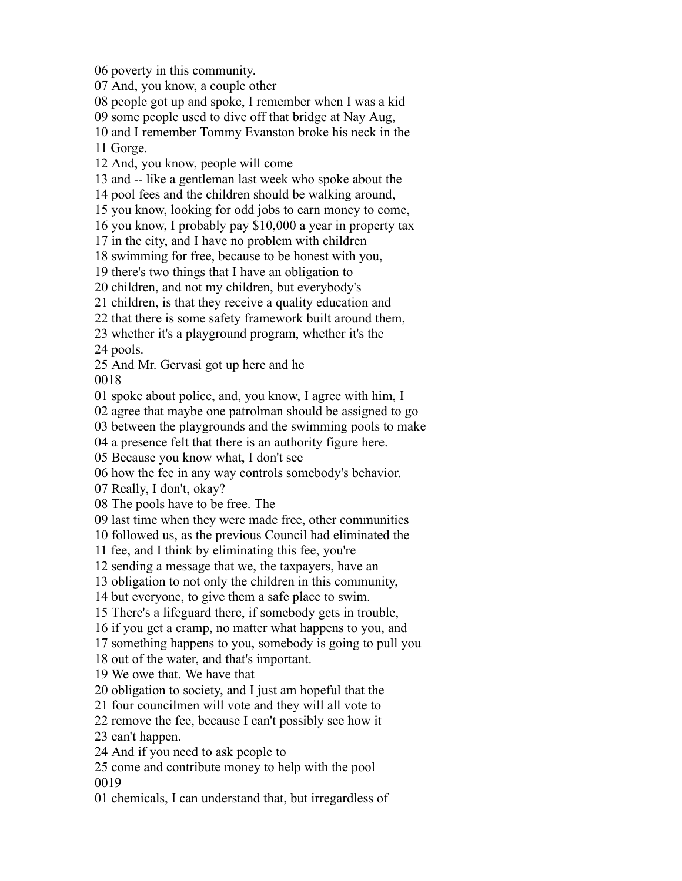poverty in this community.

And, you know, a couple other

people got up and spoke, I remember when I was a kid

some people used to dive off that bridge at Nay Aug,

and I remember Tommy Evanston broke his neck in the

Gorge.

And, you know, people will come

and -- like a gentleman last week who spoke about the

pool fees and the children should be walking around,

you know, looking for odd jobs to earn money to come,

you know, I probably pay \$10,000 a year in property tax

in the city, and I have no problem with children

swimming for free, because to be honest with you,

there's two things that I have an obligation to

children, and not my children, but everybody's

children, is that they receive a quality education and

that there is some safety framework built around them,

whether it's a playground program, whether it's the

pools.

And Mr. Gervasi got up here and he

spoke about police, and, you know, I agree with him, I

agree that maybe one patrolman should be assigned to go

between the playgrounds and the swimming pools to make

a presence felt that there is an authority figure here.

Because you know what, I don't see

how the fee in any way controls somebody's behavior.

Really, I don't, okay?

The pools have to be free. The

last time when they were made free, other communities

followed us, as the previous Council had eliminated the

fee, and I think by eliminating this fee, you're

sending a message that we, the taxpayers, have an

obligation to not only the children in this community,

but everyone, to give them a safe place to swim.

There's a lifeguard there, if somebody gets in trouble,

if you get a cramp, no matter what happens to you, and

something happens to you, somebody is going to pull you

out of the water, and that's important.

We owe that. We have that

obligation to society, and I just am hopeful that the

four councilmen will vote and they will all vote to

remove the fee, because I can't possibly see how it

can't happen.

And if you need to ask people to

 come and contribute money to help with the pool 

chemicals, I can understand that, but irregardless of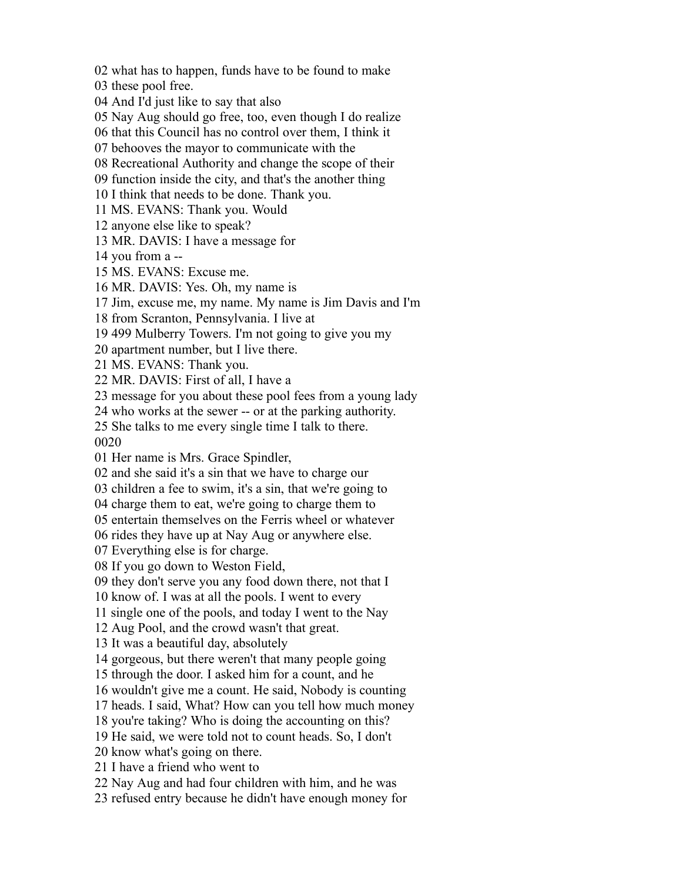what has to happen, funds have to be found to make these pool free. And I'd just like to say that also Nay Aug should go free, too, even though I do realize that this Council has no control over them, I think it behooves the mayor to communicate with the Recreational Authority and change the scope of their function inside the city, and that's the another thing I think that needs to be done. Thank you. MS. EVANS: Thank you. Would anyone else like to speak? MR. DAVIS: I have a message for you from a -- MS. EVANS: Excuse me. MR. DAVIS: Yes. Oh, my name is Jim, excuse me, my name. My name is Jim Davis and I'm from Scranton, Pennsylvania. I live at 499 Mulberry Towers. I'm not going to give you my apartment number, but I live there. MS. EVANS: Thank you. MR. DAVIS: First of all, I have a message for you about these pool fees from a young lady who works at the sewer -- or at the parking authority. She talks to me every single time I talk to there. Her name is Mrs. Grace Spindler, and she said it's a sin that we have to charge our children a fee to swim, it's a sin, that we're going to charge them to eat, we're going to charge them to entertain themselves on the Ferris wheel or whatever rides they have up at Nay Aug or anywhere else. Everything else is for charge. If you go down to Weston Field, they don't serve you any food down there, not that I know of. I was at all the pools. I went to every

single one of the pools, and today I went to the Nay

Aug Pool, and the crowd wasn't that great.

It was a beautiful day, absolutely

gorgeous, but there weren't that many people going

through the door. I asked him for a count, and he

wouldn't give me a count. He said, Nobody is counting

heads. I said, What? How can you tell how much money

you're taking? Who is doing the accounting on this?

He said, we were told not to count heads. So, I don't

know what's going on there.

I have a friend who went to

Nay Aug and had four children with him, and he was

refused entry because he didn't have enough money for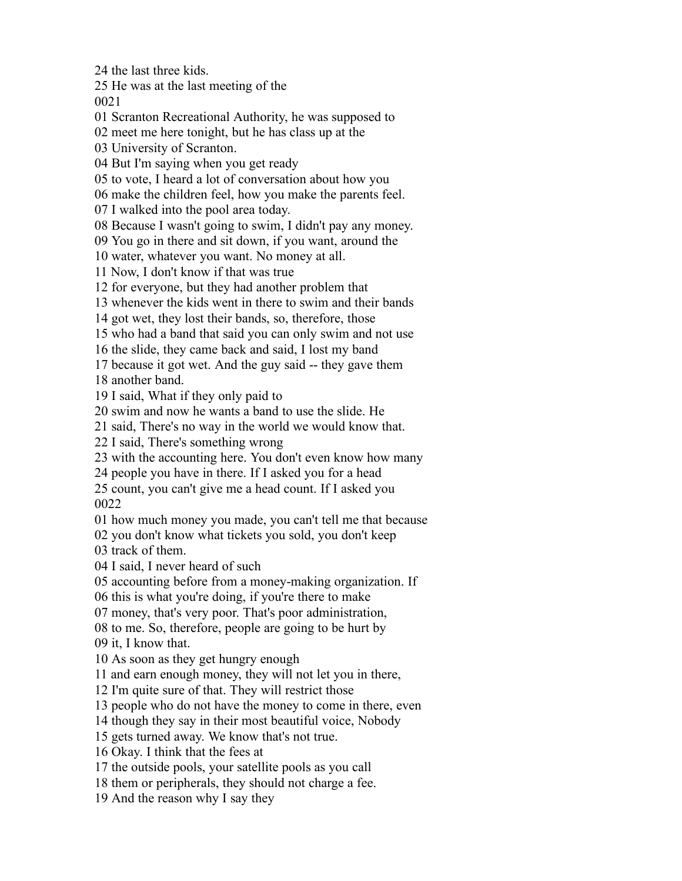the last three kids.

He was at the last meeting of the

Scranton Recreational Authority, he was supposed to

meet me here tonight, but he has class up at the

University of Scranton.

But I'm saying when you get ready

to vote, I heard a lot of conversation about how you

make the children feel, how you make the parents feel.

I walked into the pool area today.

Because I wasn't going to swim, I didn't pay any money.

You go in there and sit down, if you want, around the

water, whatever you want. No money at all.

Now, I don't know if that was true

for everyone, but they had another problem that

whenever the kids went in there to swim and their bands

got wet, they lost their bands, so, therefore, those

who had a band that said you can only swim and not use

the slide, they came back and said, I lost my band

because it got wet. And the guy said -- they gave them

another band.

I said, What if they only paid to

swim and now he wants a band to use the slide. He

said, There's no way in the world we would know that.

I said, There's something wrong

with the accounting here. You don't even know how many

people you have in there. If I asked you for a head

 count, you can't give me a head count. If I asked you 

how much money you made, you can't tell me that because

you don't know what tickets you sold, you don't keep

track of them.

I said, I never heard of such

accounting before from a money-making organization. If

this is what you're doing, if you're there to make

money, that's very poor. That's poor administration,

 to me. So, therefore, people are going to be hurt by it, I know that.

As soon as they get hungry enough

and earn enough money, they will not let you in there,

I'm quite sure of that. They will restrict those

people who do not have the money to come in there, even

though they say in their most beautiful voice, Nobody

gets turned away. We know that's not true.

Okay. I think that the fees at

the outside pools, your satellite pools as you call

them or peripherals, they should not charge a fee.

And the reason why I say they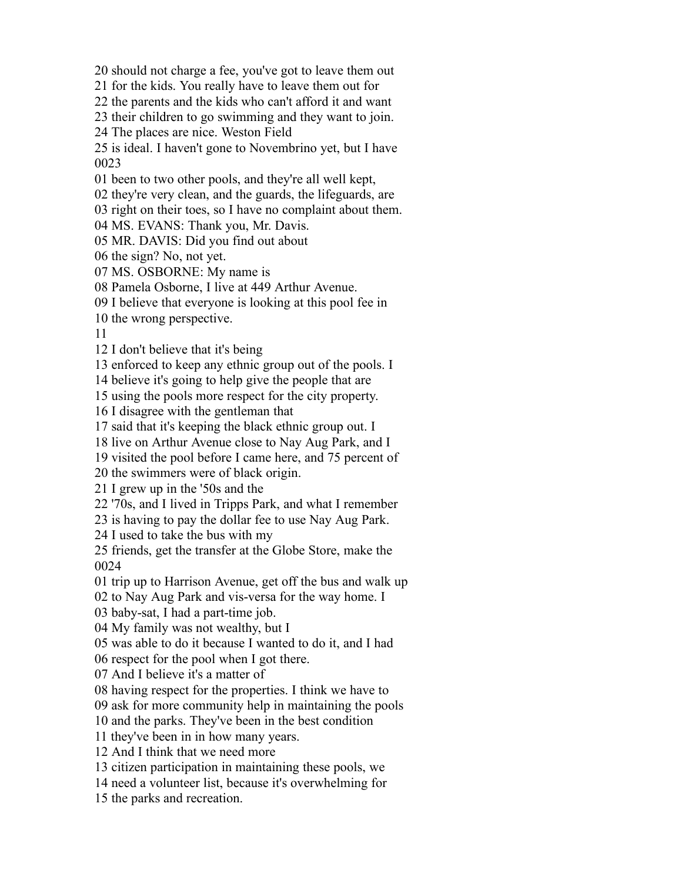should not charge a fee, you've got to leave them out

for the kids. You really have to leave them out for

the parents and the kids who can't afford it and want

their children to go swimming and they want to join.

The places are nice. Weston Field

 is ideal. I haven't gone to Novembrino yet, but I have 

been to two other pools, and they're all well kept,

they're very clean, and the guards, the lifeguards, are

right on their toes, so I have no complaint about them.

MS. EVANS: Thank you, Mr. Davis.

MR. DAVIS: Did you find out about

the sign? No, not yet.

MS. OSBORNE: My name is

Pamela Osborne, I live at 449 Arthur Avenue.

I believe that everyone is looking at this pool fee in

the wrong perspective.

I don't believe that it's being

enforced to keep any ethnic group out of the pools. I

believe it's going to help give the people that are

using the pools more respect for the city property.

I disagree with the gentleman that

said that it's keeping the black ethnic group out. I

live on Arthur Avenue close to Nay Aug Park, and I

visited the pool before I came here, and 75 percent of

the swimmers were of black origin.

I grew up in the '50s and the

'70s, and I lived in Tripps Park, and what I remember

is having to pay the dollar fee to use Nay Aug Park.

I used to take the bus with my

 friends, get the transfer at the Globe Store, make the 

trip up to Harrison Avenue, get off the bus and walk up

to Nay Aug Park and vis-versa for the way home. I

baby-sat, I had a part-time job.

My family was not wealthy, but I

was able to do it because I wanted to do it, and I had

respect for the pool when I got there.

And I believe it's a matter of

having respect for the properties. I think we have to

ask for more community help in maintaining the pools

and the parks. They've been in the best condition

they've been in in how many years.

And I think that we need more

citizen participation in maintaining these pools, we

need a volunteer list, because it's overwhelming for

the parks and recreation.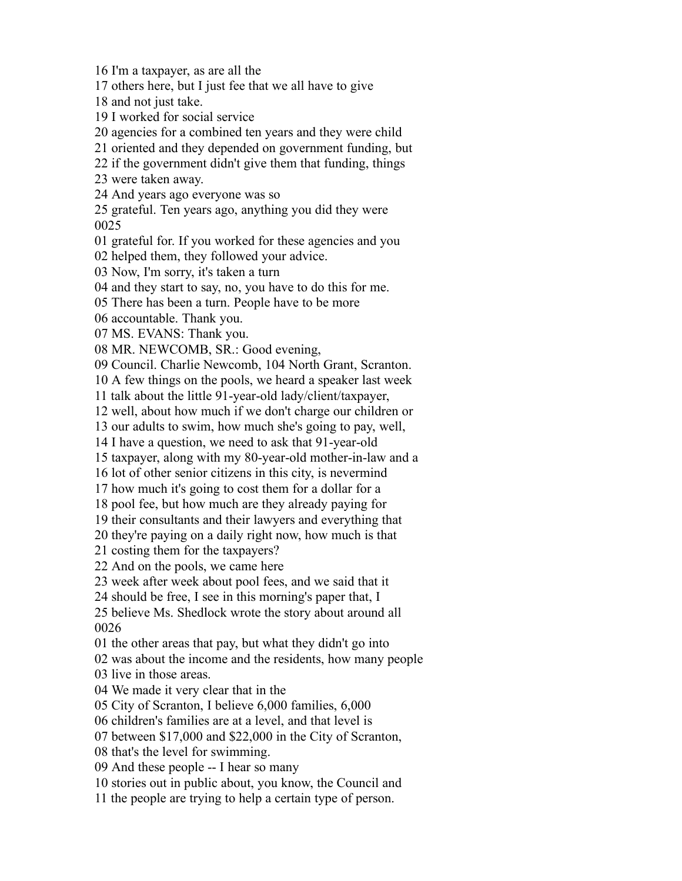I'm a taxpayer, as are all the

others here, but I just fee that we all have to give

and not just take.

I worked for social service

agencies for a combined ten years and they were child

oriented and they depended on government funding, but

if the government didn't give them that funding, things

were taken away.

And years ago everyone was so

 grateful. Ten years ago, anything you did they were 

grateful for. If you worked for these agencies and you

helped them, they followed your advice.

Now, I'm sorry, it's taken a turn

and they start to say, no, you have to do this for me.

There has been a turn. People have to be more

accountable. Thank you.

MS. EVANS: Thank you.

MR. NEWCOMB, SR.: Good evening,

Council. Charlie Newcomb, 104 North Grant, Scranton.

A few things on the pools, we heard a speaker last week

talk about the little 91-year-old lady/client/taxpayer,

well, about how much if we don't charge our children or

our adults to swim, how much she's going to pay, well,

I have a question, we need to ask that 91-year-old

taxpayer, along with my 80-year-old mother-in-law and a

lot of other senior citizens in this city, is nevermind

how much it's going to cost them for a dollar for a

pool fee, but how much are they already paying for

their consultants and their lawyers and everything that

they're paying on a daily right now, how much is that

costing them for the taxpayers?

And on the pools, we came here

week after week about pool fees, and we said that it

should be free, I see in this morning's paper that, I

 believe Ms. Shedlock wrote the story about around all 

the other areas that pay, but what they didn't go into

was about the income and the residents, how many people

live in those areas.

We made it very clear that in the

City of Scranton, I believe 6,000 families, 6,000

children's families are at a level, and that level is

between \$17,000 and \$22,000 in the City of Scranton,

that's the level for swimming.

And these people -- I hear so many

stories out in public about, you know, the Council and

the people are trying to help a certain type of person.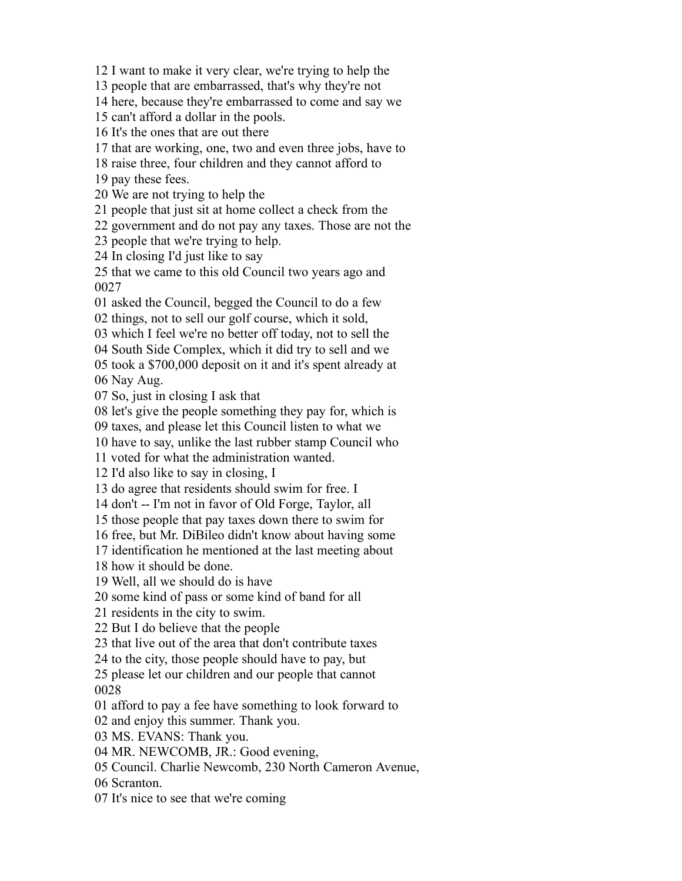I want to make it very clear, we're trying to help the

people that are embarrassed, that's why they're not

here, because they're embarrassed to come and say we

can't afford a dollar in the pools.

It's the ones that are out there

that are working, one, two and even three jobs, have to

raise three, four children and they cannot afford to

pay these fees.

We are not trying to help the

people that just sit at home collect a check from the

government and do not pay any taxes. Those are not the

people that we're trying to help.

In closing I'd just like to say

 that we came to this old Council two years ago and 

asked the Council, begged the Council to do a few

things, not to sell our golf course, which it sold,

which I feel we're no better off today, not to sell the

South Side Complex, which it did try to sell and we

took a \$700,000 deposit on it and it's spent already at

Nay Aug.

So, just in closing I ask that

let's give the people something they pay for, which is

taxes, and please let this Council listen to what we

have to say, unlike the last rubber stamp Council who

voted for what the administration wanted.

I'd also like to say in closing, I

do agree that residents should swim for free. I

don't -- I'm not in favor of Old Forge, Taylor, all

those people that pay taxes down there to swim for

free, but Mr. DiBileo didn't know about having some

identification he mentioned at the last meeting about

how it should be done.

Well, all we should do is have

some kind of pass or some kind of band for all

residents in the city to swim.

But I do believe that the people

that live out of the area that don't contribute taxes

to the city, those people should have to pay, but

 please let our children and our people that cannot 

afford to pay a fee have something to look forward to

and enjoy this summer. Thank you.

MS. EVANS: Thank you.

MR. NEWCOMB, JR.: Good evening,

Council. Charlie Newcomb, 230 North Cameron Avenue,

Scranton.

It's nice to see that we're coming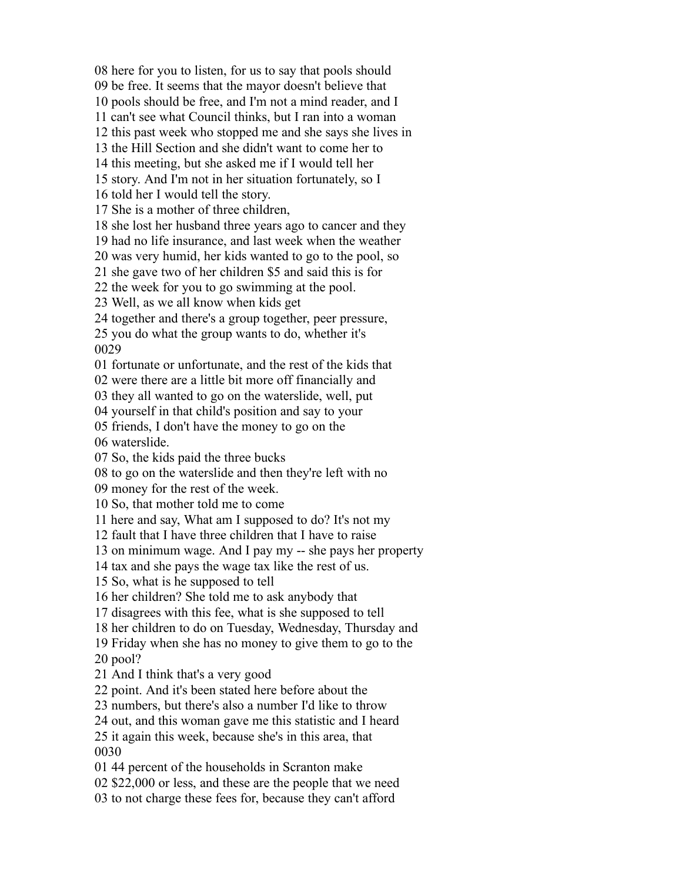here for you to listen, for us to say that pools should be free. It seems that the mayor doesn't believe that pools should be free, and I'm not a mind reader, and I can't see what Council thinks, but I ran into a woman this past week who stopped me and she says she lives in the Hill Section and she didn't want to come her to this meeting, but she asked me if I would tell her story. And I'm not in her situation fortunately, so I told her I would tell the story. She is a mother of three children, she lost her husband three years ago to cancer and they had no life insurance, and last week when the weather was very humid, her kids wanted to go to the pool, so she gave two of her children \$5 and said this is for the week for you to go swimming at the pool. Well, as we all know when kids get together and there's a group together, peer pressure, you do what the group wants to do, whether it's fortunate or unfortunate, and the rest of the kids that were there are a little bit more off financially and they all wanted to go on the waterslide, well, put yourself in that child's position and say to your friends, I don't have the money to go on the waterslide. So, the kids paid the three bucks to go on the waterslide and then they're left with no money for the rest of the week. So, that mother told me to come here and say, What am I supposed to do? It's not my fault that I have three children that I have to raise on minimum wage. And I pay my -- she pays her property tax and she pays the wage tax like the rest of us. So, what is he supposed to tell her children? She told me to ask anybody that disagrees with this fee, what is she supposed to tell her children to do on Tuesday, Wednesday, Thursday and Friday when she has no money to give them to go to the pool? And I think that's a very good point. And it's been stated here before about the numbers, but there's also a number I'd like to throw out, and this woman gave me this statistic and I heard it again this week, because she's in this area, that 44 percent of the households in Scranton make \$22,000 or less, and these are the people that we need

to not charge these fees for, because they can't afford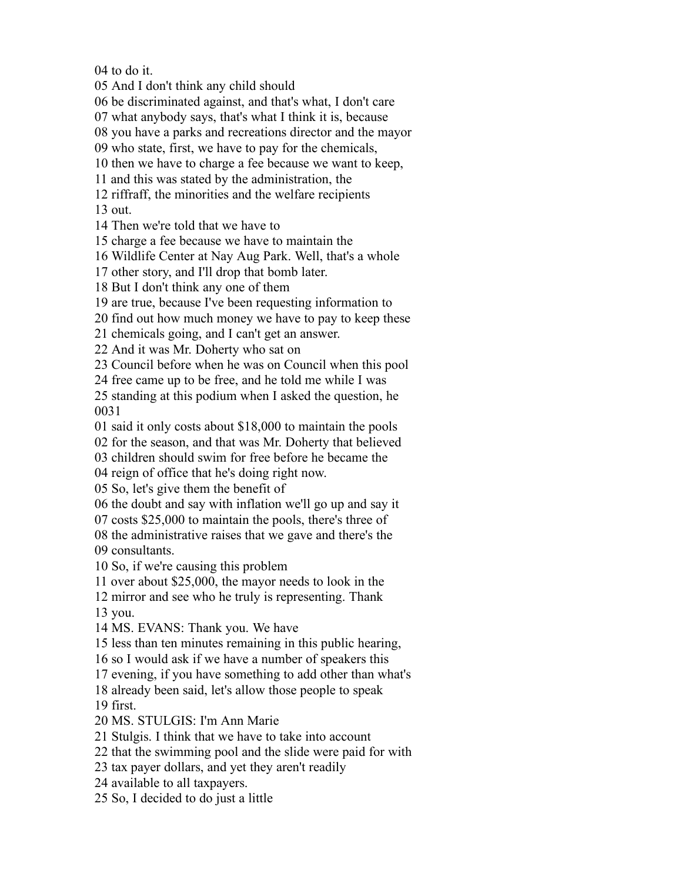to do it.

And I don't think any child should

be discriminated against, and that's what, I don't care

what anybody says, that's what I think it is, because

you have a parks and recreations director and the mayor

who state, first, we have to pay for the chemicals,

then we have to charge a fee because we want to keep,

and this was stated by the administration, the

riffraff, the minorities and the welfare recipients

out.

Then we're told that we have to

charge a fee because we have to maintain the

Wildlife Center at Nay Aug Park. Well, that's a whole

other story, and I'll drop that bomb later.

But I don't think any one of them

are true, because I've been requesting information to

find out how much money we have to pay to keep these

chemicals going, and I can't get an answer.

And it was Mr. Doherty who sat on

Council before when he was on Council when this pool

free came up to be free, and he told me while I was

 standing at this podium when I asked the question, he 

said it only costs about \$18,000 to maintain the pools

for the season, and that was Mr. Doherty that believed

children should swim for free before he became the

reign of office that he's doing right now.

So, let's give them the benefit of

the doubt and say with inflation we'll go up and say it

costs \$25,000 to maintain the pools, there's three of

 the administrative raises that we gave and there's the consultants.

So, if we're causing this problem

over about \$25,000, the mayor needs to look in the

 mirror and see who he truly is representing. Thank you.

MS. EVANS: Thank you. We have

less than ten minutes remaining in this public hearing,

so I would ask if we have a number of speakers this

evening, if you have something to add other than what's

already been said, let's allow those people to speak

first.

MS. STULGIS: I'm Ann Marie

Stulgis. I think that we have to take into account

that the swimming pool and the slide were paid for with

tax payer dollars, and yet they aren't readily

available to all taxpayers.

So, I decided to do just a little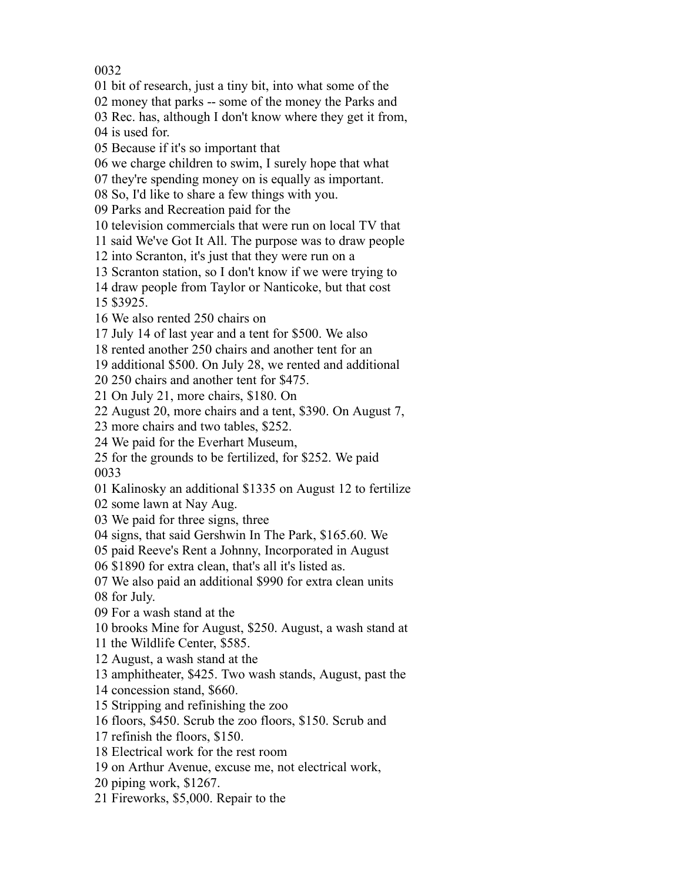bit of research, just a tiny bit, into what some of the

money that parks -- some of the money the Parks and

Rec. has, although I don't know where they get it from,

is used for.

Because if it's so important that

we charge children to swim, I surely hope that what

they're spending money on is equally as important.

So, I'd like to share a few things with you.

Parks and Recreation paid for the

television commercials that were run on local TV that

said We've Got It All. The purpose was to draw people

into Scranton, it's just that they were run on a

Scranton station, so I don't know if we were trying to

draw people from Taylor or Nanticoke, but that cost

\$3925.

We also rented 250 chairs on

July 14 of last year and a tent for \$500. We also

rented another 250 chairs and another tent for an

additional \$500. On July 28, we rented and additional

250 chairs and another tent for \$475.

On July 21, more chairs, \$180. On

August 20, more chairs and a tent, \$390. On August 7,

more chairs and two tables, \$252.

We paid for the Everhart Museum,

 for the grounds to be fertilized, for \$252. We paid 

Kalinosky an additional \$1335 on August 12 to fertilize

some lawn at Nay Aug.

We paid for three signs, three

signs, that said Gershwin In The Park, \$165.60. We

paid Reeve's Rent a Johnny, Incorporated in August

\$1890 for extra clean, that's all it's listed as.

We also paid an additional \$990 for extra clean units

for July.

For a wash stand at the

brooks Mine for August, \$250. August, a wash stand at

the Wildlife Center, \$585.

August, a wash stand at the

amphitheater, \$425. Two wash stands, August, past the

concession stand, \$660.

Stripping and refinishing the zoo

floors, \$450. Scrub the zoo floors, \$150. Scrub and

refinish the floors, \$150.

Electrical work for the rest room

on Arthur Avenue, excuse me, not electrical work,

piping work, \$1267.

Fireworks, \$5,000. Repair to the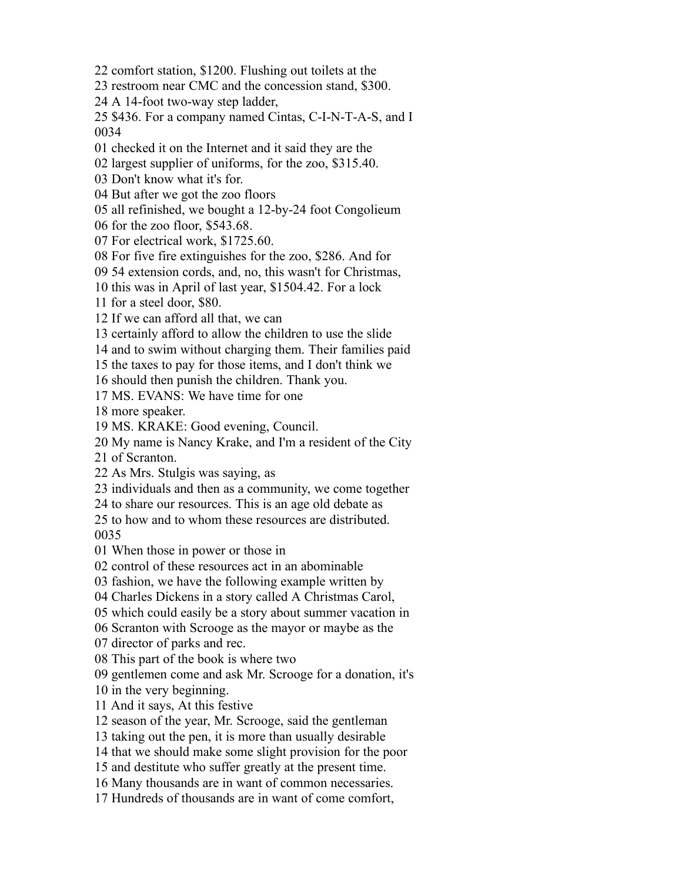comfort station, \$1200. Flushing out toilets at the

restroom near CMC and the concession stand, \$300.

A 14-foot two-way step ladder,

 \$436. For a company named Cintas, C-I-N-T-A-S, and I 

checked it on the Internet and it said they are the

largest supplier of uniforms, for the zoo, \$315.40.

Don't know what it's for.

But after we got the zoo floors

all refinished, we bought a 12-by-24 foot Congolieum

for the zoo floor, \$543.68.

For electrical work, \$1725.60.

For five fire extinguishes for the zoo, \$286. And for

54 extension cords, and, no, this wasn't for Christmas,

this was in April of last year, \$1504.42. For a lock

for a steel door, \$80.

If we can afford all that, we can

certainly afford to allow the children to use the slide

and to swim without charging them. Their families paid

the taxes to pay for those items, and I don't think we

should then punish the children. Thank you.

MS. EVANS: We have time for one

more speaker.

MS. KRAKE: Good evening, Council.

My name is Nancy Krake, and I'm a resident of the City

of Scranton.

As Mrs. Stulgis was saying, as

individuals and then as a community, we come together

to share our resources. This is an age old debate as

 to how and to whom these resources are distributed. 

When those in power or those in

control of these resources act in an abominable

fashion, we have the following example written by

Charles Dickens in a story called A Christmas Carol,

which could easily be a story about summer vacation in

Scranton with Scrooge as the mayor or maybe as the

director of parks and rec.

This part of the book is where two

gentlemen come and ask Mr. Scrooge for a donation, it's

in the very beginning.

And it says, At this festive

season of the year, Mr. Scrooge, said the gentleman

taking out the pen, it is more than usually desirable

that we should make some slight provision for the poor

and destitute who suffer greatly at the present time.

Many thousands are in want of common necessaries.

Hundreds of thousands are in want of come comfort,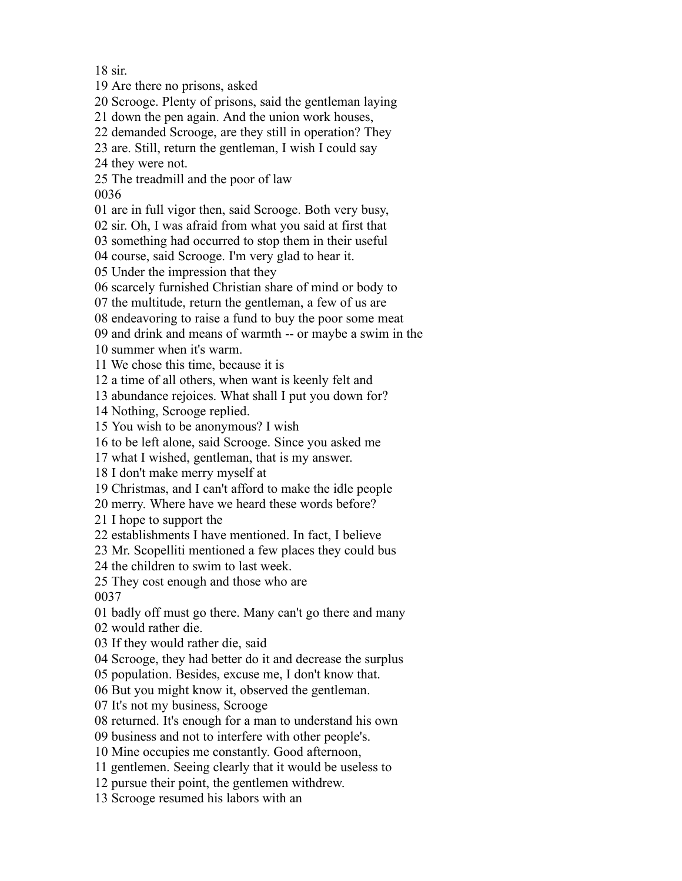sir.

Are there no prisons, asked

Scrooge. Plenty of prisons, said the gentleman laying

down the pen again. And the union work houses,

demanded Scrooge, are they still in operation? They

are. Still, return the gentleman, I wish I could say

they were not.

The treadmill and the poor of law

are in full vigor then, said Scrooge. Both very busy,

sir. Oh, I was afraid from what you said at first that

something had occurred to stop them in their useful

course, said Scrooge. I'm very glad to hear it.

Under the impression that they

scarcely furnished Christian share of mind or body to

the multitude, return the gentleman, a few of us are

endeavoring to raise a fund to buy the poor some meat

and drink and means of warmth -- or maybe a swim in the

summer when it's warm.

We chose this time, because it is

a time of all others, when want is keenly felt and

abundance rejoices. What shall I put you down for?

Nothing, Scrooge replied.

You wish to be anonymous? I wish

to be left alone, said Scrooge. Since you asked me

what I wished, gentleman, that is my answer.

I don't make merry myself at

Christmas, and I can't afford to make the idle people

merry. Where have we heard these words before?

I hope to support the

establishments I have mentioned. In fact, I believe

Mr. Scopelliti mentioned a few places they could bus

the children to swim to last week.

They cost enough and those who are

badly off must go there. Many can't go there and many

would rather die.

If they would rather die, said

Scrooge, they had better do it and decrease the surplus

population. Besides, excuse me, I don't know that.

But you might know it, observed the gentleman.

It's not my business, Scrooge

returned. It's enough for a man to understand his own

business and not to interfere with other people's.

Mine occupies me constantly. Good afternoon,

gentlemen. Seeing clearly that it would be useless to

pursue their point, the gentlemen withdrew.

Scrooge resumed his labors with an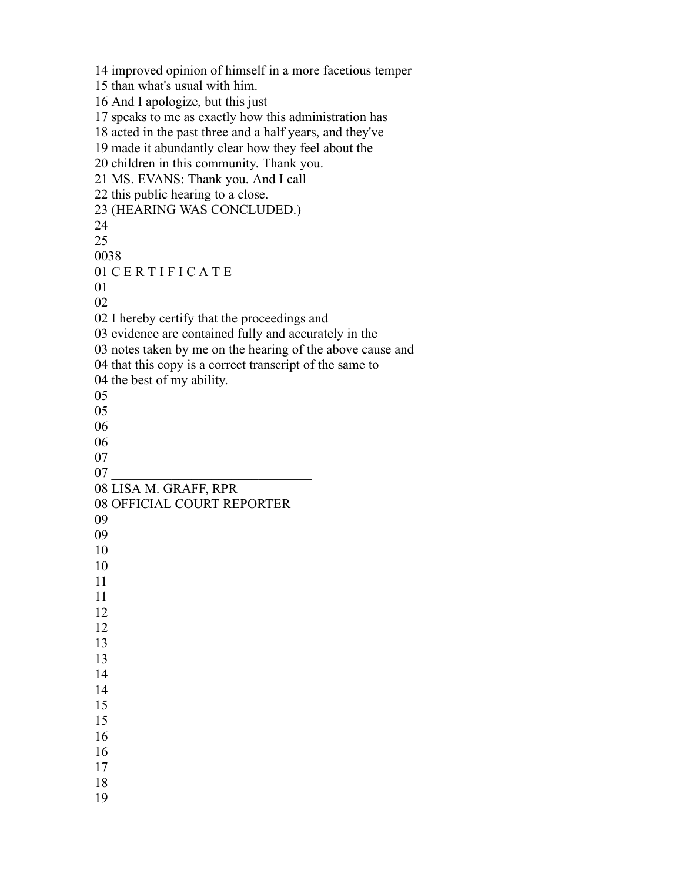improved opinion of himself in a more facetious temper than what's usual with him. And I apologize, but this just speaks to me as exactly how this administration has acted in the past three and a half years, and they've made it abundantly clear how they feel about the children in this community. Thank you. MS. EVANS: Thank you. And I call this public hearing to a close. (HEARING WAS CONCLUDED.) C E R T I F I C A T E I hereby certify that the proceedings and evidence are contained fully and accurately in the notes taken by me on the hearing of the above cause and that this copy is a correct transcript of the same to the best of my ability. LISA M. GRAFF, RPR OFFICIAL COURT REPORTER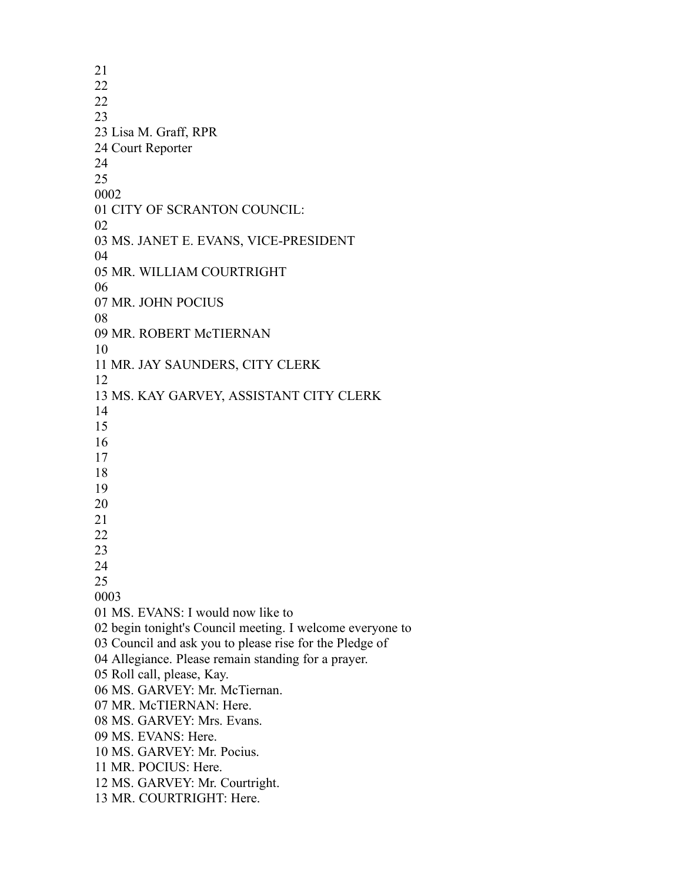Lisa M. Graff, RPR Court Reporter CITY OF SCRANTON COUNCIL: MS. JANET E. EVANS, VICE-PRESIDENT MR. WILLIAM COURTRIGHT MR. JOHN POCIUS MR. ROBERT McTIERNAN MR. JAY SAUNDERS, CITY CLERK MS. KAY GARVEY, ASSISTANT CITY CLERK MS. EVANS: I would now like to begin tonight's Council meeting. I welcome everyone to Council and ask you to please rise for the Pledge of Allegiance. Please remain standing for a prayer. Roll call, please, Kay. MS. GARVEY: Mr. McTiernan. MR. McTIERNAN: Here. MS. GARVEY: Mrs. Evans. MS. EVANS: Here. MS. GARVEY: Mr. Pocius. MR. POCIUS: Here. MS. GARVEY: Mr. Courtright. MR. COURTRIGHT: Here.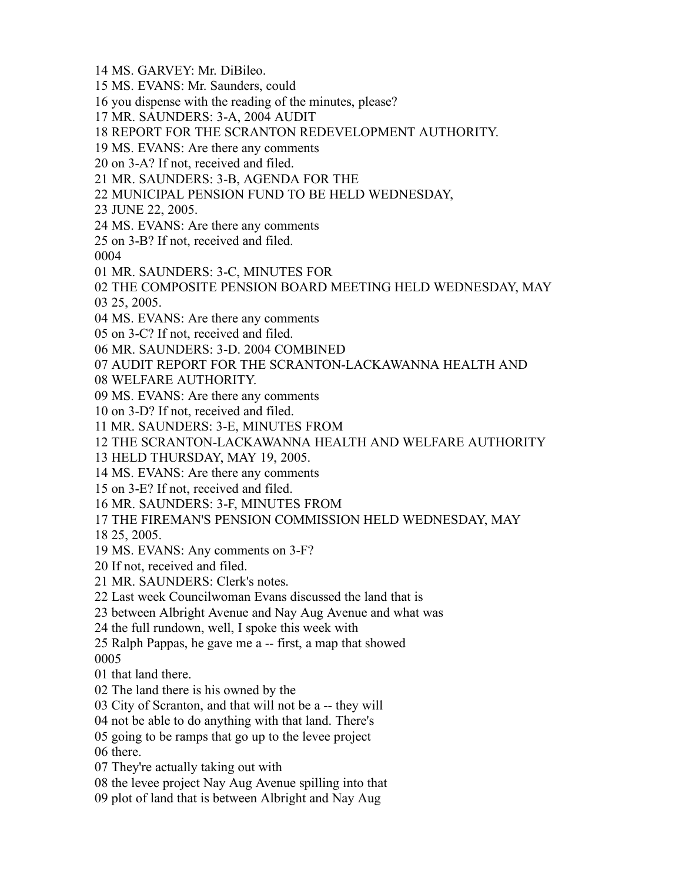- MS. GARVEY: Mr. DiBileo.
- MS. EVANS: Mr. Saunders, could
- you dispense with the reading of the minutes, please?
- MR. SAUNDERS: 3-A, 2004 AUDIT
- REPORT FOR THE SCRANTON REDEVELOPMENT AUTHORITY.
- MS. EVANS: Are there any comments
- on 3-A? If not, received and filed.
- MR. SAUNDERS: 3-B, AGENDA FOR THE
- MUNICIPAL PENSION FUND TO BE HELD WEDNESDAY,
- JUNE 22, 2005.
- MS. EVANS: Are there any comments
- on 3-B? If not, received and filed.

- MR. SAUNDERS: 3-C, MINUTES FOR
- THE COMPOSITE PENSION BOARD MEETING HELD WEDNESDAY, MAY
- 25, 2005.
- MS. EVANS: Are there any comments
- on 3-C? If not, received and filed.
- MR. SAUNDERS: 3-D. 2004 COMBINED
- AUDIT REPORT FOR THE SCRANTON-LACKAWANNA HEALTH AND
- WELFARE AUTHORITY.
- MS. EVANS: Are there any comments
- on 3-D? If not, received and filed.
- MR. SAUNDERS: 3-E, MINUTES FROM
- THE SCRANTON-LACKAWANNA HEALTH AND WELFARE AUTHORITY
- HELD THURSDAY, MAY 19, 2005.
- MS. EVANS: Are there any comments
- on 3-E? If not, received and filed.
- MR. SAUNDERS: 3-F, MINUTES FROM
- THE FIREMAN'S PENSION COMMISSION HELD WEDNESDAY, MAY
- 25, 2005.
- MS. EVANS: Any comments on 3-F?
- If not, received and filed.
- MR. SAUNDERS: Clerk's notes.
- Last week Councilwoman Evans discussed the land that is
- between Albright Avenue and Nay Aug Avenue and what was
- the full rundown, well, I spoke this week with
- Ralph Pappas, he gave me a -- first, a map that showed
- that land there.
- The land there is his owned by the
- City of Scranton, and that will not be a -- they will
- not be able to do anything with that land. There's
- going to be ramps that go up to the levee project
- there.
- They're actually taking out with
- the levee project Nay Aug Avenue spilling into that
- plot of land that is between Albright and Nay Aug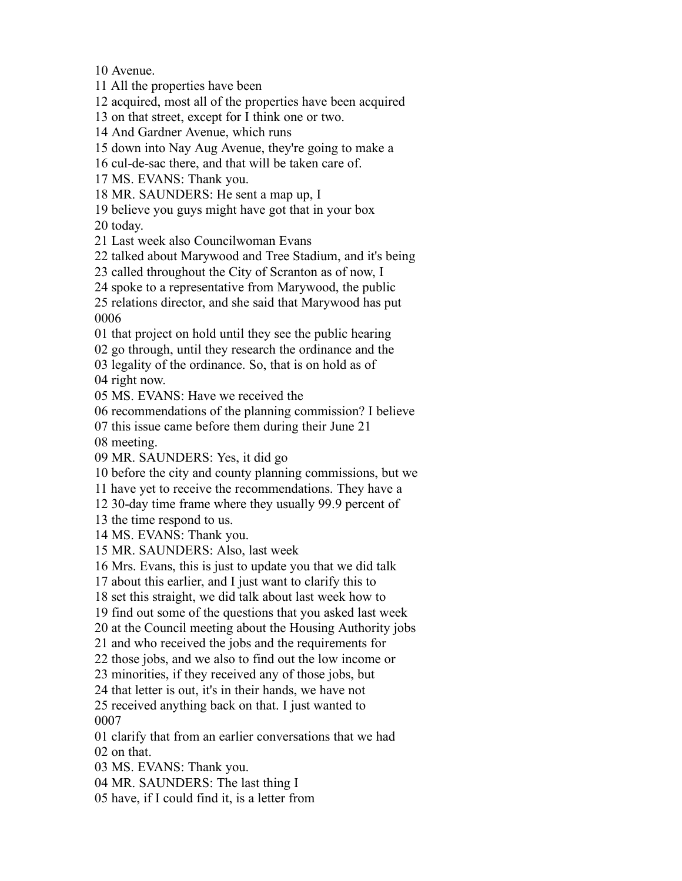Avenue.

All the properties have been

acquired, most all of the properties have been acquired

on that street, except for I think one or two.

And Gardner Avenue, which runs

down into Nay Aug Avenue, they're going to make a

cul-de-sac there, and that will be taken care of.

MS. EVANS: Thank you.

MR. SAUNDERS: He sent a map up, I

believe you guys might have got that in your box

today.

Last week also Councilwoman Evans

talked about Marywood and Tree Stadium, and it's being

called throughout the City of Scranton as of now, I

spoke to a representative from Marywood, the public

 relations director, and she said that Marywood has put 

that project on hold until they see the public hearing

go through, until they research the ordinance and the

legality of the ordinance. So, that is on hold as of

right now.

MS. EVANS: Have we received the

recommendations of the planning commission? I believe

this issue came before them during their June 21

meeting.

MR. SAUNDERS: Yes, it did go

before the city and county planning commissions, but we

have yet to receive the recommendations. They have a

30-day time frame where they usually 99.9 percent of

the time respond to us.

MS. EVANS: Thank you.

MR. SAUNDERS: Also, last week

Mrs. Evans, this is just to update you that we did talk

about this earlier, and I just want to clarify this to

set this straight, we did talk about last week how to

find out some of the questions that you asked last week

at the Council meeting about the Housing Authority jobs

and who received the jobs and the requirements for

those jobs, and we also to find out the low income or

minorities, if they received any of those jobs, but

that letter is out, it's in their hands, we have not

 received anything back on that. I just wanted to 

 clarify that from an earlier conversations that we had on that.

MS. EVANS: Thank you.

MR. SAUNDERS: The last thing I

have, if I could find it, is a letter from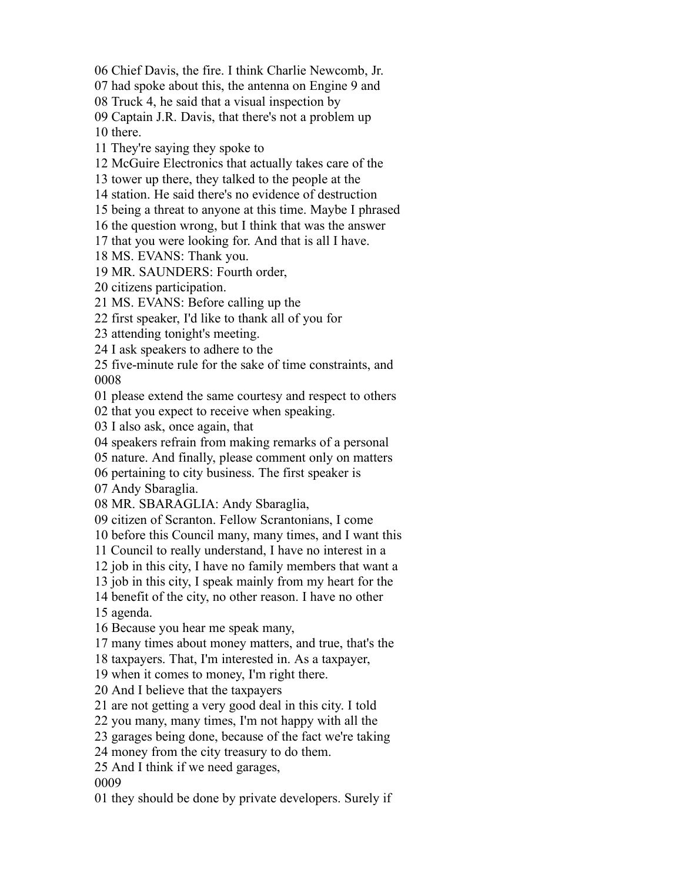Chief Davis, the fire. I think Charlie Newcomb, Jr.

had spoke about this, the antenna on Engine 9 and

Truck 4, he said that a visual inspection by

Captain J.R. Davis, that there's not a problem up

there.

They're saying they spoke to

McGuire Electronics that actually takes care of the

tower up there, they talked to the people at the

station. He said there's no evidence of destruction

being a threat to anyone at this time. Maybe I phrased

the question wrong, but I think that was the answer

that you were looking for. And that is all I have.

MS. EVANS: Thank you.

MR. SAUNDERS: Fourth order,

citizens participation.

MS. EVANS: Before calling up the

first speaker, I'd like to thank all of you for

attending tonight's meeting.

I ask speakers to adhere to the

 five-minute rule for the sake of time constraints, and 

please extend the same courtesy and respect to others

that you expect to receive when speaking.

I also ask, once again, that

speakers refrain from making remarks of a personal

nature. And finally, please comment only on matters

pertaining to city business. The first speaker is

Andy Sbaraglia.

MR. SBARAGLIA: Andy Sbaraglia,

citizen of Scranton. Fellow Scrantonians, I come

before this Council many, many times, and I want this

Council to really understand, I have no interest in a

job in this city, I have no family members that want a

job in this city, I speak mainly from my heart for the

benefit of the city, no other reason. I have no other

agenda.

Because you hear me speak many,

many times about money matters, and true, that's the

taxpayers. That, I'm interested in. As a taxpayer,

when it comes to money, I'm right there.

And I believe that the taxpayers

are not getting a very good deal in this city. I told

you many, many times, I'm not happy with all the

garages being done, because of the fact we're taking

money from the city treasury to do them.

And I think if we need garages,

they should be done by private developers. Surely if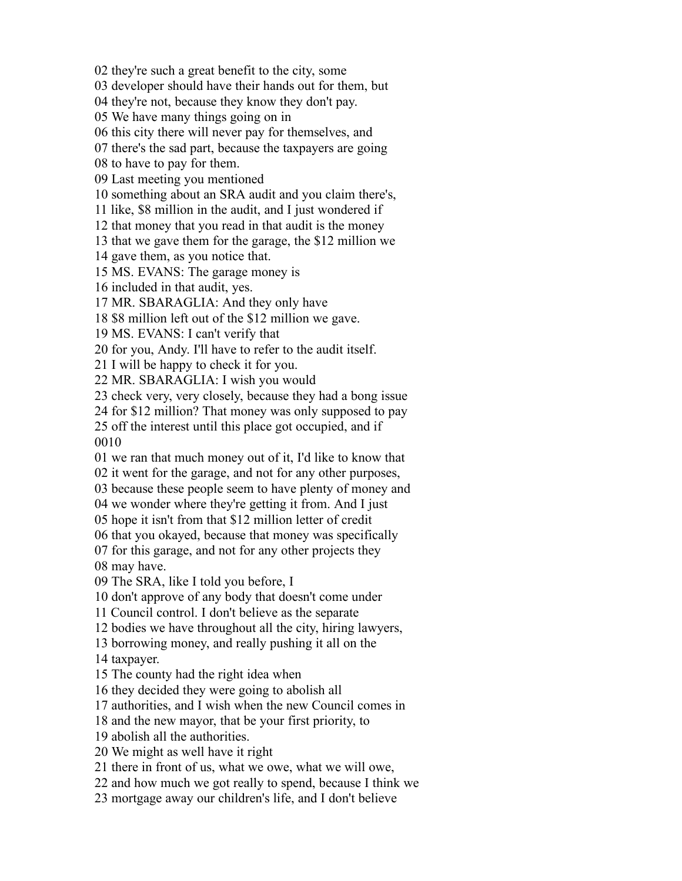they're such a great benefit to the city, some

developer should have their hands out for them, but

they're not, because they know they don't pay.

We have many things going on in

this city there will never pay for themselves, and

there's the sad part, because the taxpayers are going

to have to pay for them.

Last meeting you mentioned

something about an SRA audit and you claim there's,

like, \$8 million in the audit, and I just wondered if

that money that you read in that audit is the money

that we gave them for the garage, the \$12 million we

gave them, as you notice that.

MS. EVANS: The garage money is

included in that audit, yes.

MR. SBARAGLIA: And they only have

\$8 million left out of the \$12 million we gave.

MS. EVANS: I can't verify that

for you, Andy. I'll have to refer to the audit itself.

I will be happy to check it for you.

MR. SBARAGLIA: I wish you would

check very, very closely, because they had a bong issue

for \$12 million? That money was only supposed to pay

 off the interest until this place got occupied, and if 

we ran that much money out of it, I'd like to know that

it went for the garage, and not for any other purposes,

because these people seem to have plenty of money and

we wonder where they're getting it from. And I just

hope it isn't from that \$12 million letter of credit

that you okayed, because that money was specifically

 for this garage, and not for any other projects they may have.

The SRA, like I told you before, I

don't approve of any body that doesn't come under

Council control. I don't believe as the separate

bodies we have throughout all the city, hiring lawyers,

borrowing money, and really pushing it all on the

taxpayer.

The county had the right idea when

they decided they were going to abolish all

authorities, and I wish when the new Council comes in

and the new mayor, that be your first priority, to

abolish all the authorities.

We might as well have it right

there in front of us, what we owe, what we will owe,

and how much we got really to spend, because I think we

mortgage away our children's life, and I don't believe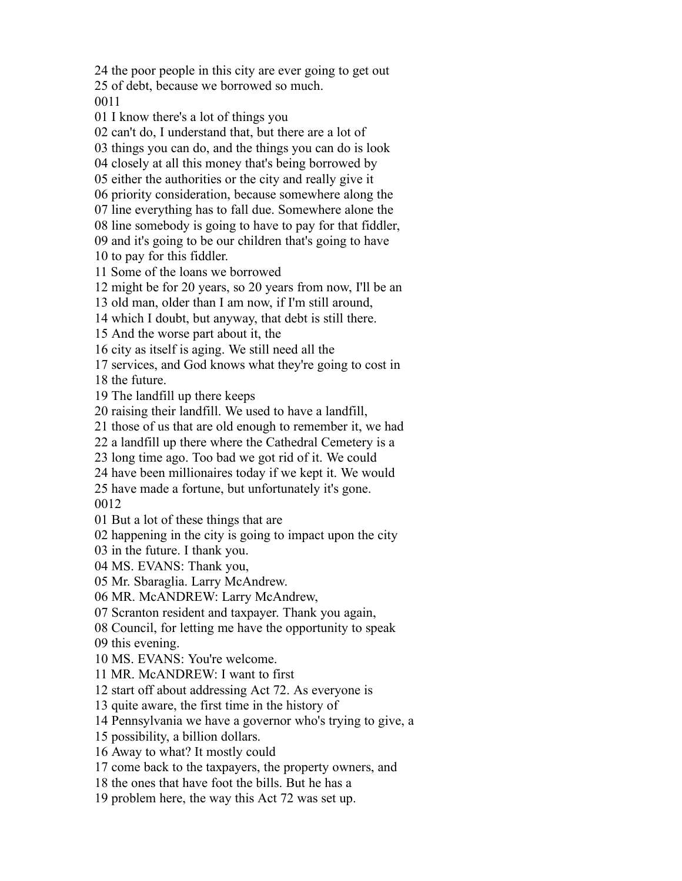the poor people in this city are ever going to get out

of debt, because we borrowed so much.

I know there's a lot of things you

can't do, I understand that, but there are a lot of

things you can do, and the things you can do is look

closely at all this money that's being borrowed by

either the authorities or the city and really give it

priority consideration, because somewhere along the

line everything has to fall due. Somewhere alone the

 line somebody is going to have to pay for that fiddler, and it's going to be our children that's going to have

to pay for this fiddler.

Some of the loans we borrowed

might be for 20 years, so 20 years from now, I'll be an

old man, older than I am now, if I'm still around,

which I doubt, but anyway, that debt is still there.

And the worse part about it, the

city as itself is aging. We still need all the

services, and God knows what they're going to cost in

the future.

The landfill up there keeps

raising their landfill. We used to have a landfill,

those of us that are old enough to remember it, we had

a landfill up there where the Cathedral Cemetery is a

long time ago. Too bad we got rid of it. We could

have been millionaires today if we kept it. We would

have made a fortune, but unfortunately it's gone.

But a lot of these things that are

happening in the city is going to impact upon the city

in the future. I thank you.

MS. EVANS: Thank you,

Mr. Sbaraglia. Larry McAndrew.

MR. McANDREW: Larry McAndrew,

Scranton resident and taxpayer. Thank you again,

Council, for letting me have the opportunity to speak

this evening.

MS. EVANS: You're welcome.

MR. McANDREW: I want to first

start off about addressing Act 72. As everyone is

quite aware, the first time in the history of

Pennsylvania we have a governor who's trying to give, a

possibility, a billion dollars.

Away to what? It mostly could

come back to the taxpayers, the property owners, and

the ones that have foot the bills. But he has a

problem here, the way this Act 72 was set up.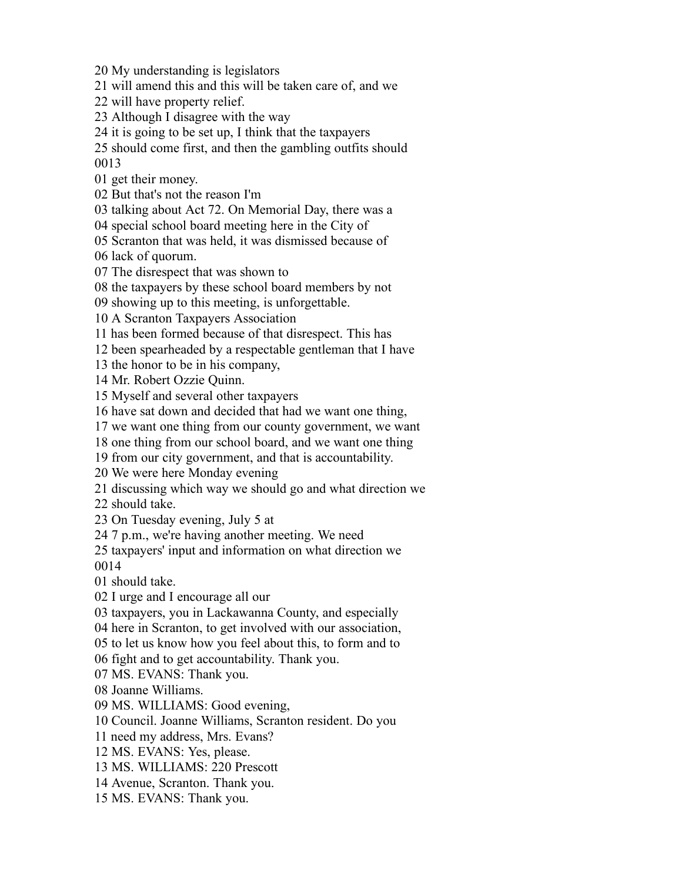My understanding is legislators

will amend this and this will be taken care of, and we

will have property relief.

Although I disagree with the way

it is going to be set up, I think that the taxpayers

 should come first, and then the gambling outfits should 

get their money.

But that's not the reason I'm

talking about Act 72. On Memorial Day, there was a

special school board meeting here in the City of

 Scranton that was held, it was dismissed because of lack of quorum.

The disrespect that was shown to

the taxpayers by these school board members by not

showing up to this meeting, is unforgettable.

A Scranton Taxpayers Association

has been formed because of that disrespect. This has

been spearheaded by a respectable gentleman that I have

the honor to be in his company,

Mr. Robert Ozzie Quinn.

Myself and several other taxpayers

have sat down and decided that had we want one thing,

we want one thing from our county government, we want

one thing from our school board, and we want one thing

from our city government, and that is accountability.

We were here Monday evening

discussing which way we should go and what direction we

should take.

On Tuesday evening, July 5 at

7 p.m., we're having another meeting. We need

 taxpayers' input and information on what direction we 

should take.

I urge and I encourage all our

taxpayers, you in Lackawanna County, and especially

here in Scranton, to get involved with our association,

to let us know how you feel about this, to form and to

fight and to get accountability. Thank you.

MS. EVANS: Thank you.

Joanne Williams.

MS. WILLIAMS: Good evening,

Council. Joanne Williams, Scranton resident. Do you

need my address, Mrs. Evans?

MS. EVANS: Yes, please.

MS. WILLIAMS: 220 Prescott

Avenue, Scranton. Thank you.

MS. EVANS: Thank you.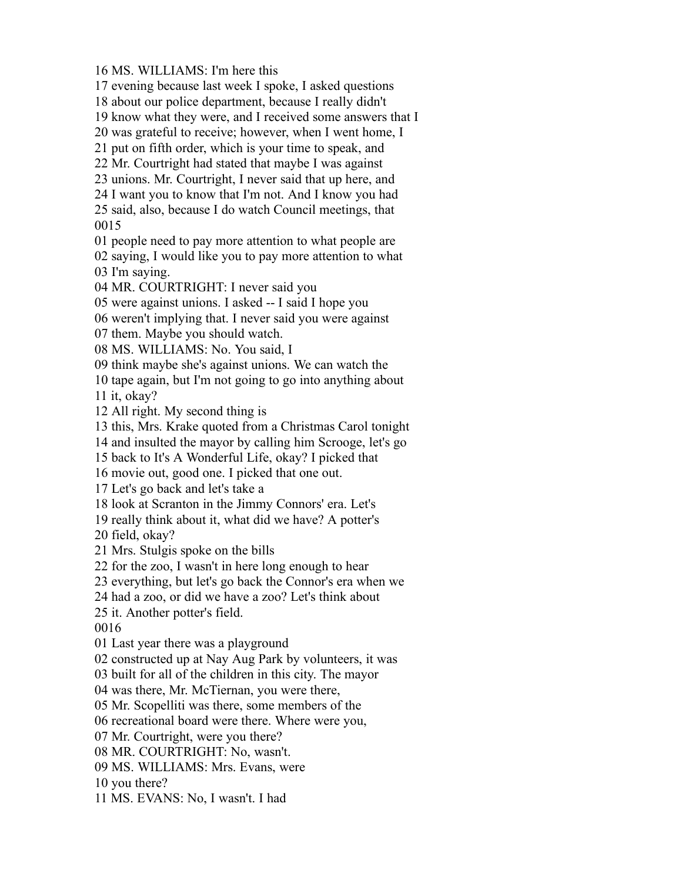MS. WILLIAMS: I'm here this

evening because last week I spoke, I asked questions

about our police department, because I really didn't

know what they were, and I received some answers that I

was grateful to receive; however, when I went home, I

put on fifth order, which is your time to speak, and

Mr. Courtright had stated that maybe I was against

unions. Mr. Courtright, I never said that up here, and

I want you to know that I'm not. And I know you had

 said, also, because I do watch Council meetings, that 

people need to pay more attention to what people are

 saying, I would like you to pay more attention to what I'm saying.

MR. COURTRIGHT: I never said you

were against unions. I asked -- I said I hope you

weren't implying that. I never said you were against

them. Maybe you should watch.

MS. WILLIAMS: No. You said, I

think maybe she's against unions. We can watch the

tape again, but I'm not going to go into anything about

it, okay?

All right. My second thing is

this, Mrs. Krake quoted from a Christmas Carol tonight

and insulted the mayor by calling him Scrooge, let's go

back to It's A Wonderful Life, okay? I picked that

movie out, good one. I picked that one out.

Let's go back and let's take a

look at Scranton in the Jimmy Connors' era. Let's

really think about it, what did we have? A potter's

field, okay?

Mrs. Stulgis spoke on the bills

for the zoo, I wasn't in here long enough to hear

everything, but let's go back the Connor's era when we

had a zoo, or did we have a zoo? Let's think about

it. Another potter's field.

Last year there was a playground

constructed up at Nay Aug Park by volunteers, it was

built for all of the children in this city. The mayor

was there, Mr. McTiernan, you were there,

Mr. Scopelliti was there, some members of the

recreational board were there. Where were you,

Mr. Courtright, were you there?

MR. COURTRIGHT: No, wasn't.

MS. WILLIAMS: Mrs. Evans, were

you there?

MS. EVANS: No, I wasn't. I had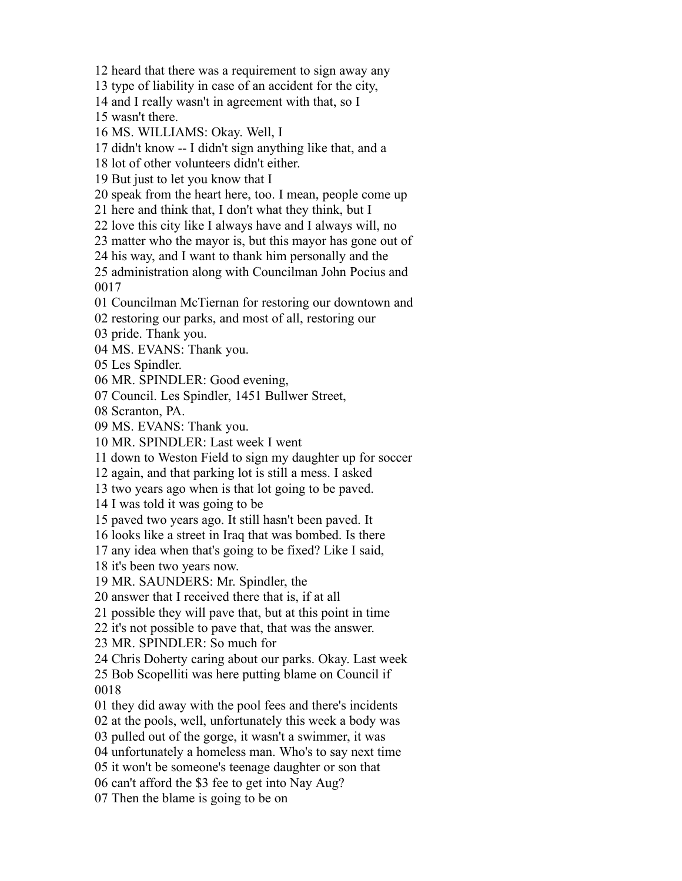heard that there was a requirement to sign away any

type of liability in case of an accident for the city,

and I really wasn't in agreement with that, so I

wasn't there.

MS. WILLIAMS: Okay. Well, I

didn't know -- I didn't sign anything like that, and a

lot of other volunteers didn't either.

But just to let you know that I

speak from the heart here, too. I mean, people come up

here and think that, I don't what they think, but I

love this city like I always have and I always will, no

matter who the mayor is, but this mayor has gone out of

his way, and I want to thank him personally and the

 administration along with Councilman John Pocius and 

Councilman McTiernan for restoring our downtown and

restoring our parks, and most of all, restoring our

pride. Thank you.

MS. EVANS: Thank you.

Les Spindler.

MR. SPINDLER: Good evening,

Council. Les Spindler, 1451 Bullwer Street,

Scranton, PA.

MS. EVANS: Thank you.

MR. SPINDLER: Last week I went

down to Weston Field to sign my daughter up for soccer

again, and that parking lot is still a mess. I asked

two years ago when is that lot going to be paved.

I was told it was going to be

paved two years ago. It still hasn't been paved. It

looks like a street in Iraq that was bombed. Is there

any idea when that's going to be fixed? Like I said,

it's been two years now.

MR. SAUNDERS: Mr. Spindler, the

answer that I received there that is, if at all

possible they will pave that, but at this point in time

it's not possible to pave that, that was the answer.

MR. SPINDLER: So much for

Chris Doherty caring about our parks. Okay. Last week

 Bob Scopelliti was here putting blame on Council if 

they did away with the pool fees and there's incidents

at the pools, well, unfortunately this week a body was

pulled out of the gorge, it wasn't a swimmer, it was

unfortunately a homeless man. Who's to say next time

it won't be someone's teenage daughter or son that

can't afford the \$3 fee to get into Nay Aug?

Then the blame is going to be on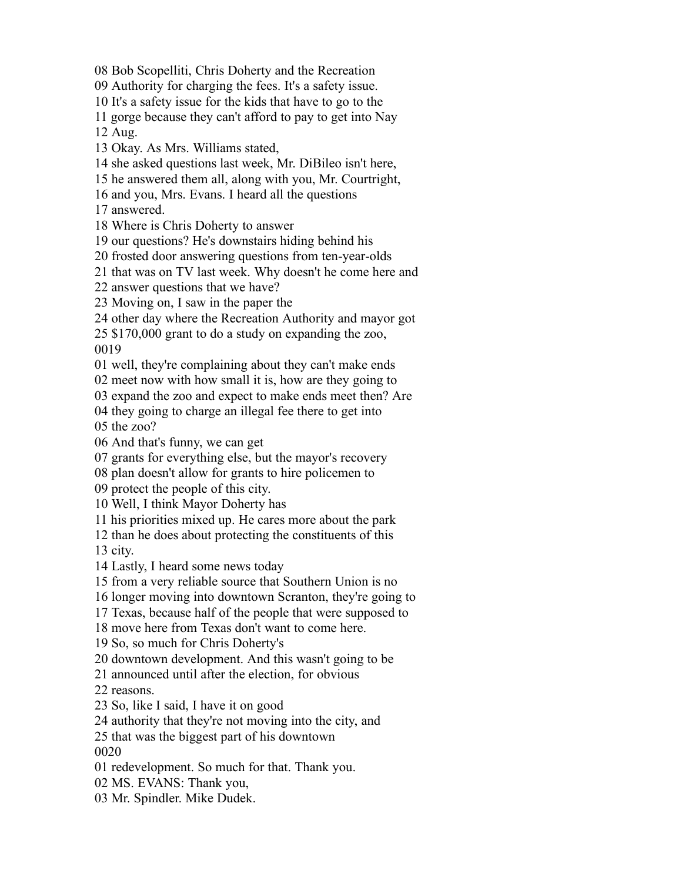Bob Scopelliti, Chris Doherty and the Recreation

Authority for charging the fees. It's a safety issue.

It's a safety issue for the kids that have to go to the

gorge because they can't afford to pay to get into Nay

Aug.

- Okay. As Mrs. Williams stated,
- she asked questions last week, Mr. DiBileo isn't here,
- he answered them all, along with you, Mr. Courtright,
- and you, Mrs. Evans. I heard all the questions

answered.

Where is Chris Doherty to answer

our questions? He's downstairs hiding behind his

frosted door answering questions from ten-year-olds

that was on TV last week. Why doesn't he come here and

answer questions that we have?

Moving on, I saw in the paper the

other day where the Recreation Authority and mayor got

 \$170,000 grant to do a study on expanding the zoo, 

well, they're complaining about they can't make ends

meet now with how small it is, how are they going to

expand the zoo and expect to make ends meet then? Are

they going to charge an illegal fee there to get into

the zoo?

And that's funny, we can get

grants for everything else, but the mayor's recovery

plan doesn't allow for grants to hire policemen to

protect the people of this city.

Well, I think Mayor Doherty has

his priorities mixed up. He cares more about the park

than he does about protecting the constituents of this

city.

Lastly, I heard some news today

from a very reliable source that Southern Union is no

longer moving into downtown Scranton, they're going to

Texas, because half of the people that were supposed to

move here from Texas don't want to come here.

So, so much for Chris Doherty's

downtown development. And this wasn't going to be

announced until after the election, for obvious

reasons.

So, like I said, I have it on good

authority that they're not moving into the city, and

that was the biggest part of his downtown

redevelopment. So much for that. Thank you.

MS. EVANS: Thank you,

Mr. Spindler. Mike Dudek.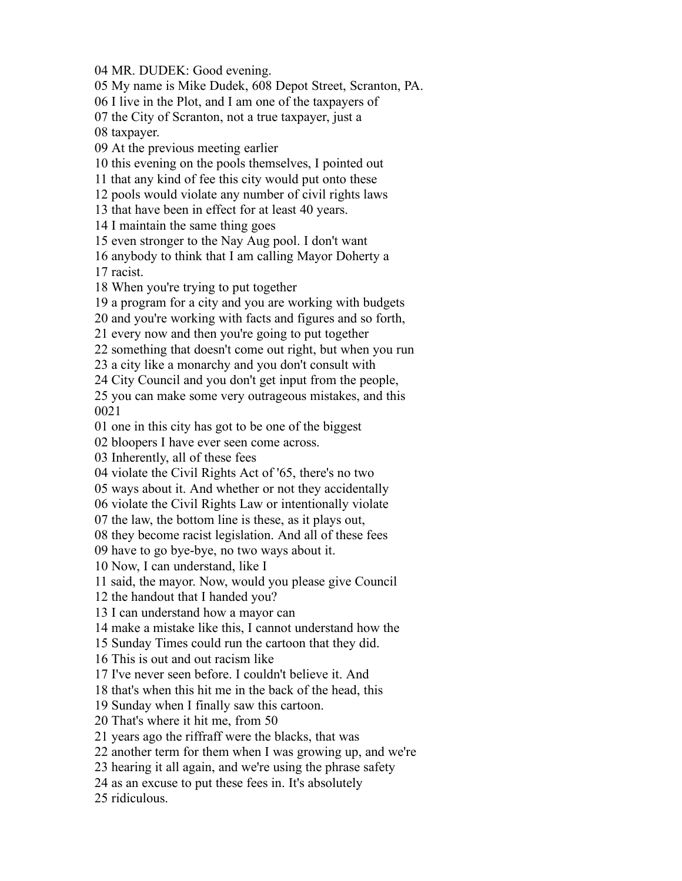MR. DUDEK: Good evening.

My name is Mike Dudek, 608 Depot Street, Scranton, PA.

I live in the Plot, and I am one of the taxpayers of

the City of Scranton, not a true taxpayer, just a

taxpayer.

At the previous meeting earlier

this evening on the pools themselves, I pointed out

that any kind of fee this city would put onto these

pools would violate any number of civil rights laws

that have been in effect for at least 40 years.

I maintain the same thing goes

even stronger to the Nay Aug pool. I don't want

 anybody to think that I am calling Mayor Doherty a racist.

When you're trying to put together

a program for a city and you are working with budgets

and you're working with facts and figures and so forth,

every now and then you're going to put together

something that doesn't come out right, but when you run

a city like a monarchy and you don't consult with

City Council and you don't get input from the people,

 you can make some very outrageous mistakes, and this 

one in this city has got to be one of the biggest

bloopers I have ever seen come across.

Inherently, all of these fees

violate the Civil Rights Act of '65, there's no two

ways about it. And whether or not they accidentally

violate the Civil Rights Law or intentionally violate

the law, the bottom line is these, as it plays out,

they become racist legislation. And all of these fees

have to go bye-bye, no two ways about it.

Now, I can understand, like I

said, the mayor. Now, would you please give Council

the handout that I handed you?

I can understand how a mayor can

make a mistake like this, I cannot understand how the

Sunday Times could run the cartoon that they did.

This is out and out racism like

I've never seen before. I couldn't believe it. And

that's when this hit me in the back of the head, this

Sunday when I finally saw this cartoon.

That's where it hit me, from 50

years ago the riffraff were the blacks, that was

another term for them when I was growing up, and we're

hearing it all again, and we're using the phrase safety

as an excuse to put these fees in. It's absolutely

ridiculous.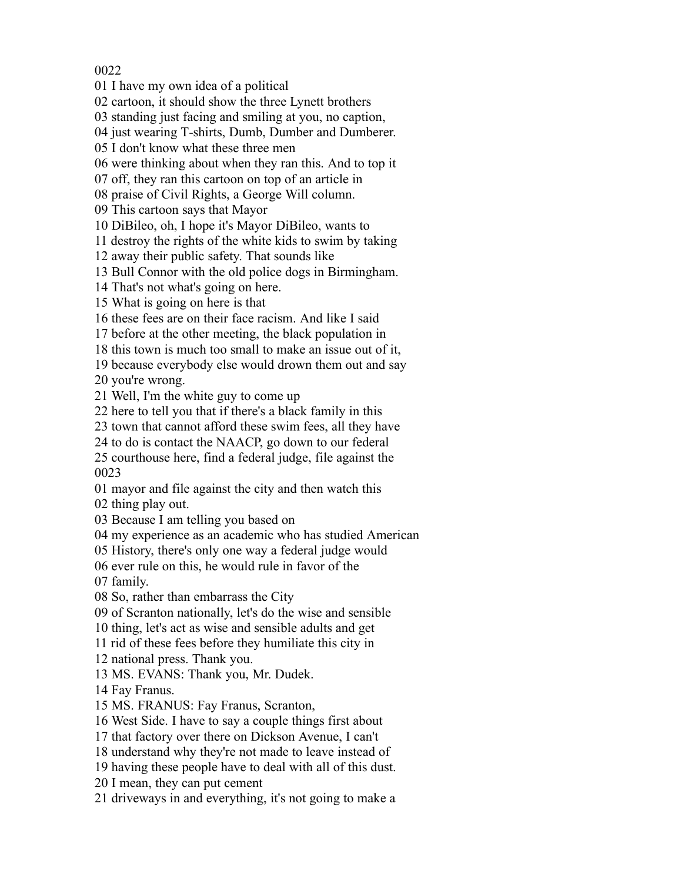I have my own idea of a political

cartoon, it should show the three Lynett brothers

standing just facing and smiling at you, no caption,

04 just wearing T-shirts, Dumb, Dumber and Dumberer.

I don't know what these three men

were thinking about when they ran this. And to top it

off, they ran this cartoon on top of an article in

praise of Civil Rights, a George Will column.

This cartoon says that Mayor

DiBileo, oh, I hope it's Mayor DiBileo, wants to

destroy the rights of the white kids to swim by taking

away their public safety. That sounds like

Bull Connor with the old police dogs in Birmingham.

That's not what's going on here.

What is going on here is that

these fees are on their face racism. And like I said

before at the other meeting, the black population in

this town is much too small to make an issue out of it,

because everybody else would drown them out and say

you're wrong.

Well, I'm the white guy to come up

here to tell you that if there's a black family in this

town that cannot afford these swim fees, all they have

to do is contact the NAACP, go down to our federal

 courthouse here, find a federal judge, file against the 

mayor and file against the city and then watch this

thing play out.

Because I am telling you based on

my experience as an academic who has studied American

History, there's only one way a federal judge would

ever rule on this, he would rule in favor of the

family.

So, rather than embarrass the City

of Scranton nationally, let's do the wise and sensible

thing, let's act as wise and sensible adults and get

rid of these fees before they humiliate this city in

national press. Thank you.

MS. EVANS: Thank you, Mr. Dudek.

Fay Franus.

MS. FRANUS: Fay Franus, Scranton,

West Side. I have to say a couple things first about

that factory over there on Dickson Avenue, I can't

understand why they're not made to leave instead of

having these people have to deal with all of this dust.

I mean, they can put cement

driveways in and everything, it's not going to make a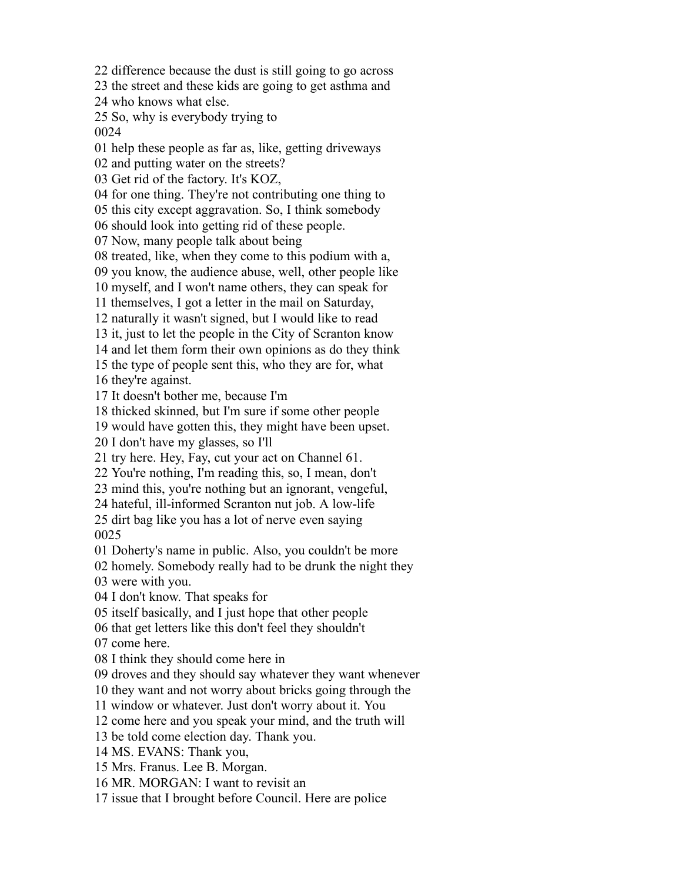difference because the dust is still going to go across the street and these kids are going to get asthma and who knows what else. So, why is everybody trying to help these people as far as, like, getting driveways and putting water on the streets? Get rid of the factory. It's KOZ, for one thing. They're not contributing one thing to this city except aggravation. So, I think somebody should look into getting rid of these people. Now, many people talk about being treated, like, when they come to this podium with a, you know, the audience abuse, well, other people like myself, and I won't name others, they can speak for themselves, I got a letter in the mail on Saturday, naturally it wasn't signed, but I would like to read it, just to let the people in the City of Scranton know and let them form their own opinions as do they think the type of people sent this, who they are for, what they're against. It doesn't bother me, because I'm thicked skinned, but I'm sure if some other people would have gotten this, they might have been upset. I don't have my glasses, so I'll try here. Hey, Fay, cut your act on Channel 61. You're nothing, I'm reading this, so, I mean, don't mind this, you're nothing but an ignorant, vengeful, hateful, ill-informed Scranton nut job. A low-life dirt bag like you has a lot of nerve even saying Doherty's name in public. Also, you couldn't be more homely. Somebody really had to be drunk the night they were with you. I don't know. That speaks for itself basically, and I just hope that other people that get letters like this don't feel they shouldn't come here. I think they should come here in droves and they should say whatever they want whenever they want and not worry about bricks going through the window or whatever. Just don't worry about it. You come here and you speak your mind, and the truth will be told come election day. Thank you. MS. EVANS: Thank you, Mrs. Franus. Lee B. Morgan. MR. MORGAN: I want to revisit an issue that I brought before Council. Here are police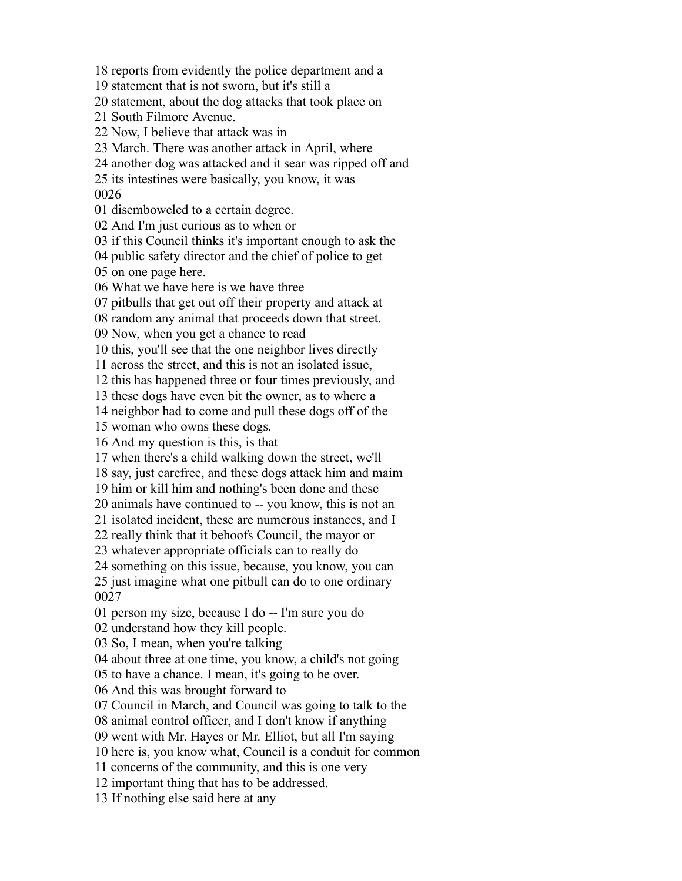reports from evidently the police department and a statement that is not sworn, but it's still a statement, about the dog attacks that took place on South Filmore Avenue. Now, I believe that attack was in March. There was another attack in April, where another dog was attacked and it sear was ripped off and its intestines were basically, you know, it was disemboweled to a certain degree. And I'm just curious as to when or if this Council thinks it's important enough to ask the public safety director and the chief of police to get on one page here. What we have here is we have three pitbulls that get out off their property and attack at random any animal that proceeds down that street. Now, when you get a chance to read this, you'll see that the one neighbor lives directly across the street, and this is not an isolated issue, this has happened three or four times previously, and these dogs have even bit the owner, as to where a neighbor had to come and pull these dogs off of the woman who owns these dogs. And my question is this, is that when there's a child walking down the street, we'll say, just carefree, and these dogs attack him and maim him or kill him and nothing's been done and these animals have continued to -- you know, this is not an isolated incident, these are numerous instances, and I really think that it behoofs Council, the mayor or whatever appropriate officials can to really do something on this issue, because, you know, you can just imagine what one pitbull can do to one ordinary person my size, because I do -- I'm sure you do understand how they kill people. So, I mean, when you're talking about three at one time, you know, a child's not going to have a chance. I mean, it's going to be over. And this was brought forward to Council in March, and Council was going to talk to the animal control officer, and I don't know if anything went with Mr. Hayes or Mr. Elliot, but all I'm saying here is, you know what, Council is a conduit for common concerns of the community, and this is one very important thing that has to be addressed. If nothing else said here at any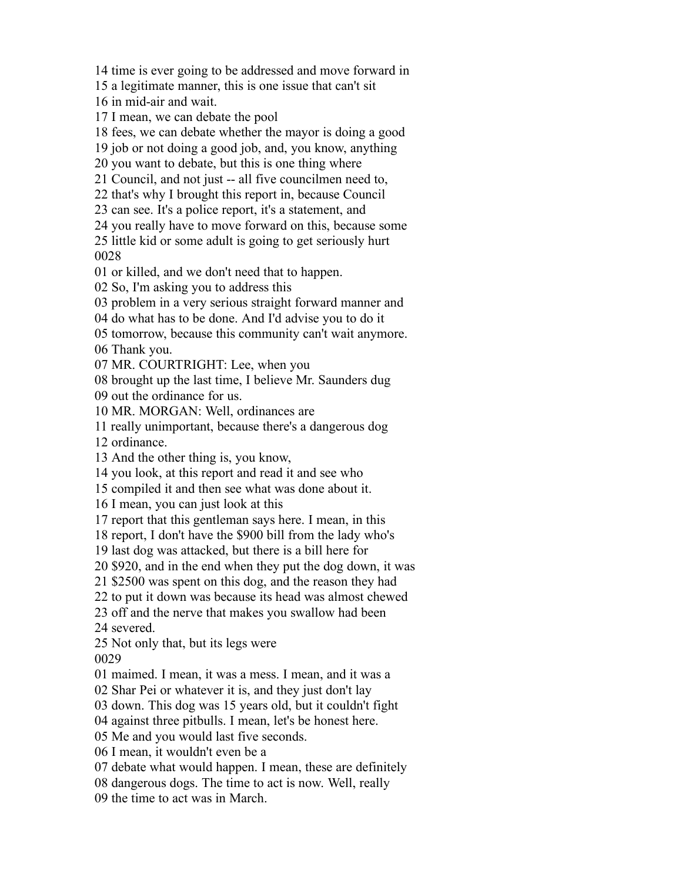time is ever going to be addressed and move forward in

a legitimate manner, this is one issue that can't sit

in mid-air and wait.

I mean, we can debate the pool

fees, we can debate whether the mayor is doing a good

job or not doing a good job, and, you know, anything

you want to debate, but this is one thing where

Council, and not just -- all five councilmen need to,

that's why I brought this report in, because Council

can see. It's a police report, it's a statement, and

you really have to move forward on this, because some

 little kid or some adult is going to get seriously hurt 

or killed, and we don't need that to happen.

So, I'm asking you to address this

problem in a very serious straight forward manner and

do what has to be done. And I'd advise you to do it

tomorrow, because this community can't wait anymore.

Thank you.

MR. COURTRIGHT: Lee, when you

brought up the last time, I believe Mr. Saunders dug

out the ordinance for us.

MR. MORGAN: Well, ordinances are

really unimportant, because there's a dangerous dog

ordinance.

And the other thing is, you know,

you look, at this report and read it and see who

compiled it and then see what was done about it.

I mean, you can just look at this

report that this gentleman says here. I mean, in this

report, I don't have the \$900 bill from the lady who's

last dog was attacked, but there is a bill here for

\$920, and in the end when they put the dog down, it was

\$2500 was spent on this dog, and the reason they had

to put it down was because its head was almost chewed

off and the nerve that makes you swallow had been

severed.

Not only that, but its legs were

maimed. I mean, it was a mess. I mean, and it was a

Shar Pei or whatever it is, and they just don't lay

down. This dog was 15 years old, but it couldn't fight

against three pitbulls. I mean, let's be honest here.

Me and you would last five seconds.

I mean, it wouldn't even be a

debate what would happen. I mean, these are definitely

dangerous dogs. The time to act is now. Well, really

the time to act was in March.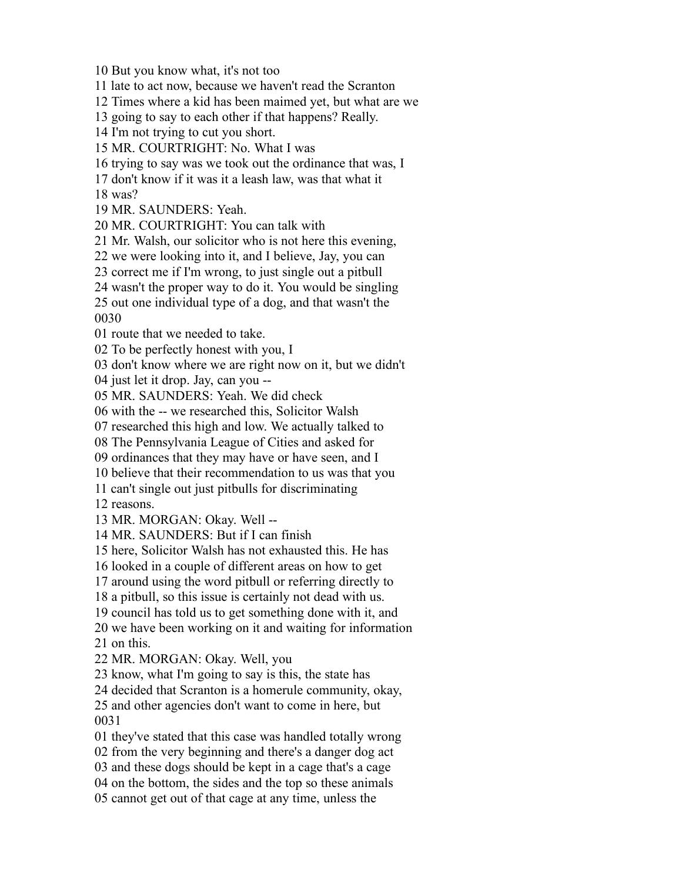But you know what, it's not too

late to act now, because we haven't read the Scranton

Times where a kid has been maimed yet, but what are we

going to say to each other if that happens? Really.

I'm not trying to cut you short.

MR. COURTRIGHT: No. What I was

trying to say was we took out the ordinance that was, I

don't know if it was it a leash law, was that what it

was?

MR. SAUNDERS: Yeah.

MR. COURTRIGHT: You can talk with

Mr. Walsh, our solicitor who is not here this evening,

we were looking into it, and I believe, Jay, you can

correct me if I'm wrong, to just single out a pitbull

wasn't the proper way to do it. You would be singling

 out one individual type of a dog, and that wasn't the 

route that we needed to take.

To be perfectly honest with you, I

don't know where we are right now on it, but we didn't

just let it drop. Jay, can you --

MR. SAUNDERS: Yeah. We did check

with the -- we researched this, Solicitor Walsh

researched this high and low. We actually talked to

The Pennsylvania League of Cities and asked for

ordinances that they may have or have seen, and I

believe that their recommendation to us was that you

can't single out just pitbulls for discriminating

reasons.

MR. MORGAN: Okay. Well --

MR. SAUNDERS: But if I can finish

here, Solicitor Walsh has not exhausted this. He has

looked in a couple of different areas on how to get

around using the word pitbull or referring directly to

a pitbull, so this issue is certainly not dead with us.

council has told us to get something done with it, and

 we have been working on it and waiting for information on this.

MR. MORGAN: Okay. Well, you

know, what I'm going to say is this, the state has

decided that Scranton is a homerule community, okay,

 and other agencies don't want to come in here, but 

they've stated that this case was handled totally wrong

from the very beginning and there's a danger dog act

and these dogs should be kept in a cage that's a cage

on the bottom, the sides and the top so these animals

cannot get out of that cage at any time, unless the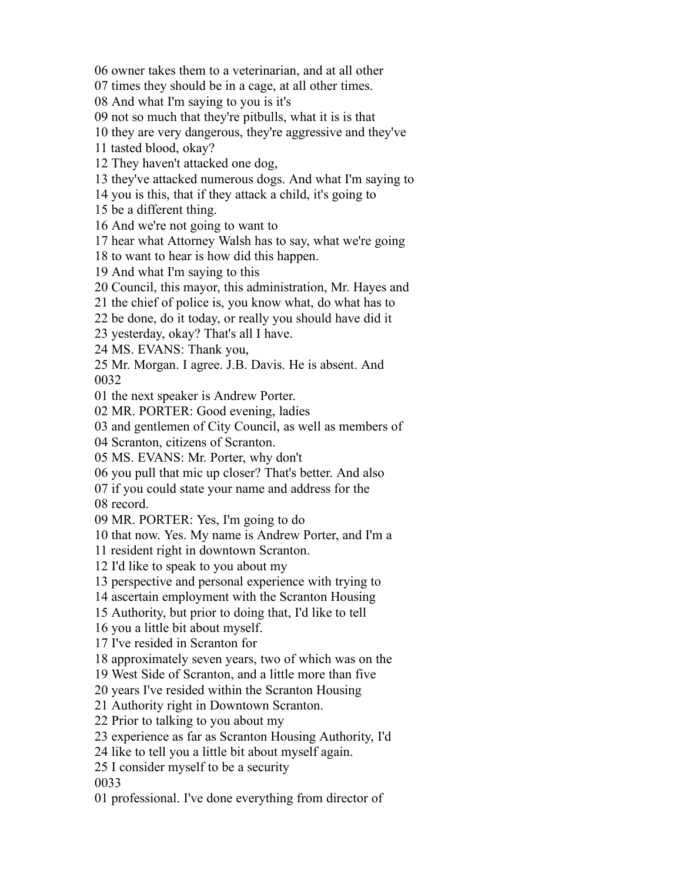owner takes them to a veterinarian, and at all other

times they should be in a cage, at all other times.

And what I'm saying to you is it's

not so much that they're pitbulls, what it is is that

they are very dangerous, they're aggressive and they've

tasted blood, okay?

They haven't attacked one dog,

they've attacked numerous dogs. And what I'm saying to

you is this, that if they attack a child, it's going to

be a different thing.

And we're not going to want to

hear what Attorney Walsh has to say, what we're going

to want to hear is how did this happen.

And what I'm saying to this

Council, this mayor, this administration, Mr. Hayes and

the chief of police is, you know what, do what has to

be done, do it today, or really you should have did it

yesterday, okay? That's all I have.

MS. EVANS: Thank you,

 Mr. Morgan. I agree. J.B. Davis. He is absent. And 

the next speaker is Andrew Porter.

MR. PORTER: Good evening, ladies

and gentlemen of City Council, as well as members of

Scranton, citizens of Scranton.

MS. EVANS: Mr. Porter, why don't

you pull that mic up closer? That's better. And also

if you could state your name and address for the

record.

MR. PORTER: Yes, I'm going to do

that now. Yes. My name is Andrew Porter, and I'm a

resident right in downtown Scranton.

I'd like to speak to you about my

perspective and personal experience with trying to

ascertain employment with the Scranton Housing

Authority, but prior to doing that, I'd like to tell

you a little bit about myself.

I've resided in Scranton for

approximately seven years, two of which was on the

West Side of Scranton, and a little more than five

years I've resided within the Scranton Housing

Authority right in Downtown Scranton.

Prior to talking to you about my

experience as far as Scranton Housing Authority, I'd

like to tell you a little bit about myself again.

I consider myself to be a security

professional. I've done everything from director of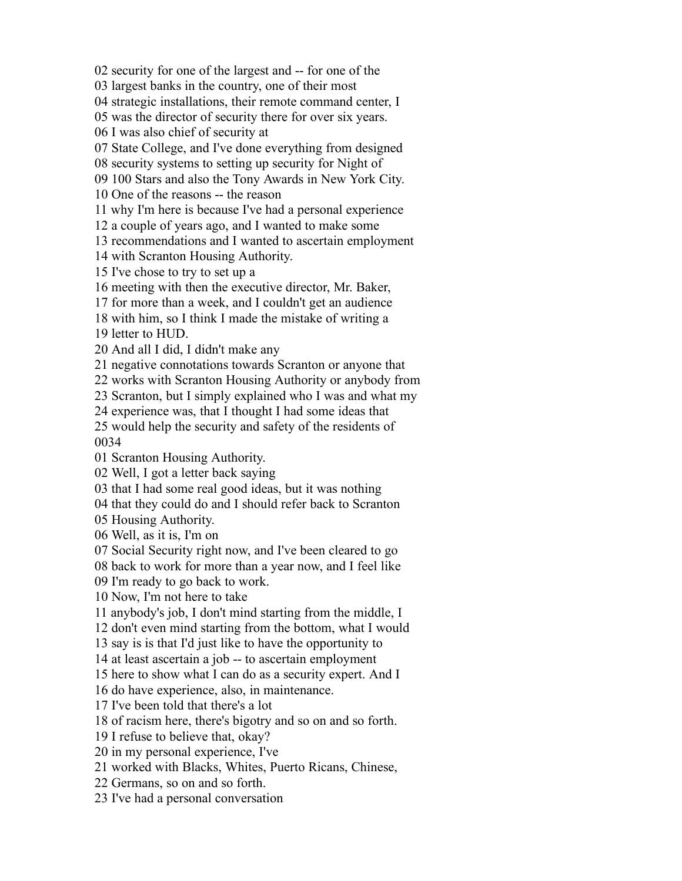security for one of the largest and -- for one of the

largest banks in the country, one of their most

strategic installations, their remote command center, I

was the director of security there for over six years.

I was also chief of security at

State College, and I've done everything from designed

security systems to setting up security for Night of

100 Stars and also the Tony Awards in New York City.

One of the reasons -- the reason

why I'm here is because I've had a personal experience

a couple of years ago, and I wanted to make some

recommendations and I wanted to ascertain employment

with Scranton Housing Authority.

I've chose to try to set up a

meeting with then the executive director, Mr. Baker,

for more than a week, and I couldn't get an audience

with him, so I think I made the mistake of writing a

letter to HUD.

And all I did, I didn't make any

negative connotations towards Scranton or anyone that

works with Scranton Housing Authority or anybody from

Scranton, but I simply explained who I was and what my

experience was, that I thought I had some ideas that

 would help the security and safety of the residents of 

Scranton Housing Authority.

Well, I got a letter back saying

that I had some real good ideas, but it was nothing

that they could do and I should refer back to Scranton

Housing Authority.

Well, as it is, I'm on

Social Security right now, and I've been cleared to go

back to work for more than a year now, and I feel like

I'm ready to go back to work.

Now, I'm not here to take

anybody's job, I don't mind starting from the middle, I

don't even mind starting from the bottom, what I would

say is is that I'd just like to have the opportunity to

at least ascertain a job -- to ascertain employment

here to show what I can do as a security expert. And I

do have experience, also, in maintenance.

I've been told that there's a lot

of racism here, there's bigotry and so on and so forth.

I refuse to believe that, okay?

in my personal experience, I've

worked with Blacks, Whites, Puerto Ricans, Chinese,

Germans, so on and so forth.

I've had a personal conversation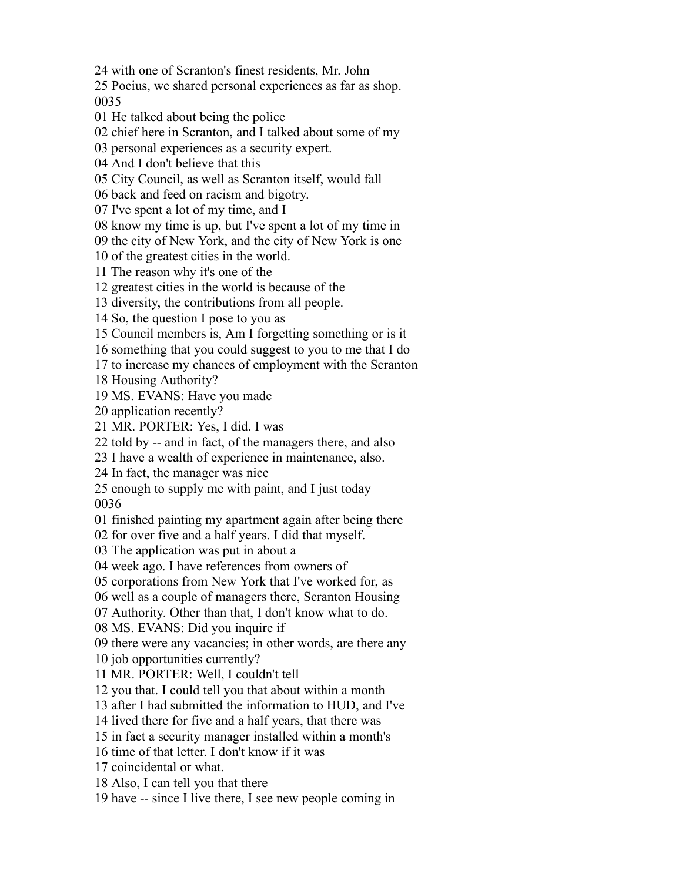with one of Scranton's finest residents, Mr. John

 Pocius, we shared personal experiences as far as shop. 

He talked about being the police

chief here in Scranton, and I talked about some of my

personal experiences as a security expert.

And I don't believe that this

City Council, as well as Scranton itself, would fall

back and feed on racism and bigotry.

I've spent a lot of my time, and I

know my time is up, but I've spent a lot of my time in

the city of New York, and the city of New York is one

of the greatest cities in the world.

The reason why it's one of the

greatest cities in the world is because of the

diversity, the contributions from all people.

So, the question I pose to you as

Council members is, Am I forgetting something or is it

something that you could suggest to you to me that I do

to increase my chances of employment with the Scranton

Housing Authority?

MS. EVANS: Have you made

application recently?

MR. PORTER: Yes, I did. I was

told by -- and in fact, of the managers there, and also

I have a wealth of experience in maintenance, also.

In fact, the manager was nice

 enough to supply me with paint, and I just today 

finished painting my apartment again after being there

for over five and a half years. I did that myself.

The application was put in about a

week ago. I have references from owners of

corporations from New York that I've worked for, as

well as a couple of managers there, Scranton Housing

Authority. Other than that, I don't know what to do.

MS. EVANS: Did you inquire if

there were any vacancies; in other words, are there any

job opportunities currently?

MR. PORTER: Well, I couldn't tell

you that. I could tell you that about within a month

after I had submitted the information to HUD, and I've

lived there for five and a half years, that there was

in fact a security manager installed within a month's

time of that letter. I don't know if it was

coincidental or what.

Also, I can tell you that there

have -- since I live there, I see new people coming in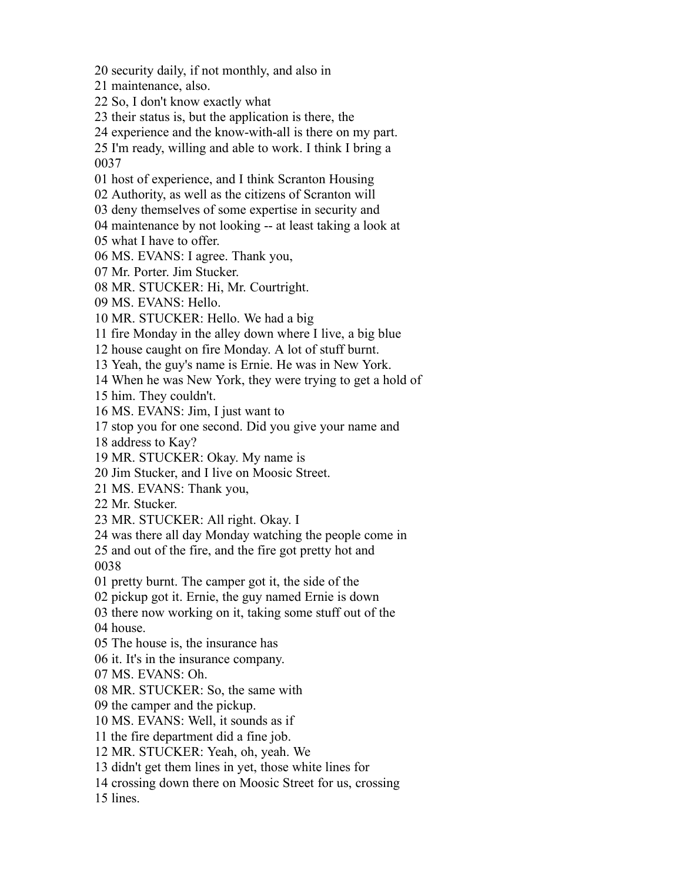security daily, if not monthly, and also in

maintenance, also.

So, I don't know exactly what

their status is, but the application is there, the

experience and the know-with-all is there on my part.

 I'm ready, willing and able to work. I think I bring a 

host of experience, and I think Scranton Housing

Authority, as well as the citizens of Scranton will

deny themselves of some expertise in security and

maintenance by not looking -- at least taking a look at

what I have to offer.

MS. EVANS: I agree. Thank you,

Mr. Porter. Jim Stucker.

MR. STUCKER: Hi, Mr. Courtright.

MS. EVANS: Hello.

MR. STUCKER: Hello. We had a big

fire Monday in the alley down where I live, a big blue

house caught on fire Monday. A lot of stuff burnt.

Yeah, the guy's name is Ernie. He was in New York.

When he was New York, they were trying to get a hold of

him. They couldn't.

MS. EVANS: Jim, I just want to

stop you for one second. Did you give your name and

address to Kay?

MR. STUCKER: Okay. My name is

Jim Stucker, and I live on Moosic Street.

MS. EVANS: Thank you,

Mr. Stucker.

MR. STUCKER: All right. Okay. I

was there all day Monday watching the people come in

 and out of the fire, and the fire got pretty hot and 

pretty burnt. The camper got it, the side of the

pickup got it. Ernie, the guy named Ernie is down

there now working on it, taking some stuff out of the

house.

The house is, the insurance has

it. It's in the insurance company.

MS. EVANS: Oh.

MR. STUCKER: So, the same with

the camper and the pickup.

MS. EVANS: Well, it sounds as if

the fire department did a fine job.

MR. STUCKER: Yeah, oh, yeah. We

didn't get them lines in yet, those white lines for

crossing down there on Moosic Street for us, crossing

lines.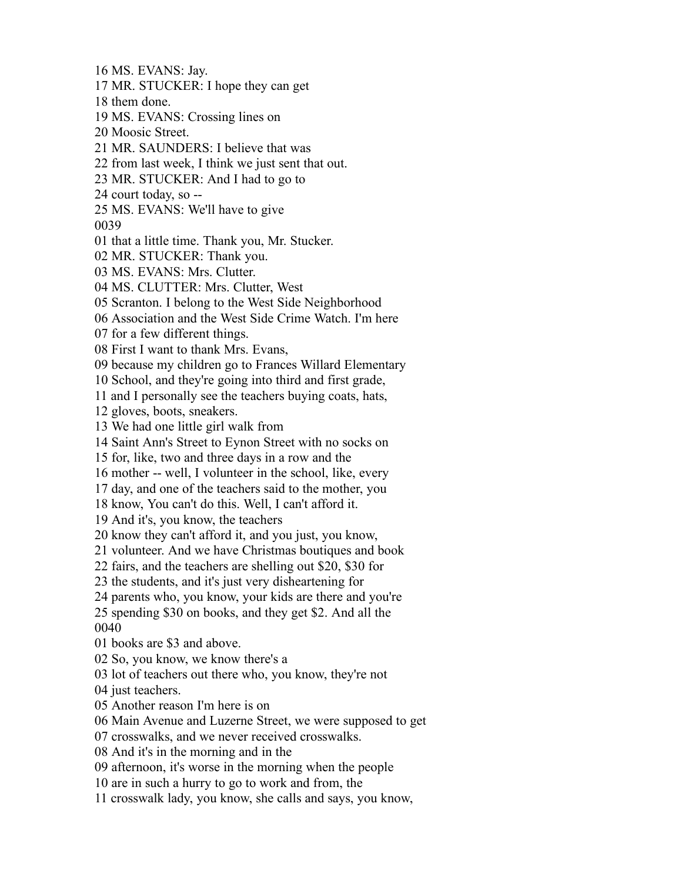MS. EVANS: Jay. MR. STUCKER: I hope they can get them done. MS. EVANS: Crossing lines on Moosic Street. MR. SAUNDERS: I believe that was from last week, I think we just sent that out. MR. STUCKER: And I had to go to court today, so -- MS. EVANS: We'll have to give that a little time. Thank you, Mr. Stucker. MR. STUCKER: Thank you. MS. EVANS: Mrs. Clutter. MS. CLUTTER: Mrs. Clutter, West Scranton. I belong to the West Side Neighborhood Association and the West Side Crime Watch. I'm here for a few different things. First I want to thank Mrs. Evans, because my children go to Frances Willard Elementary School, and they're going into third and first grade, and I personally see the teachers buying coats, hats, gloves, boots, sneakers. We had one little girl walk from Saint Ann's Street to Eynon Street with no socks on for, like, two and three days in a row and the mother -- well, I volunteer in the school, like, every day, and one of the teachers said to the mother, you know, You can't do this. Well, I can't afford it. And it's, you know, the teachers know they can't afford it, and you just, you know, volunteer. And we have Christmas boutiques and book fairs, and the teachers are shelling out \$20, \$30 for the students, and it's just very disheartening for parents who, you know, your kids are there and you're spending \$30 on books, and they get \$2. And all the books are \$3 and above. So, you know, we know there's a lot of teachers out there who, you know, they're not just teachers. Another reason I'm here is on Main Avenue and Luzerne Street, we were supposed to get crosswalks, and we never received crosswalks. And it's in the morning and in the afternoon, it's worse in the morning when the people are in such a hurry to go to work and from, the crosswalk lady, you know, she calls and says, you know,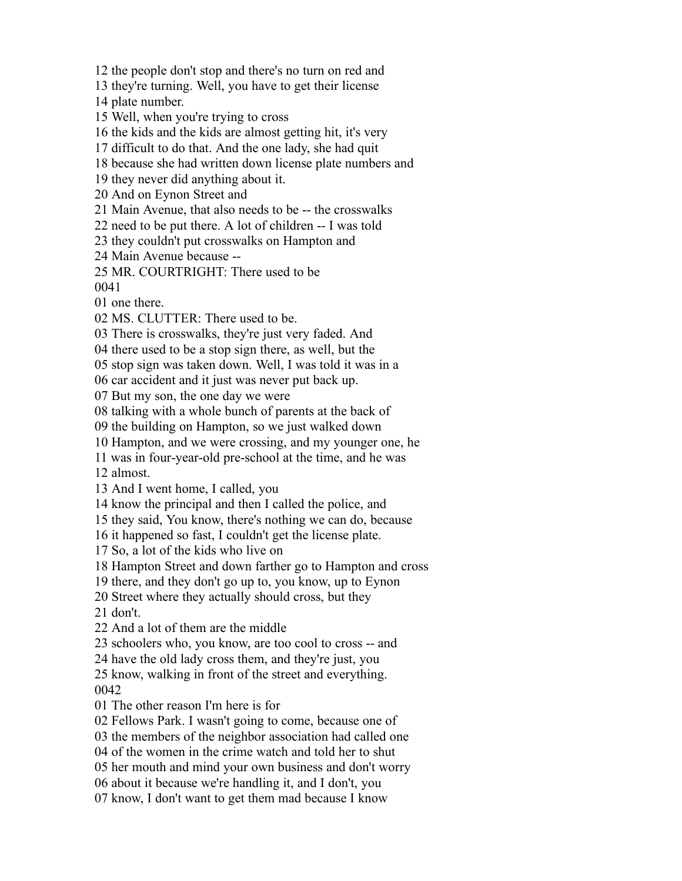the people don't stop and there's no turn on red and

they're turning. Well, you have to get their license

plate number.

Well, when you're trying to cross

the kids and the kids are almost getting hit, it's very

difficult to do that. And the one lady, she had quit

because she had written down license plate numbers and

they never did anything about it.

And on Eynon Street and

Main Avenue, that also needs to be -- the crosswalks

need to be put there. A lot of children -- I was told

they couldn't put crosswalks on Hampton and

Main Avenue because --

MR. COURTRIGHT: There used to be

one there.

MS. CLUTTER: There used to be.

There is crosswalks, they're just very faded. And

there used to be a stop sign there, as well, but the

stop sign was taken down. Well, I was told it was in a

car accident and it just was never put back up.

But my son, the one day we were

talking with a whole bunch of parents at the back of

the building on Hampton, so we just walked down

Hampton, and we were crossing, and my younger one, he

 was in four-year-old pre-school at the time, and he was almost.

And I went home, I called, you

know the principal and then I called the police, and

they said, You know, there's nothing we can do, because

it happened so fast, I couldn't get the license plate.

So, a lot of the kids who live on

Hampton Street and down farther go to Hampton and cross

there, and they don't go up to, you know, up to Eynon

Street where they actually should cross, but they

don't.

And a lot of them are the middle

schoolers who, you know, are too cool to cross -- and

have the old lady cross them, and they're just, you

 know, walking in front of the street and everything. 

The other reason I'm here is for

Fellows Park. I wasn't going to come, because one of

the members of the neighbor association had called one

of the women in the crime watch and told her to shut

her mouth and mind your own business and don't worry

about it because we're handling it, and I don't, you

know, I don't want to get them mad because I know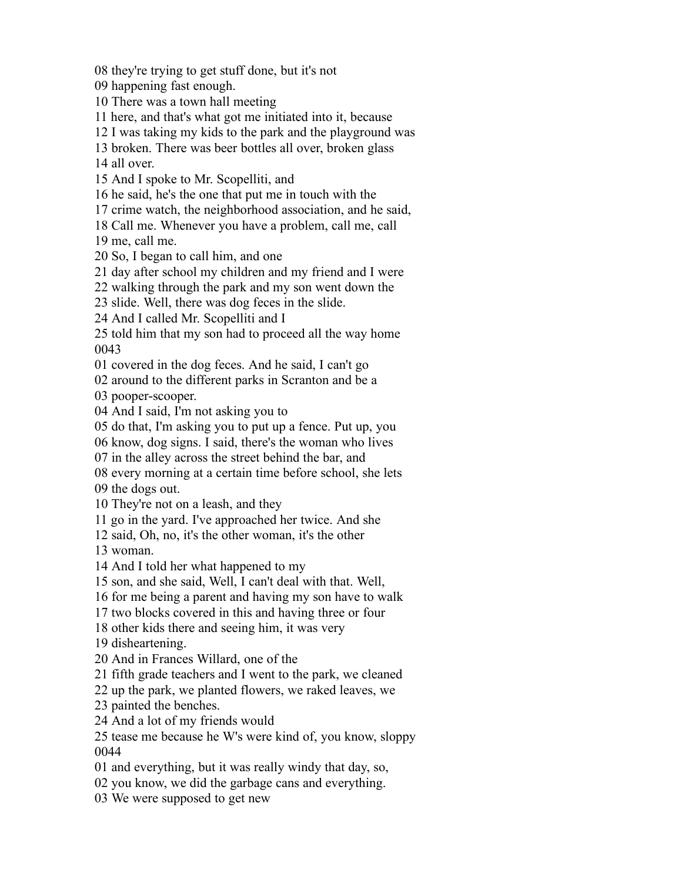they're trying to get stuff done, but it's not

happening fast enough.

There was a town hall meeting

here, and that's what got me initiated into it, because

I was taking my kids to the park and the playground was

broken. There was beer bottles all over, broken glass

all over.

And I spoke to Mr. Scopelliti, and

he said, he's the one that put me in touch with the

crime watch, the neighborhood association, and he said,

Call me. Whenever you have a problem, call me, call

me, call me.

So, I began to call him, and one

day after school my children and my friend and I were

walking through the park and my son went down the

slide. Well, there was dog feces in the slide.

And I called Mr. Scopelliti and I

 told him that my son had to proceed all the way home 

covered in the dog feces. And he said, I can't go

around to the different parks in Scranton and be a

pooper-scooper.

And I said, I'm not asking you to

do that, I'm asking you to put up a fence. Put up, you

know, dog signs. I said, there's the woman who lives

in the alley across the street behind the bar, and

every morning at a certain time before school, she lets

the dogs out.

They're not on a leash, and they

go in the yard. I've approached her twice. And she

said, Oh, no, it's the other woman, it's the other

woman.

And I told her what happened to my

son, and she said, Well, I can't deal with that. Well,

for me being a parent and having my son have to walk

two blocks covered in this and having three or four

other kids there and seeing him, it was very

disheartening.

And in Frances Willard, one of the

fifth grade teachers and I went to the park, we cleaned

up the park, we planted flowers, we raked leaves, we

painted the benches.

And a lot of my friends would

 tease me because he W's were kind of, you know, sloppy 

and everything, but it was really windy that day, so,

you know, we did the garbage cans and everything.

We were supposed to get new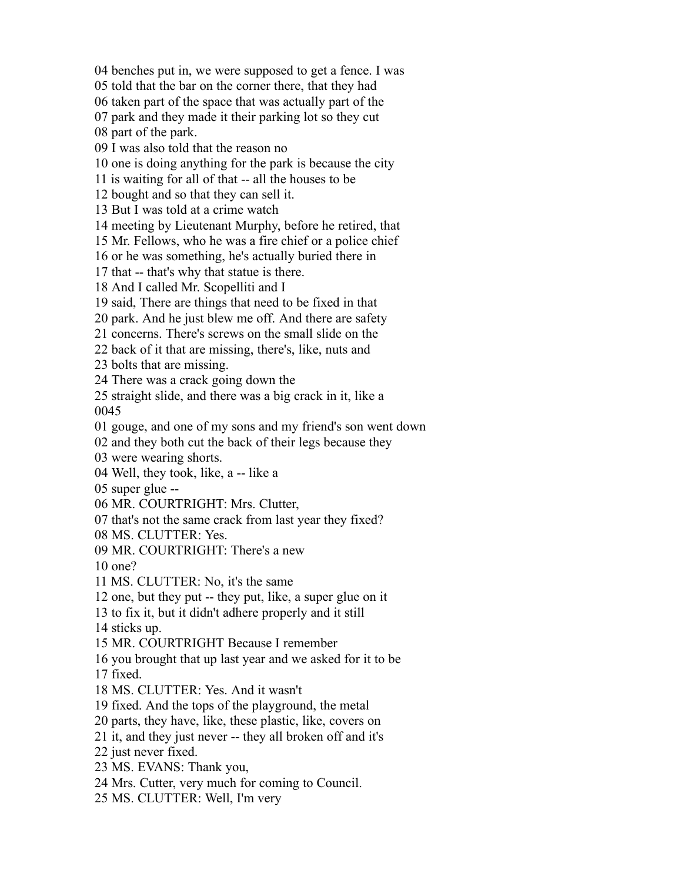benches put in, we were supposed to get a fence. I was

told that the bar on the corner there, that they had

taken part of the space that was actually part of the

park and they made it their parking lot so they cut

part of the park.

I was also told that the reason no

one is doing anything for the park is because the city

is waiting for all of that -- all the houses to be

bought and so that they can sell it.

But I was told at a crime watch

meeting by Lieutenant Murphy, before he retired, that

Mr. Fellows, who he was a fire chief or a police chief

or he was something, he's actually buried there in

that -- that's why that statue is there.

And I called Mr. Scopelliti and I

said, There are things that need to be fixed in that

park. And he just blew me off. And there are safety

concerns. There's screws on the small slide on the

back of it that are missing, there's, like, nuts and

bolts that are missing.

There was a crack going down the

 straight slide, and there was a big crack in it, like a 

gouge, and one of my sons and my friend's son went down

and they both cut the back of their legs because they

were wearing shorts.

Well, they took, like, a -- like a

super glue --

MR. COURTRIGHT: Mrs. Clutter,

that's not the same crack from last year they fixed?

MS. CLUTTER: Yes.

MR. COURTRIGHT: There's a new

one?

MS. CLUTTER: No, it's the same

one, but they put -- they put, like, a super glue on it

to fix it, but it didn't adhere properly and it still

sticks up.

MR. COURTRIGHT Because I remember

you brought that up last year and we asked for it to be

fixed.

MS. CLUTTER: Yes. And it wasn't

fixed. And the tops of the playground, the metal

parts, they have, like, these plastic, like, covers on

it, and they just never -- they all broken off and it's

just never fixed.

MS. EVANS: Thank you,

Mrs. Cutter, very much for coming to Council.

MS. CLUTTER: Well, I'm very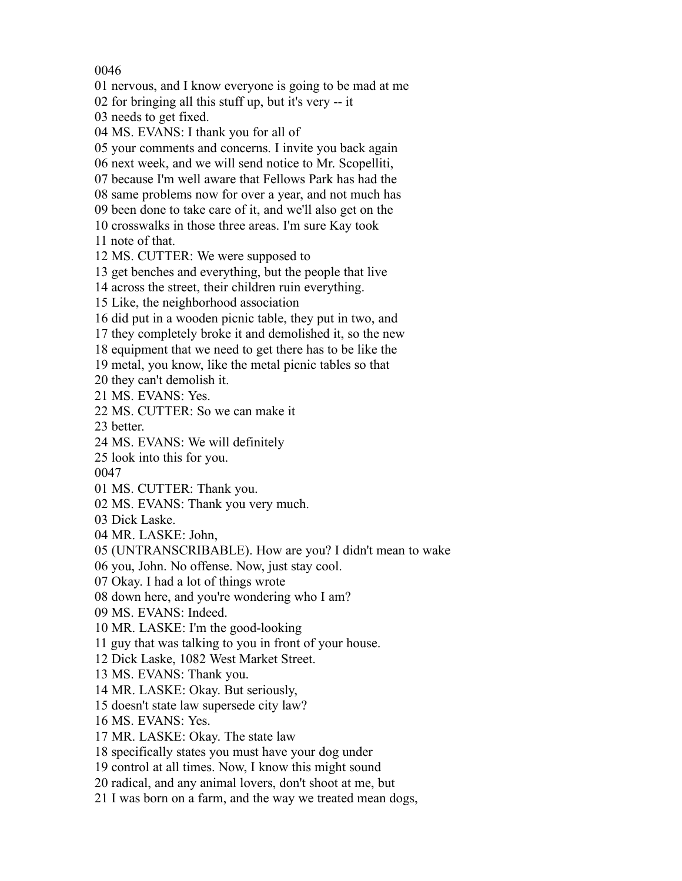nervous, and I know everyone is going to be mad at me

for bringing all this stuff up, but it's very -- it

needs to get fixed.

MS. EVANS: I thank you for all of

your comments and concerns. I invite you back again

next week, and we will send notice to Mr. Scopelliti,

because I'm well aware that Fellows Park has had the

same problems now for over a year, and not much has

been done to take care of it, and we'll also get on the

crosswalks in those three areas. I'm sure Kay took

note of that.

MS. CUTTER: We were supposed to

get benches and everything, but the people that live

across the street, their children ruin everything.

Like, the neighborhood association

did put in a wooden picnic table, they put in two, and

they completely broke it and demolished it, so the new

equipment that we need to get there has to be like the

metal, you know, like the metal picnic tables so that

they can't demolish it.

MS. EVANS: Yes.

MS. CUTTER: So we can make it

better.

MS. EVANS: We will definitely

look into this for you.

MS. CUTTER: Thank you.

MS. EVANS: Thank you very much.

Dick Laske.

MR. LASKE: John,

(UNTRANSCRIBABLE). How are you? I didn't mean to wake

you, John. No offense. Now, just stay cool.

Okay. I had a lot of things wrote

down here, and you're wondering who I am?

MS. EVANS: Indeed.

MR. LASKE: I'm the good-looking

guy that was talking to you in front of your house.

Dick Laske, 1082 West Market Street.

MS. EVANS: Thank you.

MR. LASKE: Okay. But seriously,

doesn't state law supersede city law?

MS. EVANS: Yes.

MR. LASKE: Okay. The state law

specifically states you must have your dog under

control at all times. Now, I know this might sound

radical, and any animal lovers, don't shoot at me, but

I was born on a farm, and the way we treated mean dogs,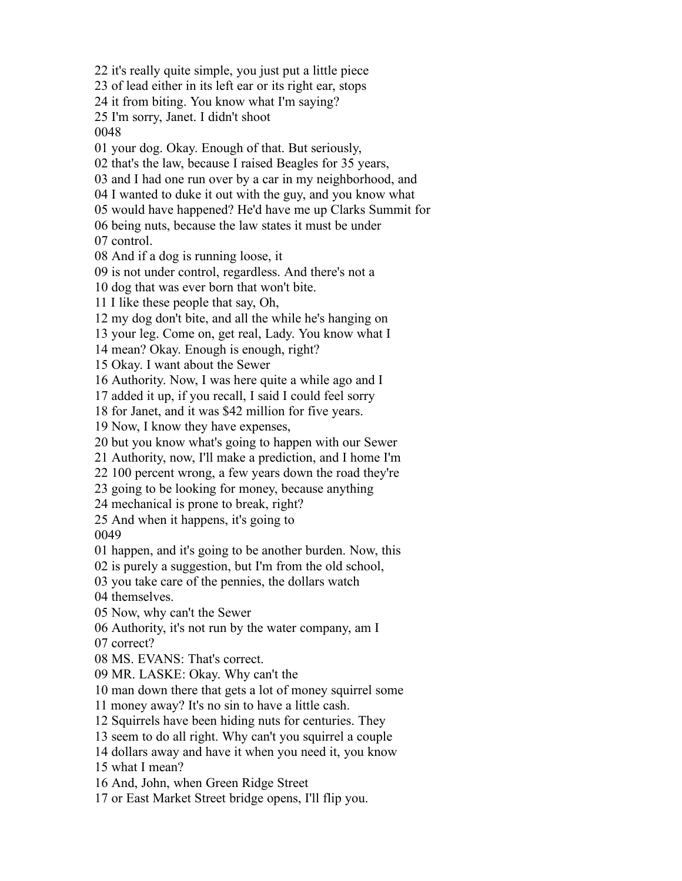it's really quite simple, you just put a little piece of lead either in its left ear or its right ear, stops it from biting. You know what I'm saying? I'm sorry, Janet. I didn't shoot your dog. Okay. Enough of that. But seriously, that's the law, because I raised Beagles for 35 years, and I had one run over by a car in my neighborhood, and I wanted to duke it out with the guy, and you know what would have happened? He'd have me up Clarks Summit for being nuts, because the law states it must be under control. And if a dog is running loose, it is not under control, regardless. And there's not a dog that was ever born that won't bite. I like these people that say, Oh, my dog don't bite, and all the while he's hanging on your leg. Come on, get real, Lady. You know what I mean? Okay. Enough is enough, right? Okay. I want about the Sewer Authority. Now, I was here quite a while ago and I added it up, if you recall, I said I could feel sorry for Janet, and it was \$42 million for five years. Now, I know they have expenses, but you know what's going to happen with our Sewer Authority, now, I'll make a prediction, and I home I'm 100 percent wrong, a few years down the road they're going to be looking for money, because anything mechanical is prone to break, right? And when it happens, it's going to happen, and it's going to be another burden. Now, this is purely a suggestion, but I'm from the old school, you take care of the pennies, the dollars watch themselves. Now, why can't the Sewer Authority, it's not run by the water company, am I correct? MS. EVANS: That's correct. MR. LASKE: Okay. Why can't the man down there that gets a lot of money squirrel some money away? It's no sin to have a little cash. Squirrels have been hiding nuts for centuries. They seem to do all right. Why can't you squirrel a couple dollars away and have it when you need it, you know what I mean? And, John, when Green Ridge Street or East Market Street bridge opens, I'll flip you.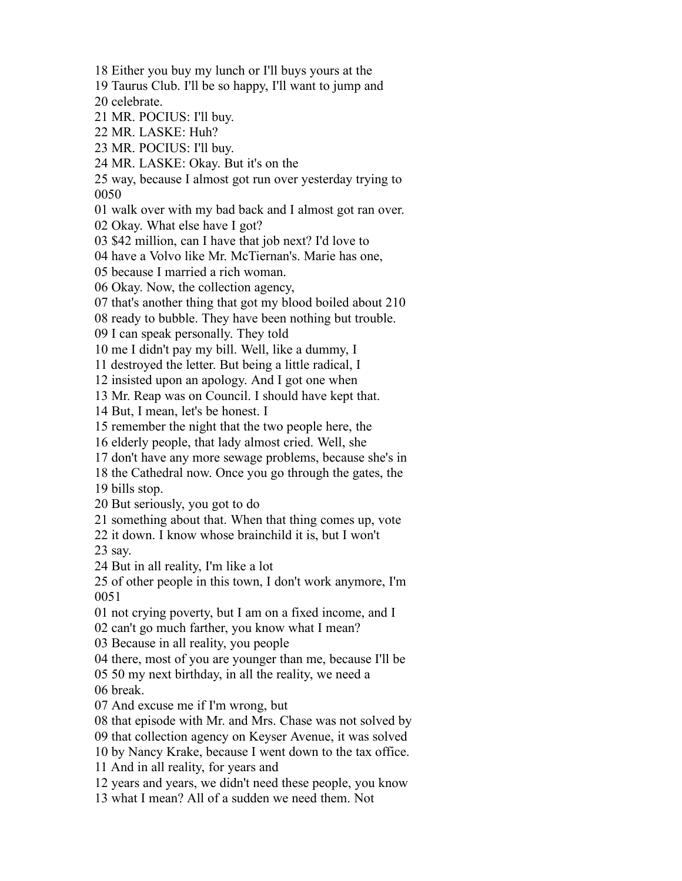Either you buy my lunch or I'll buys yours at the

Taurus Club. I'll be so happy, I'll want to jump and

celebrate.

- MR. POCIUS: I'll buy.
- MR. LASKE: Huh?
- MR. POCIUS: I'll buy.
- MR. LASKE: Okay. But it's on the

 way, because I almost got run over yesterday trying to 

walk over with my bad back and I almost got ran over.

Okay. What else have I got?

\$42 million, can I have that job next? I'd love to

have a Volvo like Mr. McTiernan's. Marie has one,

because I married a rich woman.

Okay. Now, the collection agency,

that's another thing that got my blood boiled about 210

ready to bubble. They have been nothing but trouble.

I can speak personally. They told

me I didn't pay my bill. Well, like a dummy, I

destroyed the letter. But being a little radical, I

insisted upon an apology. And I got one when

Mr. Reap was on Council. I should have kept that.

But, I mean, let's be honest. I

remember the night that the two people here, the

elderly people, that lady almost cried. Well, she

don't have any more sewage problems, because she's in

the Cathedral now. Once you go through the gates, the

bills stop.

But seriously, you got to do

something about that. When that thing comes up, vote

 it down. I know whose brainchild it is, but I won't say.

But in all reality, I'm like a lot

 of other people in this town, I don't work anymore, I'm 

not crying poverty, but I am on a fixed income, and I

can't go much farther, you know what I mean?

Because in all reality, you people

there, most of you are younger than me, because I'll be

 50 my next birthday, in all the reality, we need a break.

And excuse me if I'm wrong, but

that episode with Mr. and Mrs. Chase was not solved by

that collection agency on Keyser Avenue, it was solved

by Nancy Krake, because I went down to the tax office.

And in all reality, for years and

years and years, we didn't need these people, you know

what I mean? All of a sudden we need them. Not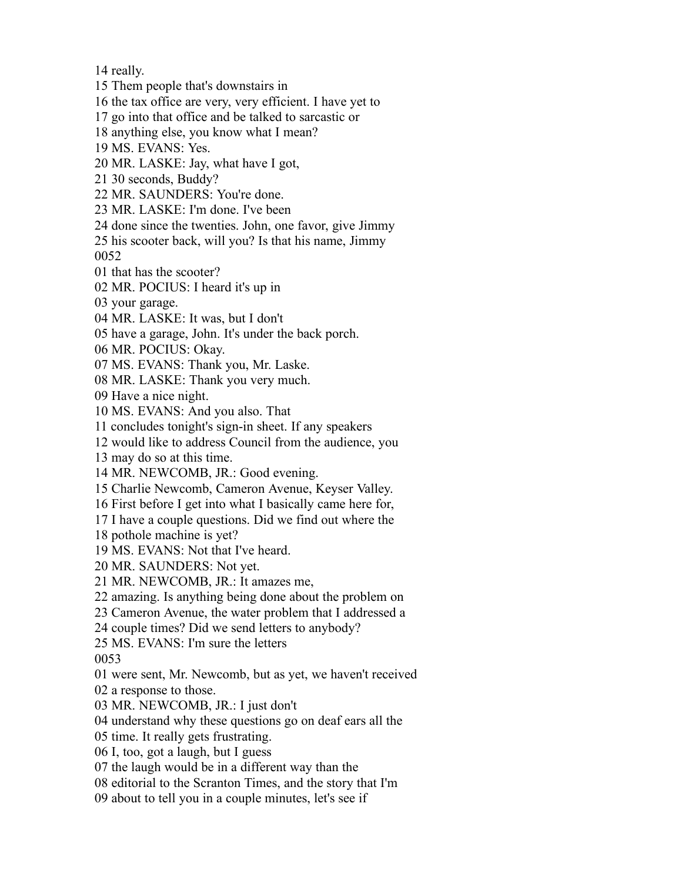really.

Them people that's downstairs in

the tax office are very, very efficient. I have yet to

go into that office and be talked to sarcastic or

anything else, you know what I mean?

MS. EVANS: Yes.

MR. LASKE: Jay, what have I got,

30 seconds, Buddy?

MR. SAUNDERS: You're done.

MR. LASKE: I'm done. I've been

done since the twenties. John, one favor, give Jimmy

 his scooter back, will you? Is that his name, Jimmy 

that has the scooter?

MR. POCIUS: I heard it's up in

your garage.

MR. LASKE: It was, but I don't

have a garage, John. It's under the back porch.

MR. POCIUS: Okay.

MS. EVANS: Thank you, Mr. Laske.

MR. LASKE: Thank you very much.

Have a nice night.

MS. EVANS: And you also. That

concludes tonight's sign-in sheet. If any speakers

would like to address Council from the audience, you

may do so at this time.

MR. NEWCOMB, JR.: Good evening.

Charlie Newcomb, Cameron Avenue, Keyser Valley.

First before I get into what I basically came here for,

I have a couple questions. Did we find out where the

pothole machine is yet?

MS. EVANS: Not that I've heard.

MR. SAUNDERS: Not yet.

MR. NEWCOMB, JR.: It amazes me,

amazing. Is anything being done about the problem on

Cameron Avenue, the water problem that I addressed a

couple times? Did we send letters to anybody?

MS. EVANS: I'm sure the letters

were sent, Mr. Newcomb, but as yet, we haven't received

a response to those.

MR. NEWCOMB, JR.: I just don't

understand why these questions go on deaf ears all the

time. It really gets frustrating.

I, too, got a laugh, but I guess

the laugh would be in a different way than the

editorial to the Scranton Times, and the story that I'm

about to tell you in a couple minutes, let's see if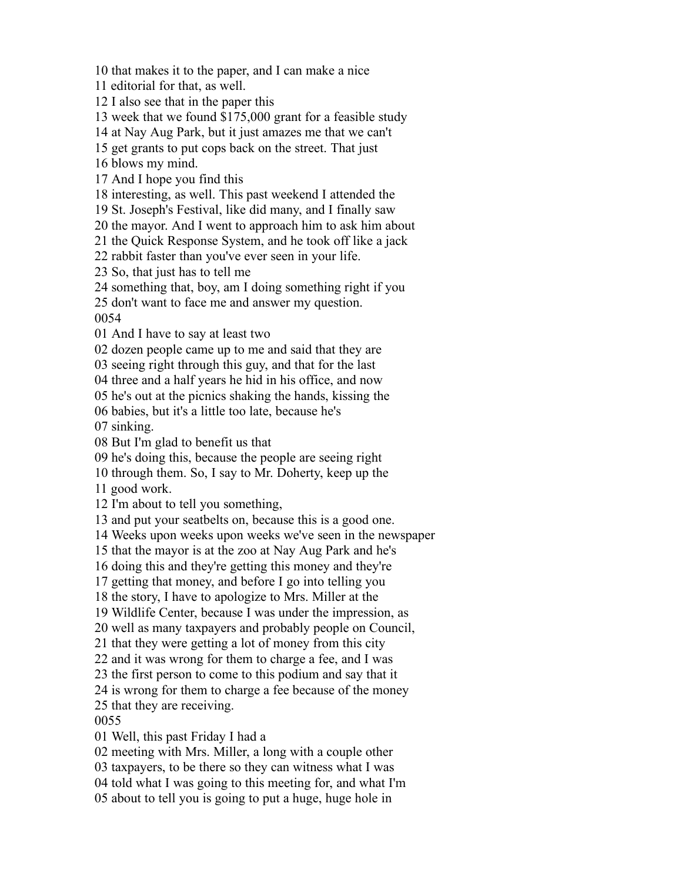that makes it to the paper, and I can make a nice

editorial for that, as well.

I also see that in the paper this

week that we found \$175,000 grant for a feasible study

at Nay Aug Park, but it just amazes me that we can't

get grants to put cops back on the street. That just

blows my mind.

And I hope you find this

interesting, as well. This past weekend I attended the

St. Joseph's Festival, like did many, and I finally saw

the mayor. And I went to approach him to ask him about

the Quick Response System, and he took off like a jack

rabbit faster than you've ever seen in your life.

So, that just has to tell me

something that, boy, am I doing something right if you

don't want to face me and answer my question.

And I have to say at least two

dozen people came up to me and said that they are

seeing right through this guy, and that for the last

three and a half years he hid in his office, and now

he's out at the picnics shaking the hands, kissing the

babies, but it's a little too late, because he's

sinking.

But I'm glad to benefit us that

he's doing this, because the people are seeing right

through them. So, I say to Mr. Doherty, keep up the

good work.

I'm about to tell you something,

and put your seatbelts on, because this is a good one.

Weeks upon weeks upon weeks we've seen in the newspaper

that the mayor is at the zoo at Nay Aug Park and he's

doing this and they're getting this money and they're

getting that money, and before I go into telling you

the story, I have to apologize to Mrs. Miller at the

Wildlife Center, because I was under the impression, as

well as many taxpayers and probably people on Council,

that they were getting a lot of money from this city

and it was wrong for them to charge a fee, and I was

the first person to come to this podium and say that it

is wrong for them to charge a fee because of the money

that they are receiving.

Well, this past Friday I had a

meeting with Mrs. Miller, a long with a couple other

taxpayers, to be there so they can witness what I was

told what I was going to this meeting for, and what I'm

about to tell you is going to put a huge, huge hole in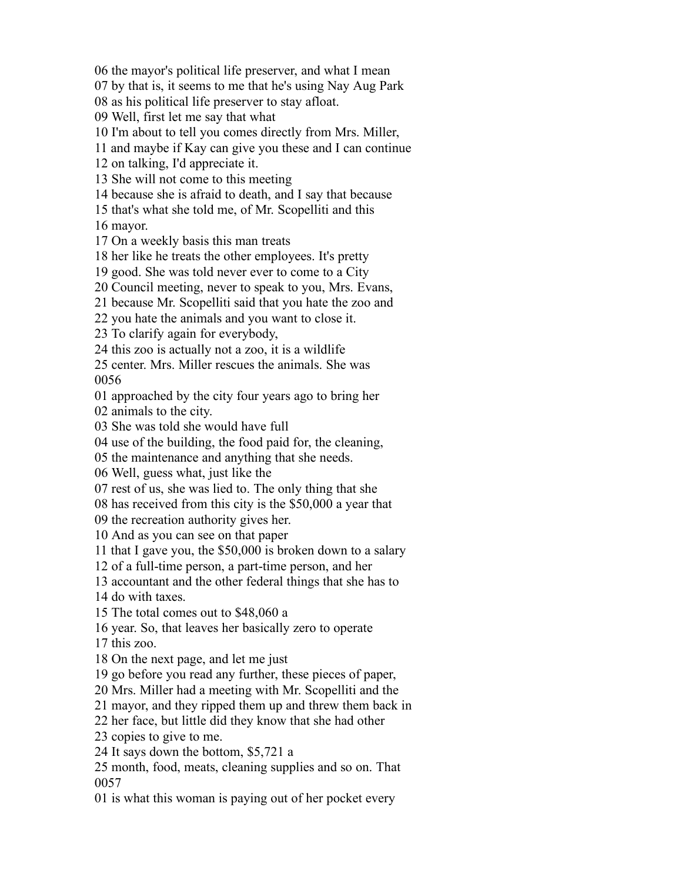the mayor's political life preserver, and what I mean

by that is, it seems to me that he's using Nay Aug Park

as his political life preserver to stay afloat.

Well, first let me say that what

I'm about to tell you comes directly from Mrs. Miller,

and maybe if Kay can give you these and I can continue

on talking, I'd appreciate it.

She will not come to this meeting

because she is afraid to death, and I say that because

that's what she told me, of Mr. Scopelliti and this

mayor.

On a weekly basis this man treats

her like he treats the other employees. It's pretty

good. She was told never ever to come to a City

Council meeting, never to speak to you, Mrs. Evans,

because Mr. Scopelliti said that you hate the zoo and

you hate the animals and you want to close it.

To clarify again for everybody,

this zoo is actually not a zoo, it is a wildlife

 center. Mrs. Miller rescues the animals. She was 

approached by the city four years ago to bring her

animals to the city.

She was told she would have full

use of the building, the food paid for, the cleaning,

the maintenance and anything that she needs.

Well, guess what, just like the

rest of us, she was lied to. The only thing that she

has received from this city is the \$50,000 a year that

the recreation authority gives her.

And as you can see on that paper

that I gave you, the \$50,000 is broken down to a salary

of a full-time person, a part-time person, and her

accountant and the other federal things that she has to

do with taxes.

The total comes out to \$48,060 a

year. So, that leaves her basically zero to operate

this zoo.

On the next page, and let me just

go before you read any further, these pieces of paper,

Mrs. Miller had a meeting with Mr. Scopelliti and the

mayor, and they ripped them up and threw them back in

her face, but little did they know that she had other

copies to give to me.

It says down the bottom, \$5,721 a

 month, food, meats, cleaning supplies and so on. That 

is what this woman is paying out of her pocket every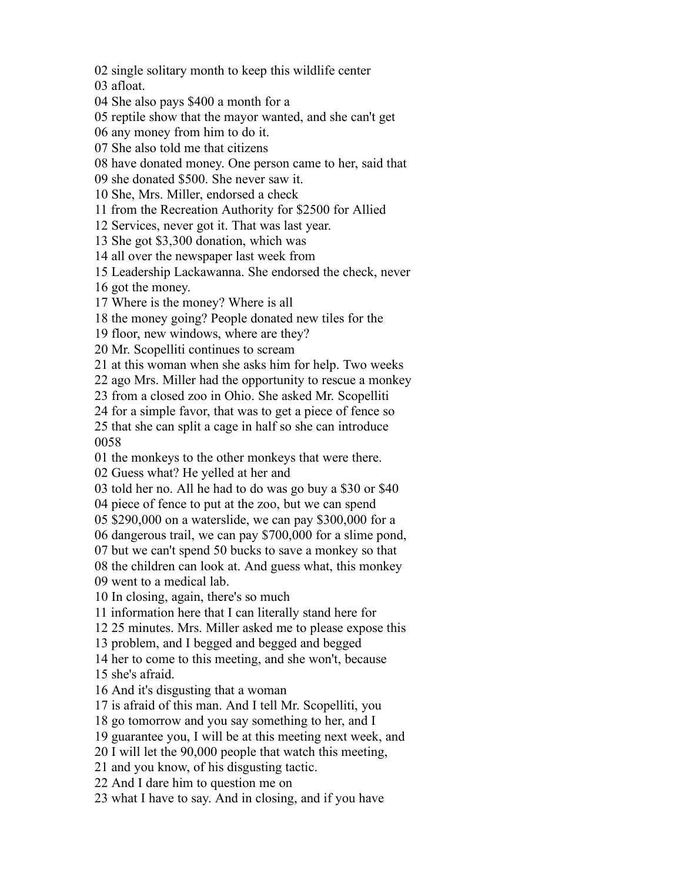single solitary month to keep this wildlife center

afloat.

She also pays \$400 a month for a

reptile show that the mayor wanted, and she can't get

any money from him to do it.

She also told me that citizens

have donated money. One person came to her, said that

she donated \$500. She never saw it.

She, Mrs. Miller, endorsed a check

from the Recreation Authority for \$2500 for Allied

Services, never got it. That was last year.

She got \$3,300 donation, which was

all over the newspaper last week from

Leadership Lackawanna. She endorsed the check, never

got the money.

Where is the money? Where is all

the money going? People donated new tiles for the

floor, new windows, where are they?

Mr. Scopelliti continues to scream

at this woman when she asks him for help. Two weeks

ago Mrs. Miller had the opportunity to rescue a monkey

from a closed zoo in Ohio. She asked Mr. Scopelliti

for a simple favor, that was to get a piece of fence so

 that she can split a cage in half so she can introduce 

the monkeys to the other monkeys that were there.

Guess what? He yelled at her and

told her no. All he had to do was go buy a \$30 or \$40

piece of fence to put at the zoo, but we can spend

\$290,000 on a waterslide, we can pay \$300,000 for a

dangerous trail, we can pay \$700,000 for a slime pond,

but we can't spend 50 bucks to save a monkey so that

the children can look at. And guess what, this monkey

went to a medical lab.

In closing, again, there's so much

information here that I can literally stand here for

25 minutes. Mrs. Miller asked me to please expose this

problem, and I begged and begged and begged

her to come to this meeting, and she won't, because

she's afraid.

And it's disgusting that a woman

is afraid of this man. And I tell Mr. Scopelliti, you

go tomorrow and you say something to her, and I

guarantee you, I will be at this meeting next week, and

I will let the 90,000 people that watch this meeting,

and you know, of his disgusting tactic.

And I dare him to question me on

what I have to say. And in closing, and if you have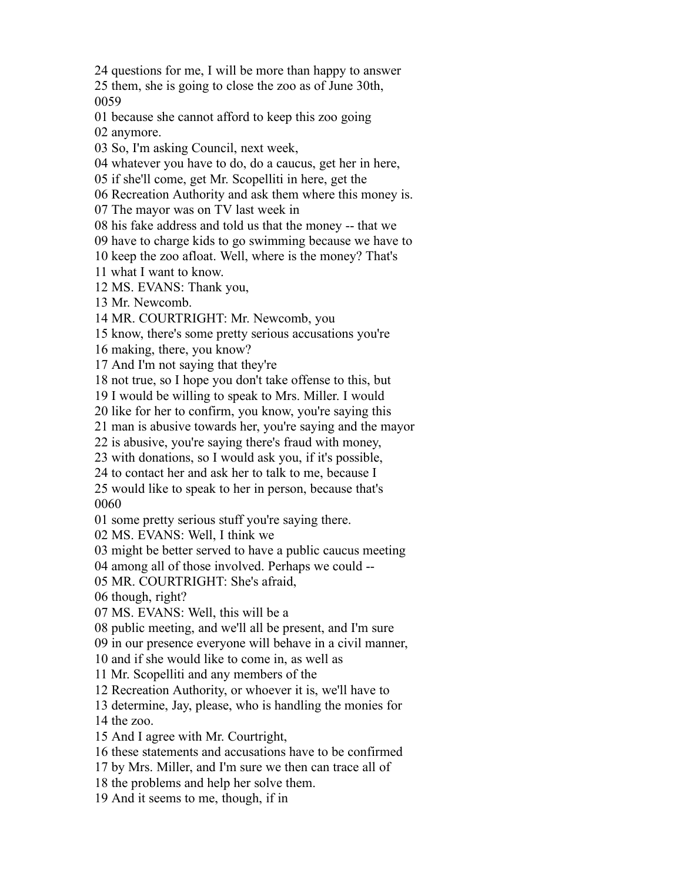questions for me, I will be more than happy to answer

 them, she is going to close the zoo as of June 30th, 

because she cannot afford to keep this zoo going

anymore.

So, I'm asking Council, next week,

whatever you have to do, do a caucus, get her in here,

if she'll come, get Mr. Scopelliti in here, get the

Recreation Authority and ask them where this money is.

The mayor was on TV last week in

his fake address and told us that the money -- that we

have to charge kids to go swimming because we have to

keep the zoo afloat. Well, where is the money? That's

what I want to know.

MS. EVANS: Thank you,

Mr. Newcomb.

MR. COURTRIGHT: Mr. Newcomb, you

know, there's some pretty serious accusations you're

making, there, you know?

And I'm not saying that they're

not true, so I hope you don't take offense to this, but

I would be willing to speak to Mrs. Miller. I would

like for her to confirm, you know, you're saying this

man is abusive towards her, you're saying and the mayor

is abusive, you're saying there's fraud with money,

with donations, so I would ask you, if it's possible,

to contact her and ask her to talk to me, because I

 would like to speak to her in person, because that's 

some pretty serious stuff you're saying there.

MS. EVANS: Well, I think we

might be better served to have a public caucus meeting

among all of those involved. Perhaps we could --

MR. COURTRIGHT: She's afraid,

though, right?

MS. EVANS: Well, this will be a

public meeting, and we'll all be present, and I'm sure

in our presence everyone will behave in a civil manner,

and if she would like to come in, as well as

Mr. Scopelliti and any members of the

Recreation Authority, or whoever it is, we'll have to

determine, Jay, please, who is handling the monies for

the zoo.

- And I agree with Mr. Courtright,
- these statements and accusations have to be confirmed
- by Mrs. Miller, and I'm sure we then can trace all of
- the problems and help her solve them.
- And it seems to me, though, if in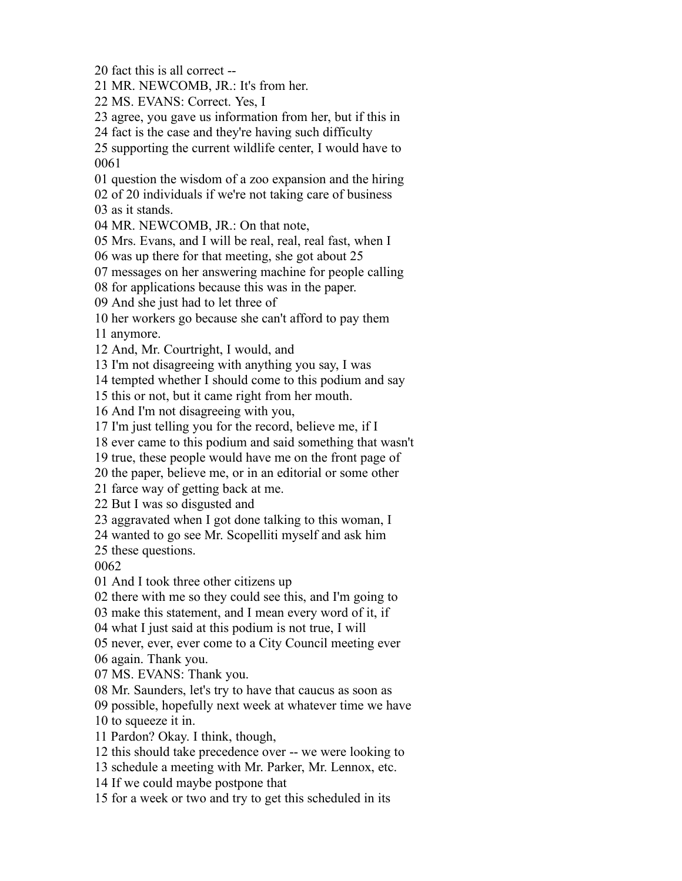fact this is all correct --

MR. NEWCOMB, JR.: It's from her.

MS. EVANS: Correct. Yes, I

agree, you gave us information from her, but if this in

fact is the case and they're having such difficulty

 supporting the current wildlife center, I would have to 

question the wisdom of a zoo expansion and the hiring

of 20 individuals if we're not taking care of business

as it stands.

MR. NEWCOMB, JR.: On that note,

Mrs. Evans, and I will be real, real, real fast, when I

was up there for that meeting, she got about 25

messages on her answering machine for people calling

for applications because this was in the paper.

And she just had to let three of

her workers go because she can't afford to pay them

anymore.

And, Mr. Courtright, I would, and

I'm not disagreeing with anything you say, I was

tempted whether I should come to this podium and say

this or not, but it came right from her mouth.

And I'm not disagreeing with you,

I'm just telling you for the record, believe me, if I

ever came to this podium and said something that wasn't

true, these people would have me on the front page of

the paper, believe me, or in an editorial or some other

farce way of getting back at me.

But I was so disgusted and

aggravated when I got done talking to this woman, I

wanted to go see Mr. Scopelliti myself and ask him

these questions.

And I took three other citizens up

there with me so they could see this, and I'm going to

make this statement, and I mean every word of it, if

what I just said at this podium is not true, I will

never, ever, ever come to a City Council meeting ever

again. Thank you.

MS. EVANS: Thank you.

Mr. Saunders, let's try to have that caucus as soon as

possible, hopefully next week at whatever time we have

to squeeze it in.

Pardon? Okay. I think, though,

this should take precedence over -- we were looking to

schedule a meeting with Mr. Parker, Mr. Lennox, etc.

If we could maybe postpone that

for a week or two and try to get this scheduled in its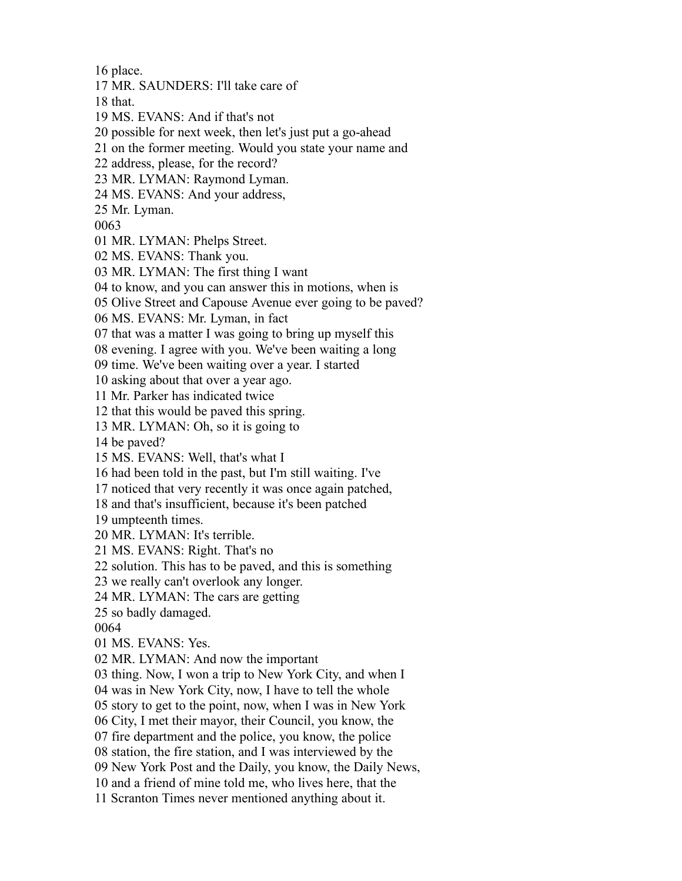place.

MR. SAUNDERS: I'll take care of

that.

MS. EVANS: And if that's not

possible for next week, then let's just put a go-ahead

on the former meeting. Would you state your name and

address, please, for the record?

MR. LYMAN: Raymond Lyman.

MS. EVANS: And your address,

Mr. Lyman.

MR. LYMAN: Phelps Street.

MS. EVANS: Thank you.

MR. LYMAN: The first thing I want

to know, and you can answer this in motions, when is

Olive Street and Capouse Avenue ever going to be paved?

MS. EVANS: Mr. Lyman, in fact

that was a matter I was going to bring up myself this

evening. I agree with you. We've been waiting a long

time. We've been waiting over a year. I started

asking about that over a year ago.

Mr. Parker has indicated twice

that this would be paved this spring.

MR. LYMAN: Oh, so it is going to

be paved?

MS. EVANS: Well, that's what I

had been told in the past, but I'm still waiting. I've

noticed that very recently it was once again patched,

and that's insufficient, because it's been patched

umpteenth times.

MR. LYMAN: It's terrible.

MS. EVANS: Right. That's no

solution. This has to be paved, and this is something

we really can't overlook any longer.

MR. LYMAN: The cars are getting

so badly damaged.

MS. EVANS: Yes.

MR. LYMAN: And now the important

thing. Now, I won a trip to New York City, and when I

was in New York City, now, I have to tell the whole

story to get to the point, now, when I was in New York

City, I met their mayor, their Council, you know, the

fire department and the police, you know, the police

station, the fire station, and I was interviewed by the

New York Post and the Daily, you know, the Daily News,

and a friend of mine told me, who lives here, that the

Scranton Times never mentioned anything about it.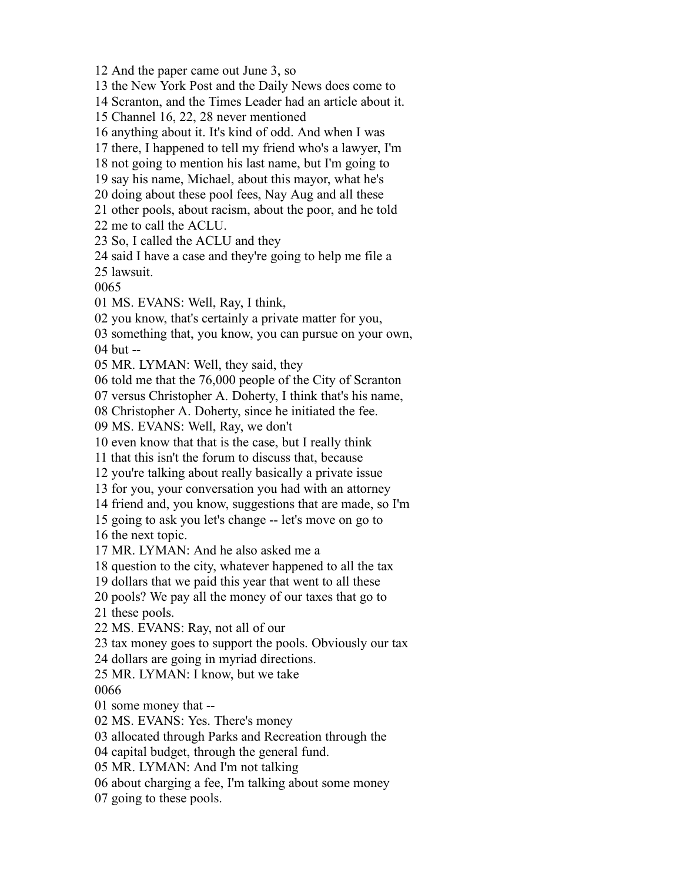And the paper came out June 3, so the New York Post and the Daily News does come to Scranton, and the Times Leader had an article about it. Channel 16, 22, 28 never mentioned anything about it. It's kind of odd. And when I was there, I happened to tell my friend who's a lawyer, I'm not going to mention his last name, but I'm going to say his name, Michael, about this mayor, what he's doing about these pool fees, Nay Aug and all these other pools, about racism, about the poor, and he told me to call the ACLU. So, I called the ACLU and they said I have a case and they're going to help me file a lawsuit. MS. EVANS: Well, Ray, I think, you know, that's certainly a private matter for you, something that, you know, you can pursue on your own, but -- MR. LYMAN: Well, they said, they told me that the 76,000 people of the City of Scranton versus Christopher A. Doherty, I think that's his name, Christopher A. Doherty, since he initiated the fee. MS. EVANS: Well, Ray, we don't even know that that is the case, but I really think that this isn't the forum to discuss that, because you're talking about really basically a private issue for you, your conversation you had with an attorney friend and, you know, suggestions that are made, so I'm going to ask you let's change -- let's move on go to the next topic. MR. LYMAN: And he also asked me a question to the city, whatever happened to all the tax dollars that we paid this year that went to all these pools? We pay all the money of our taxes that go to these pools. MS. EVANS: Ray, not all of our tax money goes to support the pools. Obviously our tax dollars are going in myriad directions. MR. LYMAN: I know, but we take some money that -- MS. EVANS: Yes. There's money allocated through Parks and Recreation through the capital budget, through the general fund. MR. LYMAN: And I'm not talking about charging a fee, I'm talking about some money going to these pools.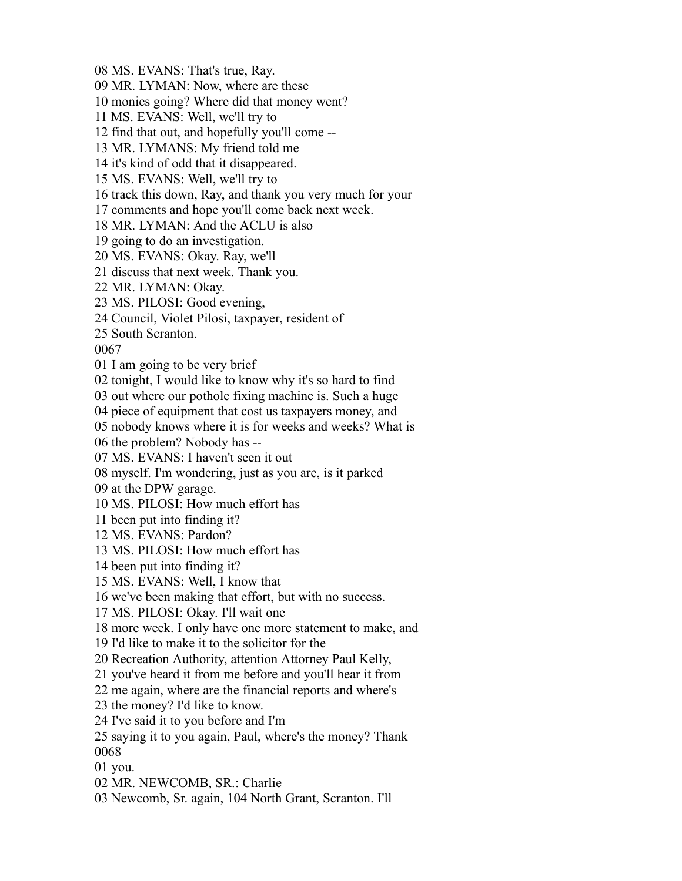MS. EVANS: That's true, Ray.

MR. LYMAN: Now, where are these

monies going? Where did that money went?

MS. EVANS: Well, we'll try to

find that out, and hopefully you'll come --

MR. LYMANS: My friend told me

it's kind of odd that it disappeared.

MS. EVANS: Well, we'll try to

track this down, Ray, and thank you very much for your

comments and hope you'll come back next week.

MR. LYMAN: And the ACLU is also

going to do an investigation.

MS. EVANS: Okay. Ray, we'll

discuss that next week. Thank you.

MR. LYMAN: Okay.

MS. PILOSI: Good evening,

Council, Violet Pilosi, taxpayer, resident of

South Scranton.

I am going to be very brief

tonight, I would like to know why it's so hard to find

out where our pothole fixing machine is. Such a huge

piece of equipment that cost us taxpayers money, and

nobody knows where it is for weeks and weeks? What is

the problem? Nobody has --

MS. EVANS: I haven't seen it out

myself. I'm wondering, just as you are, is it parked

at the DPW garage.

MS. PILOSI: How much effort has

been put into finding it?

MS. EVANS: Pardon?

MS. PILOSI: How much effort has

been put into finding it?

MS. EVANS: Well, I know that

we've been making that effort, but with no success.

MS. PILOSI: Okay. I'll wait one

more week. I only have one more statement to make, and

I'd like to make it to the solicitor for the

Recreation Authority, attention Attorney Paul Kelly,

you've heard it from me before and you'll hear it from

me again, where are the financial reports and where's

the money? I'd like to know.

I've said it to you before and I'm

 saying it to you again, Paul, where's the money? Thank 

you.

MR. NEWCOMB, SR.: Charlie

Newcomb, Sr. again, 104 North Grant, Scranton. I'll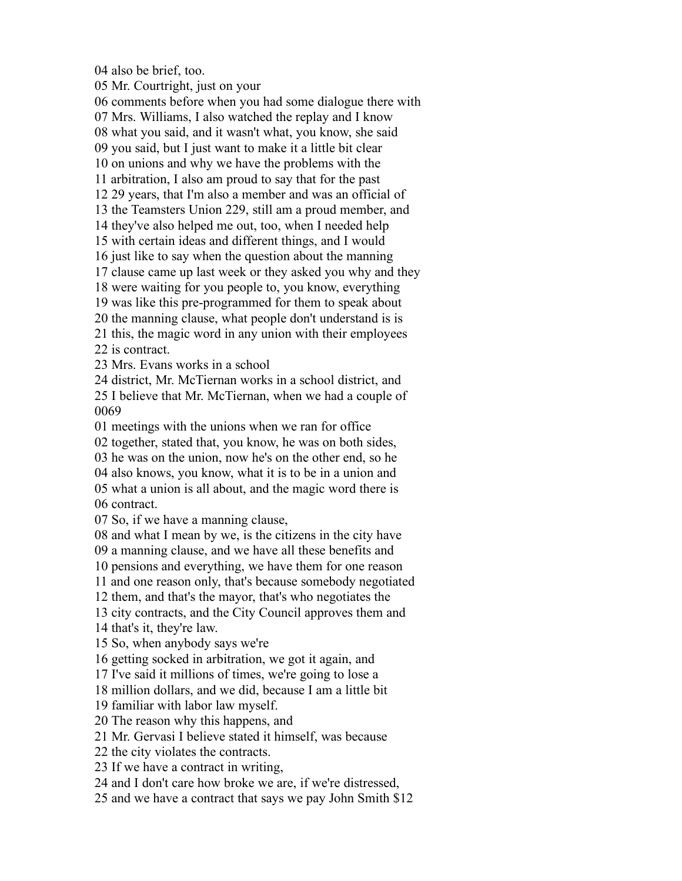also be brief, too.

Mr. Courtright, just on your

 comments before when you had some dialogue there with Mrs. Williams, I also watched the replay and I know what you said, and it wasn't what, you know, she said you said, but I just want to make it a little bit clear on unions and why we have the problems with the arbitration, I also am proud to say that for the past 29 years, that I'm also a member and was an official of the Teamsters Union 229, still am a proud member, and they've also helped me out, too, when I needed help with certain ideas and different things, and I would just like to say when the question about the manning clause came up last week or they asked you why and they were waiting for you people to, you know, everything was like this pre-programmed for them to speak about the manning clause, what people don't understand is is this, the magic word in any union with their employees is contract. Mrs. Evans works in a school district, Mr. McTiernan works in a school district, and I believe that Mr. McTiernan, when we had a couple of meetings with the unions when we ran for office together, stated that, you know, he was on both sides, he was on the union, now he's on the other end, so he also knows, you know, what it is to be in a union and what a union is all about, and the magic word there is contract. So, if we have a manning clause, and what I mean by we, is the citizens in the city have a manning clause, and we have all these benefits and pensions and everything, we have them for one reason and one reason only, that's because somebody negotiated them, and that's the mayor, that's who negotiates the city contracts, and the City Council approves them and

that's it, they're law.

So, when anybody says we're

getting socked in arbitration, we got it again, and

I've said it millions of times, we're going to lose a

million dollars, and we did, because I am a little bit

familiar with labor law myself.

The reason why this happens, and

Mr. Gervasi I believe stated it himself, was because

the city violates the contracts.

If we have a contract in writing,

and I don't care how broke we are, if we're distressed,

and we have a contract that says we pay John Smith \$12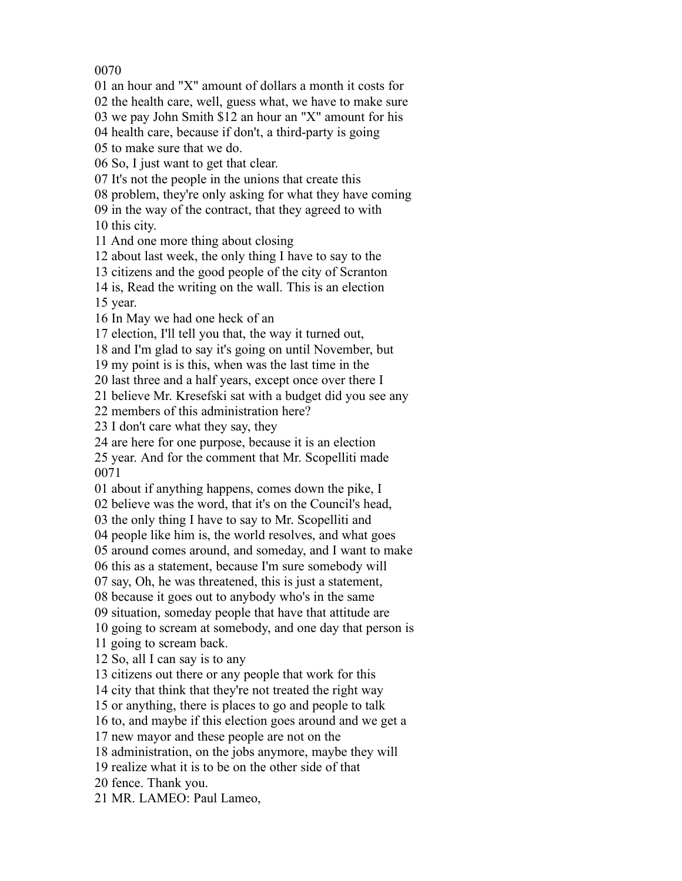an hour and "X" amount of dollars a month it costs for

the health care, well, guess what, we have to make sure

we pay John Smith \$12 an hour an "X" amount for his

health care, because if don't, a third-party is going

to make sure that we do.

So, I just want to get that clear.

It's not the people in the unions that create this

problem, they're only asking for what they have coming

in the way of the contract, that they agreed to with

this city.

And one more thing about closing

about last week, the only thing I have to say to the

citizens and the good people of the city of Scranton

is, Read the writing on the wall. This is an election

year.

In May we had one heck of an

election, I'll tell you that, the way it turned out,

and I'm glad to say it's going on until November, but

my point is is this, when was the last time in the

last three and a half years, except once over there I

believe Mr. Kresefski sat with a budget did you see any

members of this administration here?

I don't care what they say, they

are here for one purpose, because it is an election

 year. And for the comment that Mr. Scopelliti made 

about if anything happens, comes down the pike, I

believe was the word, that it's on the Council's head,

the only thing I have to say to Mr. Scopelliti and

people like him is, the world resolves, and what goes

around comes around, and someday, and I want to make

this as a statement, because I'm sure somebody will

say, Oh, he was threatened, this is just a statement,

because it goes out to anybody who's in the same

situation, someday people that have that attitude are

going to scream at somebody, and one day that person is

going to scream back.

So, all I can say is to any

citizens out there or any people that work for this

city that think that they're not treated the right way

or anything, there is places to go and people to talk

to, and maybe if this election goes around and we get a

new mayor and these people are not on the

administration, on the jobs anymore, maybe they will

realize what it is to be on the other side of that

fence. Thank you.

MR. LAMEO: Paul Lameo,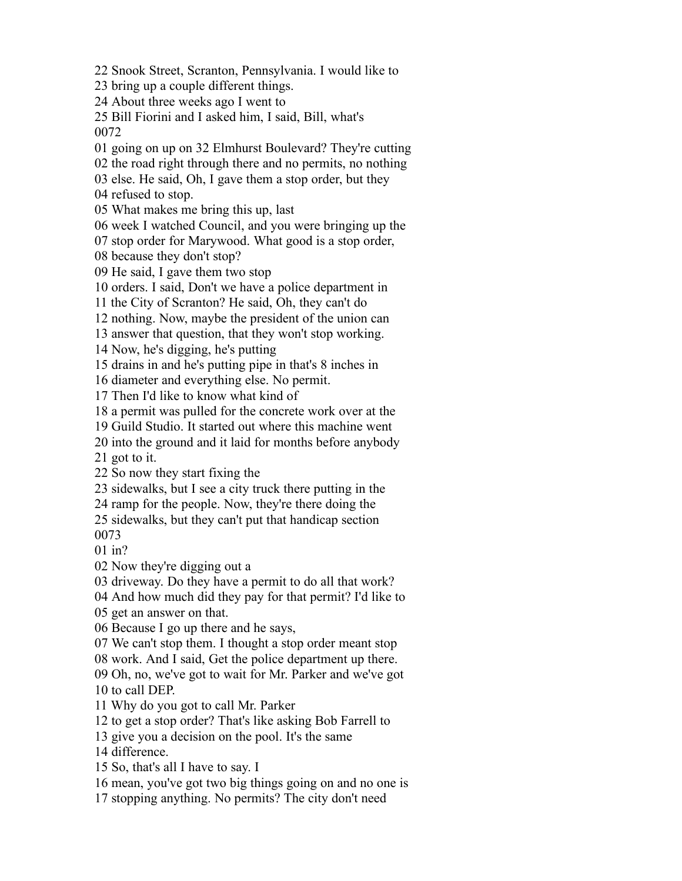Snook Street, Scranton, Pennsylvania. I would like to

bring up a couple different things.

About three weeks ago I went to

 Bill Fiorini and I asked him, I said, Bill, what's 

going on up on 32 Elmhurst Boulevard? They're cutting

the road right through there and no permits, no nothing

else. He said, Oh, I gave them a stop order, but they

refused to stop.

What makes me bring this up, last

week I watched Council, and you were bringing up the

stop order for Marywood. What good is a stop order,

because they don't stop?

He said, I gave them two stop

orders. I said, Don't we have a police department in

the City of Scranton? He said, Oh, they can't do

nothing. Now, maybe the president of the union can

answer that question, that they won't stop working.

Now, he's digging, he's putting

drains in and he's putting pipe in that's 8 inches in

diameter and everything else. No permit.

Then I'd like to know what kind of

a permit was pulled for the concrete work over at the

Guild Studio. It started out where this machine went

into the ground and it laid for months before anybody

got to it.

So now they start fixing the

sidewalks, but I see a city truck there putting in the

ramp for the people. Now, they're there doing the

sidewalks, but they can't put that handicap section

in?

Now they're digging out a

driveway. Do they have a permit to do all that work?

And how much did they pay for that permit? I'd like to

get an answer on that.

Because I go up there and he says,

We can't stop them. I thought a stop order meant stop

work. And I said, Get the police department up there.

 Oh, no, we've got to wait for Mr. Parker and we've got to call DEP.

Why do you got to call Mr. Parker

to get a stop order? That's like asking Bob Farrell to

give you a decision on the pool. It's the same

difference.

So, that's all I have to say. I

mean, you've got two big things going on and no one is

stopping anything. No permits? The city don't need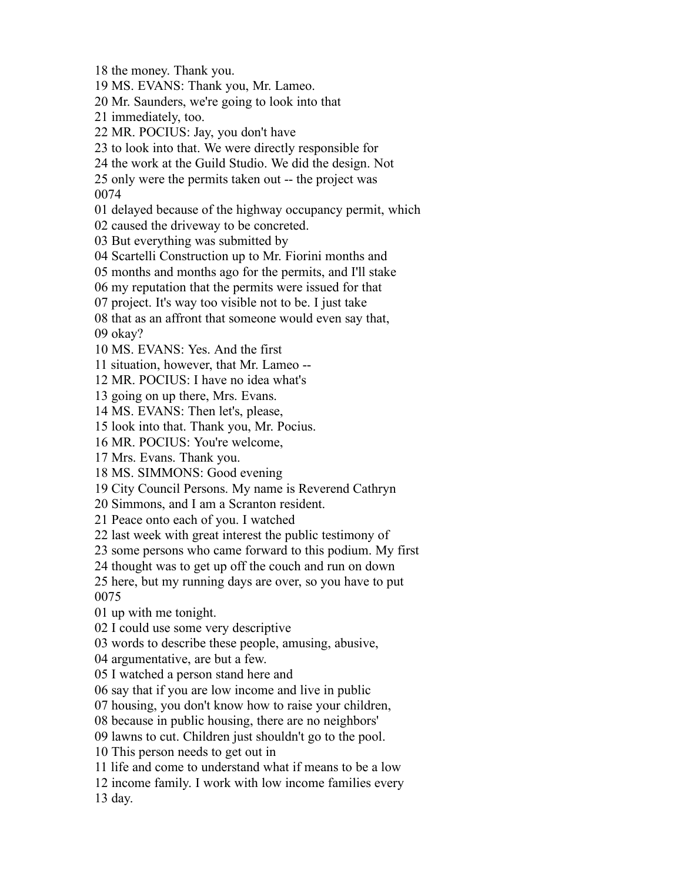the money. Thank you.

MS. EVANS: Thank you, Mr. Lameo.

Mr. Saunders, we're going to look into that

immediately, too.

MR. POCIUS: Jay, you don't have

to look into that. We were directly responsible for

the work at the Guild Studio. We did the design. Not

only were the permits taken out -- the project was

delayed because of the highway occupancy permit, which

caused the driveway to be concreted.

But everything was submitted by

Scartelli Construction up to Mr. Fiorini months and

months and months ago for the permits, and I'll stake

my reputation that the permits were issued for that

project. It's way too visible not to be. I just take

that as an affront that someone would even say that,

okay?

MS. EVANS: Yes. And the first

situation, however, that Mr. Lameo --

MR. POCIUS: I have no idea what's

going on up there, Mrs. Evans.

MS. EVANS: Then let's, please,

look into that. Thank you, Mr. Pocius.

MR. POCIUS: You're welcome,

Mrs. Evans. Thank you.

MS. SIMMONS: Good evening

City Council Persons. My name is Reverend Cathryn

Simmons, and I am a Scranton resident.

Peace onto each of you. I watched

last week with great interest the public testimony of

some persons who came forward to this podium. My first

thought was to get up off the couch and run on down

 here, but my running days are over, so you have to put 

up with me tonight.

I could use some very descriptive

words to describe these people, amusing, abusive,

argumentative, are but a few.

I watched a person stand here and

say that if you are low income and live in public

housing, you don't know how to raise your children,

because in public housing, there are no neighbors'

lawns to cut. Children just shouldn't go to the pool.

This person needs to get out in

life and come to understand what if means to be a low

income family. I work with low income families every

day.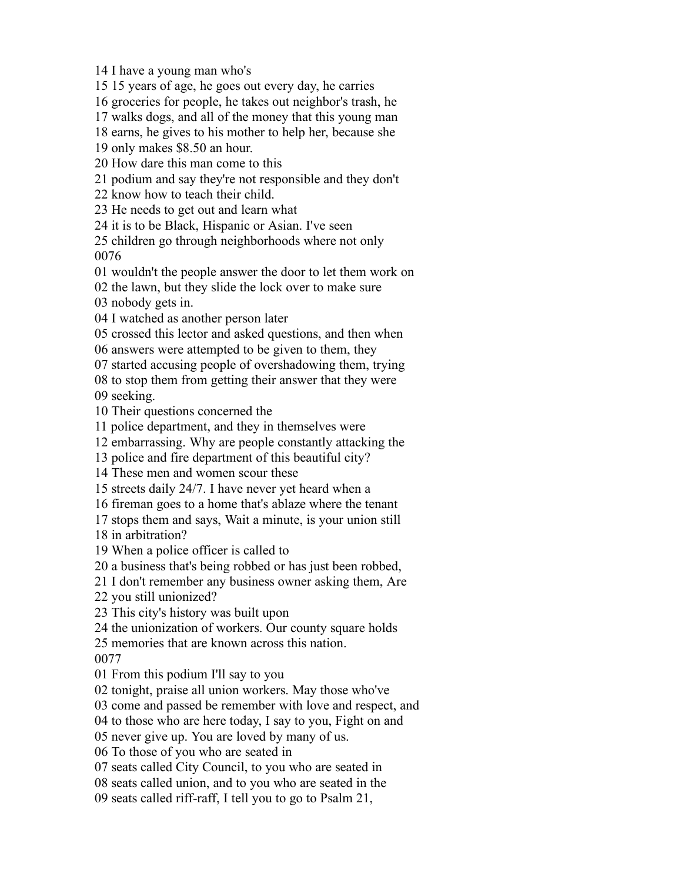I have a young man who's

15 years of age, he goes out every day, he carries

groceries for people, he takes out neighbor's trash, he

walks dogs, and all of the money that this young man

earns, he gives to his mother to help her, because she

only makes \$8.50 an hour.

How dare this man come to this

podium and say they're not responsible and they don't

know how to teach their child.

He needs to get out and learn what

it is to be Black, Hispanic or Asian. I've seen

 children go through neighborhoods where not only 

wouldn't the people answer the door to let them work on

the lawn, but they slide the lock over to make sure

nobody gets in.

I watched as another person later

crossed this lector and asked questions, and then when

answers were attempted to be given to them, they

started accusing people of overshadowing them, trying

to stop them from getting their answer that they were

seeking.

Their questions concerned the

police department, and they in themselves were

embarrassing. Why are people constantly attacking the

police and fire department of this beautiful city?

These men and women scour these

streets daily 24/7. I have never yet heard when a

fireman goes to a home that's ablaze where the tenant

stops them and says, Wait a minute, is your union still

in arbitration?

When a police officer is called to

a business that's being robbed or has just been robbed,

I don't remember any business owner asking them, Are

you still unionized?

This city's history was built upon

the unionization of workers. Our county square holds

memories that are known across this nation.

From this podium I'll say to you

tonight, praise all union workers. May those who've

come and passed be remember with love and respect, and

to those who are here today, I say to you, Fight on and

never give up. You are loved by many of us.

To those of you who are seated in

seats called City Council, to you who are seated in

seats called union, and to you who are seated in the

seats called riff-raff, I tell you to go to Psalm 21,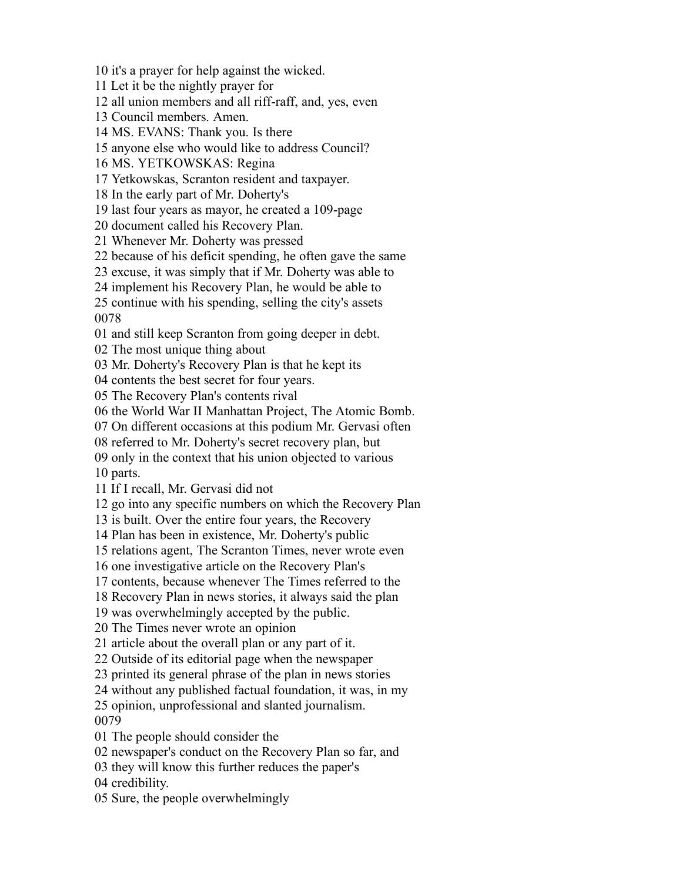it's a prayer for help against the wicked.

Let it be the nightly prayer for

all union members and all riff-raff, and, yes, even

Council members. Amen.

MS. EVANS: Thank you. Is there

anyone else who would like to address Council?

MS. YETKOWSKAS: Regina

Yetkowskas, Scranton resident and taxpayer.

In the early part of Mr. Doherty's

last four years as mayor, he created a 109-page

document called his Recovery Plan.

Whenever Mr. Doherty was pressed

because of his deficit spending, he often gave the same

excuse, it was simply that if Mr. Doherty was able to

implement his Recovery Plan, he would be able to

 continue with his spending, selling the city's assets 

and still keep Scranton from going deeper in debt.

The most unique thing about

Mr. Doherty's Recovery Plan is that he kept its

contents the best secret for four years.

The Recovery Plan's contents rival

the World War II Manhattan Project, The Atomic Bomb.

On different occasions at this podium Mr. Gervasi often

referred to Mr. Doherty's secret recovery plan, but

 only in the context that his union objected to various parts.

If I recall, Mr. Gervasi did not

go into any specific numbers on which the Recovery Plan

is built. Over the entire four years, the Recovery

Plan has been in existence, Mr. Doherty's public

relations agent, The Scranton Times, never wrote even

one investigative article on the Recovery Plan's

contents, because whenever The Times referred to the

Recovery Plan in news stories, it always said the plan

was overwhelmingly accepted by the public.

The Times never wrote an opinion

article about the overall plan or any part of it.

Outside of its editorial page when the newspaper

printed its general phrase of the plan in news stories

without any published factual foundation, it was, in my

 opinion, unprofessional and slanted journalism. 

The people should consider the

newspaper's conduct on the Recovery Plan so far, and

they will know this further reduces the paper's

credibility.

Sure, the people overwhelmingly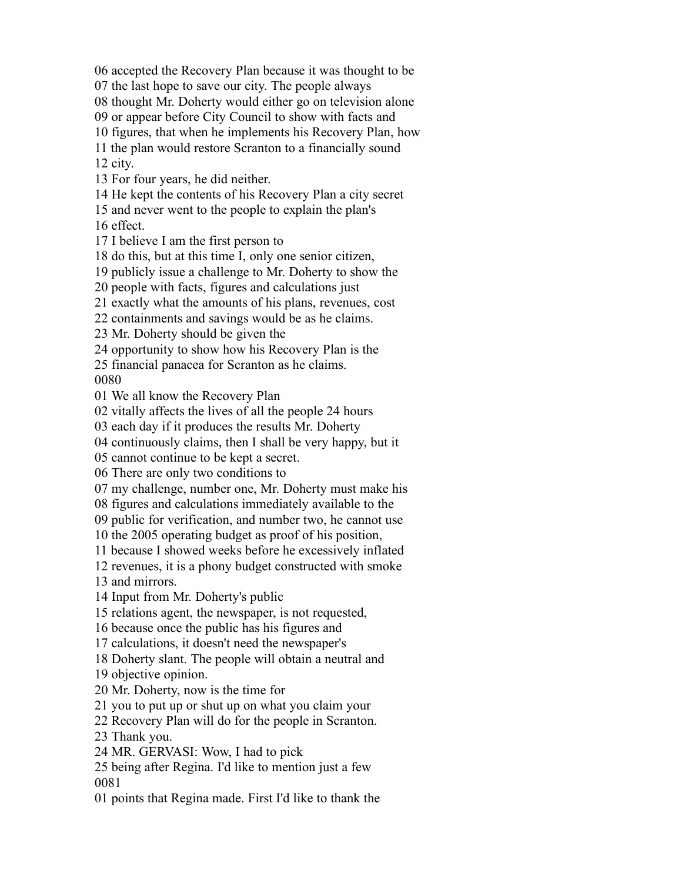accepted the Recovery Plan because it was thought to be

the last hope to save our city. The people always

thought Mr. Doherty would either go on television alone

or appear before City Council to show with facts and

figures, that when he implements his Recovery Plan, how

 the plan would restore Scranton to a financially sound city.

For four years, he did neither.

He kept the contents of his Recovery Plan a city secret

and never went to the people to explain the plan's

effect.

I believe I am the first person to

do this, but at this time I, only one senior citizen,

publicly issue a challenge to Mr. Doherty to show the

people with facts, figures and calculations just

exactly what the amounts of his plans, revenues, cost

containments and savings would be as he claims.

Mr. Doherty should be given the

opportunity to show how his Recovery Plan is the

financial panacea for Scranton as he claims.

We all know the Recovery Plan

vitally affects the lives of all the people 24 hours

each day if it produces the results Mr. Doherty

continuously claims, then I shall be very happy, but it

cannot continue to be kept a secret.

There are only two conditions to

my challenge, number one, Mr. Doherty must make his

figures and calculations immediately available to the

public for verification, and number two, he cannot use

the 2005 operating budget as proof of his position,

because I showed weeks before he excessively inflated

revenues, it is a phony budget constructed with smoke

and mirrors.

Input from Mr. Doherty's public

relations agent, the newspaper, is not requested,

because once the public has his figures and

calculations, it doesn't need the newspaper's

Doherty slant. The people will obtain a neutral and

objective opinion.

Mr. Doherty, now is the time for

you to put up or shut up on what you claim your

Recovery Plan will do for the people in Scranton.

Thank you.

MR. GERVASI: Wow, I had to pick

 being after Regina. I'd like to mention just a few 

points that Regina made. First I'd like to thank the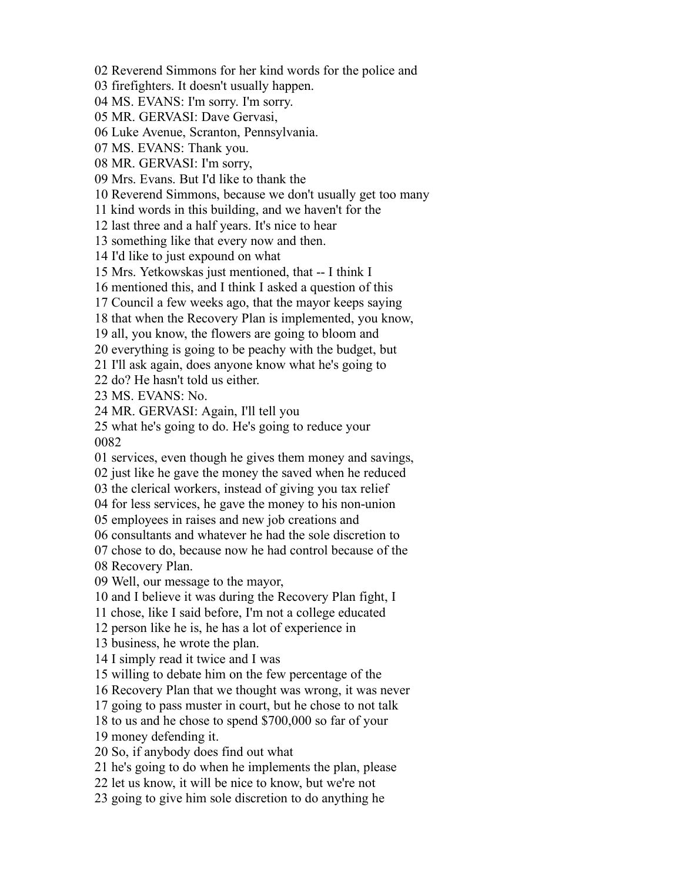Reverend Simmons for her kind words for the police and

firefighters. It doesn't usually happen.

MS. EVANS: I'm sorry. I'm sorry.

MR. GERVASI: Dave Gervasi,

Luke Avenue, Scranton, Pennsylvania.

MS. EVANS: Thank you.

MR. GERVASI: I'm sorry,

Mrs. Evans. But I'd like to thank the

Reverend Simmons, because we don't usually get too many

kind words in this building, and we haven't for the

last three and a half years. It's nice to hear

something like that every now and then.

I'd like to just expound on what

Mrs. Yetkowskas just mentioned, that -- I think I

mentioned this, and I think I asked a question of this

Council a few weeks ago, that the mayor keeps saying

that when the Recovery Plan is implemented, you know,

all, you know, the flowers are going to bloom and

everything is going to be peachy with the budget, but

I'll ask again, does anyone know what he's going to

do? He hasn't told us either.

MS. EVANS: No.

MR. GERVASI: Again, I'll tell you

 what he's going to do. He's going to reduce your 

services, even though he gives them money and savings,

just like he gave the money the saved when he reduced

the clerical workers, instead of giving you tax relief

for less services, he gave the money to his non-union

employees in raises and new job creations and

consultants and whatever he had the sole discretion to

chose to do, because now he had control because of the

Recovery Plan.

Well, our message to the mayor,

and I believe it was during the Recovery Plan fight, I

chose, like I said before, I'm not a college educated

person like he is, he has a lot of experience in

business, he wrote the plan.

I simply read it twice and I was

willing to debate him on the few percentage of the

Recovery Plan that we thought was wrong, it was never

going to pass muster in court, but he chose to not talk

to us and he chose to spend \$700,000 so far of your

money defending it.

So, if anybody does find out what

he's going to do when he implements the plan, please

let us know, it will be nice to know, but we're not

going to give him sole discretion to do anything he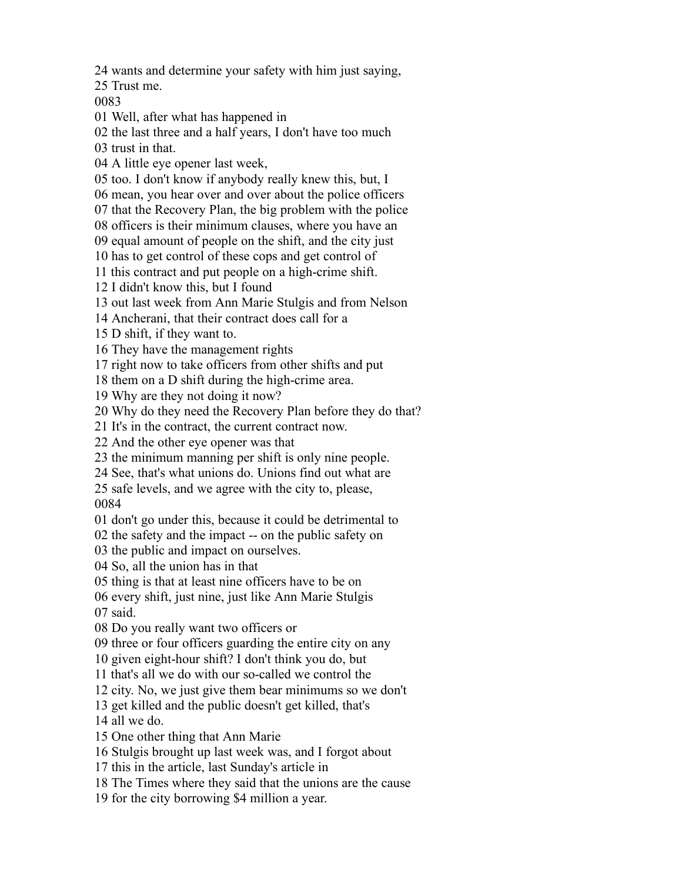wants and determine your safety with him just saying,

Trust me.

Well, after what has happened in

the last three and a half years, I don't have too much

trust in that.

A little eye opener last week,

too. I don't know if anybody really knew this, but, I

mean, you hear over and over about the police officers

that the Recovery Plan, the big problem with the police

officers is their minimum clauses, where you have an

equal amount of people on the shift, and the city just

has to get control of these cops and get control of

this contract and put people on a high-crime shift.

I didn't know this, but I found

out last week from Ann Marie Stulgis and from Nelson

Ancherani, that their contract does call for a

D shift, if they want to.

They have the management rights

right now to take officers from other shifts and put

them on a D shift during the high-crime area.

Why are they not doing it now?

Why do they need the Recovery Plan before they do that?

It's in the contract, the current contract now.

And the other eye opener was that

the minimum manning per shift is only nine people.

See, that's what unions do. Unions find out what are

 safe levels, and we agree with the city to, please, 

don't go under this, because it could be detrimental to

the safety and the impact -- on the public safety on

the public and impact on ourselves.

So, all the union has in that

thing is that at least nine officers have to be on

every shift, just nine, just like Ann Marie Stulgis

said.

Do you really want two officers or

three or four officers guarding the entire city on any

given eight-hour shift? I don't think you do, but

that's all we do with our so-called we control the

city. No, we just give them bear minimums so we don't

get killed and the public doesn't get killed, that's

all we do.

- One other thing that Ann Marie
- Stulgis brought up last week was, and I forgot about
- this in the article, last Sunday's article in

The Times where they said that the unions are the cause

for the city borrowing \$4 million a year.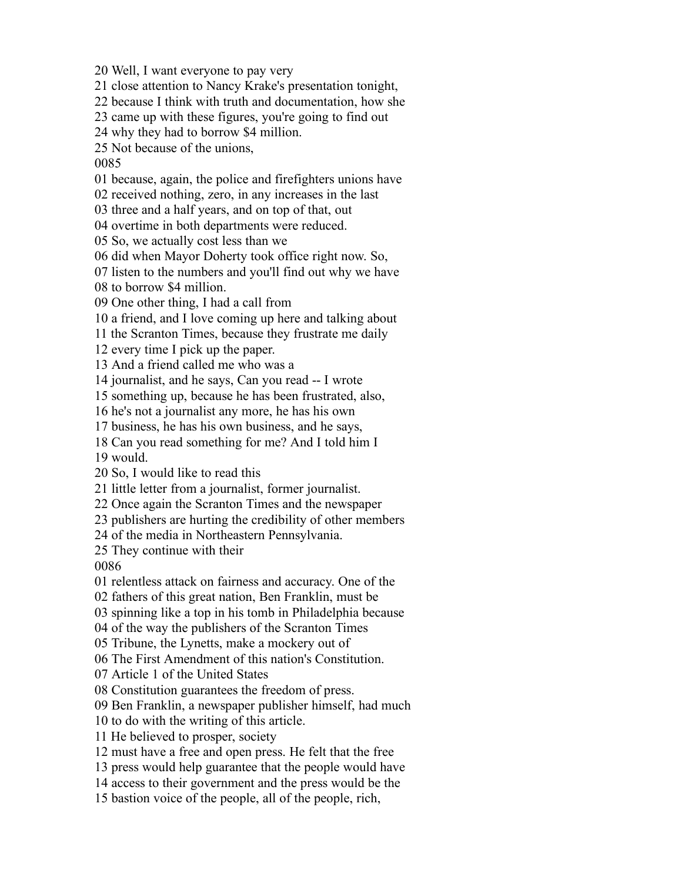Well, I want everyone to pay very

close attention to Nancy Krake's presentation tonight,

because I think with truth and documentation, how she

came up with these figures, you're going to find out

why they had to borrow \$4 million.

Not because of the unions,

because, again, the police and firefighters unions have

received nothing, zero, in any increases in the last

three and a half years, and on top of that, out

overtime in both departments were reduced.

So, we actually cost less than we

did when Mayor Doherty took office right now. So,

listen to the numbers and you'll find out why we have

to borrow \$4 million.

One other thing, I had a call from

a friend, and I love coming up here and talking about

the Scranton Times, because they frustrate me daily

every time I pick up the paper.

And a friend called me who was a

journalist, and he says, Can you read -- I wrote

something up, because he has been frustrated, also,

he's not a journalist any more, he has his own

business, he has his own business, and he says,

Can you read something for me? And I told him I

would.

So, I would like to read this

little letter from a journalist, former journalist.

Once again the Scranton Times and the newspaper

publishers are hurting the credibility of other members

of the media in Northeastern Pennsylvania.

They continue with their

relentless attack on fairness and accuracy. One of the

fathers of this great nation, Ben Franklin, must be

spinning like a top in his tomb in Philadelphia because

of the way the publishers of the Scranton Times

Tribune, the Lynetts, make a mockery out of

The First Amendment of this nation's Constitution.

Article 1 of the United States

Constitution guarantees the freedom of press.

Ben Franklin, a newspaper publisher himself, had much

to do with the writing of this article.

He believed to prosper, society

must have a free and open press. He felt that the free

press would help guarantee that the people would have

access to their government and the press would be the

bastion voice of the people, all of the people, rich,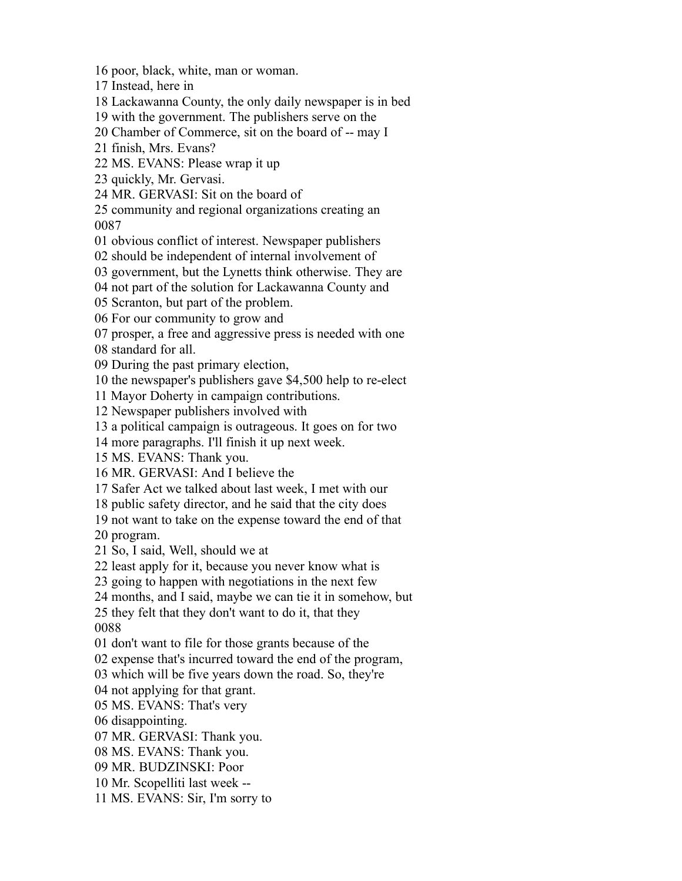poor, black, white, man or woman.

Instead, here in

Lackawanna County, the only daily newspaper is in bed

with the government. The publishers serve on the

Chamber of Commerce, sit on the board of -- may I

finish, Mrs. Evans?

MS. EVANS: Please wrap it up

quickly, Mr. Gervasi.

MR. GERVASI: Sit on the board of

 community and regional organizations creating an 

obvious conflict of interest. Newspaper publishers

should be independent of internal involvement of

government, but the Lynetts think otherwise. They are

not part of the solution for Lackawanna County and

Scranton, but part of the problem.

For our community to grow and

prosper, a free and aggressive press is needed with one

standard for all.

During the past primary election,

the newspaper's publishers gave \$4,500 help to re-elect

Mayor Doherty in campaign contributions.

Newspaper publishers involved with

a political campaign is outrageous. It goes on for two

more paragraphs. I'll finish it up next week.

MS. EVANS: Thank you.

MR. GERVASI: And I believe the

Safer Act we talked about last week, I met with our

public safety director, and he said that the city does

not want to take on the expense toward the end of that

program.

So, I said, Well, should we at

least apply for it, because you never know what is

going to happen with negotiations in the next few

months, and I said, maybe we can tie it in somehow, but

 they felt that they don't want to do it, that they 

don't want to file for those grants because of the

expense that's incurred toward the end of the program,

which will be five years down the road. So, they're

not applying for that grant.

MS. EVANS: That's very

disappointing.

MR. GERVASI: Thank you.

MS. EVANS: Thank you.

MR. BUDZINSKI: Poor

Mr. Scopelliti last week --

MS. EVANS: Sir, I'm sorry to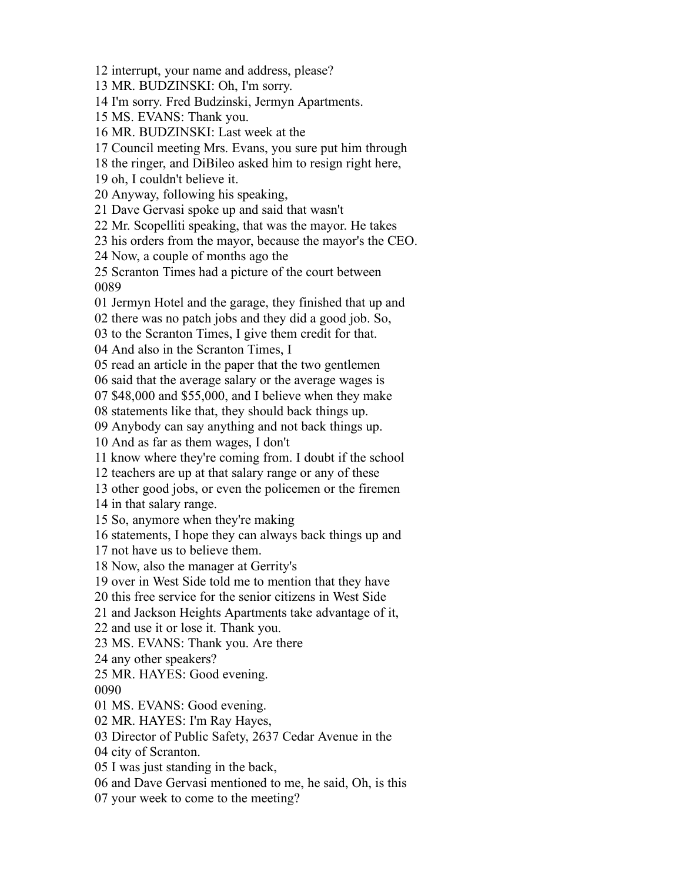interrupt, your name and address, please?

MR. BUDZINSKI: Oh, I'm sorry.

I'm sorry. Fred Budzinski, Jermyn Apartments.

MS. EVANS: Thank you.

MR. BUDZINSKI: Last week at the

Council meeting Mrs. Evans, you sure put him through

the ringer, and DiBileo asked him to resign right here,

oh, I couldn't believe it.

Anyway, following his speaking,

Dave Gervasi spoke up and said that wasn't

Mr. Scopelliti speaking, that was the mayor. He takes

his orders from the mayor, because the mayor's the CEO.

Now, a couple of months ago the

 Scranton Times had a picture of the court between 

Jermyn Hotel and the garage, they finished that up and

there was no patch jobs and they did a good job. So,

to the Scranton Times, I give them credit for that.

And also in the Scranton Times, I

read an article in the paper that the two gentlemen

said that the average salary or the average wages is

\$48,000 and \$55,000, and I believe when they make

statements like that, they should back things up.

Anybody can say anything and not back things up.

And as far as them wages, I don't

know where they're coming from. I doubt if the school

teachers are up at that salary range or any of these

other good jobs, or even the policemen or the firemen

in that salary range.

So, anymore when they're making

statements, I hope they can always back things up and

not have us to believe them.

Now, also the manager at Gerrity's

over in West Side told me to mention that they have

this free service for the senior citizens in West Side

and Jackson Heights Apartments take advantage of it,

and use it or lose it. Thank you.

MS. EVANS: Thank you. Are there

any other speakers?

 MR. HAYES: Good evening. 

MS. EVANS: Good evening.

MR. HAYES: I'm Ray Hayes,

Director of Public Safety, 2637 Cedar Avenue in the

city of Scranton.

I was just standing in the back,

and Dave Gervasi mentioned to me, he said, Oh, is this

your week to come to the meeting?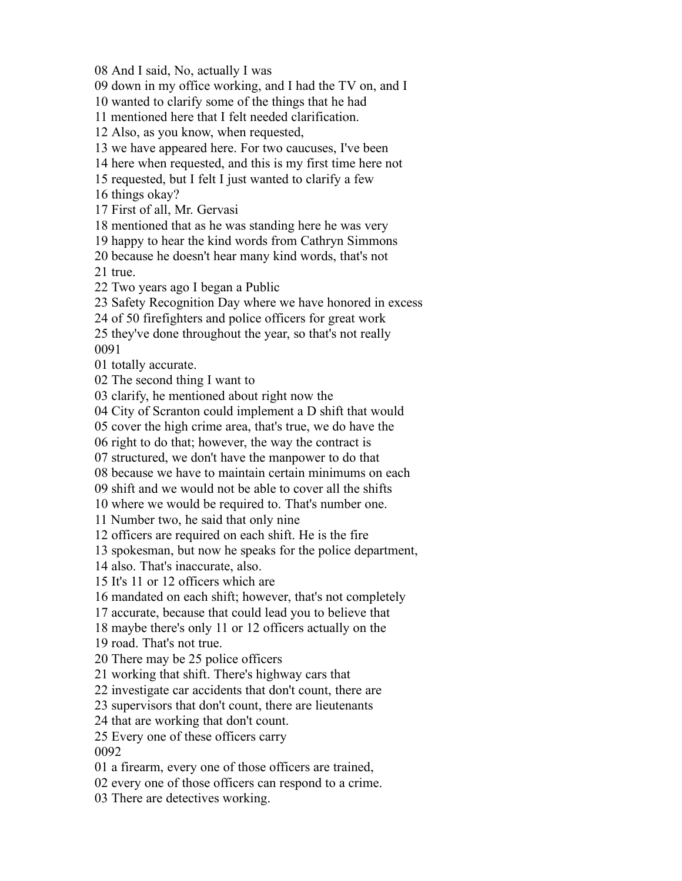And I said, No, actually I was

down in my office working, and I had the TV on, and I

wanted to clarify some of the things that he had

mentioned here that I felt needed clarification.

Also, as you know, when requested,

we have appeared here. For two caucuses, I've been

here when requested, and this is my first time here not

requested, but I felt I just wanted to clarify a few

things okay?

First of all, Mr. Gervasi

mentioned that as he was standing here he was very

happy to hear the kind words from Cathryn Simmons

 because he doesn't hear many kind words, that's not true.

Two years ago I began a Public

Safety Recognition Day where we have honored in excess

of 50 firefighters and police officers for great work

 they've done throughout the year, so that's not really 

totally accurate.

The second thing I want to

clarify, he mentioned about right now the

City of Scranton could implement a D shift that would

cover the high crime area, that's true, we do have the

right to do that; however, the way the contract is

structured, we don't have the manpower to do that

because we have to maintain certain minimums on each

shift and we would not be able to cover all the shifts

where we would be required to. That's number one.

Number two, he said that only nine

officers are required on each shift. He is the fire

spokesman, but now he speaks for the police department,

also. That's inaccurate, also.

It's 11 or 12 officers which are

mandated on each shift; however, that's not completely

accurate, because that could lead you to believe that

maybe there's only 11 or 12 officers actually on the

road. That's not true.

There may be 25 police officers

working that shift. There's highway cars that

investigate car accidents that don't count, there are

supervisors that don't count, there are lieutenants

that are working that don't count.

Every one of these officers carry

a firearm, every one of those officers are trained,

every one of those officers can respond to a crime.

There are detectives working.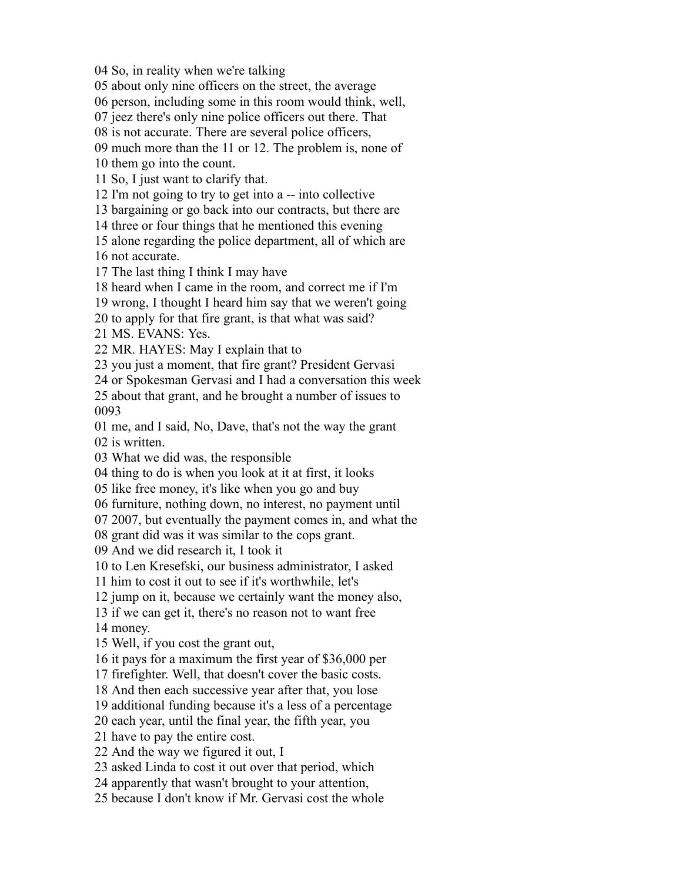So, in reality when we're talking

about only nine officers on the street, the average

person, including some in this room would think, well,

jeez there's only nine police officers out there. That

is not accurate. There are several police officers,

much more than the 11 or 12. The problem is, none of

them go into the count.

So, I just want to clarify that.

I'm not going to try to get into a -- into collective

bargaining or go back into our contracts, but there are

three or four things that he mentioned this evening

 alone regarding the police department, all of which are not accurate.

The last thing I think I may have

heard when I came in the room, and correct me if I'm

wrong, I thought I heard him say that we weren't going

to apply for that fire grant, is that what was said?

MS. EVANS: Yes.

MR. HAYES: May I explain that to

you just a moment, that fire grant? President Gervasi

or Spokesman Gervasi and I had a conversation this week

 about that grant, and he brought a number of issues to 

 me, and I said, No, Dave, that's not the way the grant is written.

What we did was, the responsible

thing to do is when you look at it at first, it looks

like free money, it's like when you go and buy

furniture, nothing down, no interest, no payment until

2007, but eventually the payment comes in, and what the

grant did was it was similar to the cops grant.

And we did research it, I took it

to Len Kresefski, our business administrator, I asked

him to cost it out to see if it's worthwhile, let's

jump on it, because we certainly want the money also,

if we can get it, there's no reason not to want free

money.

Well, if you cost the grant out,

it pays for a maximum the first year of \$36,000 per

firefighter. Well, that doesn't cover the basic costs.

And then each successive year after that, you lose

additional funding because it's a less of a percentage

each year, until the final year, the fifth year, you

have to pay the entire cost.

And the way we figured it out, I

asked Linda to cost it out over that period, which

apparently that wasn't brought to your attention,

because I don't know if Mr. Gervasi cost the whole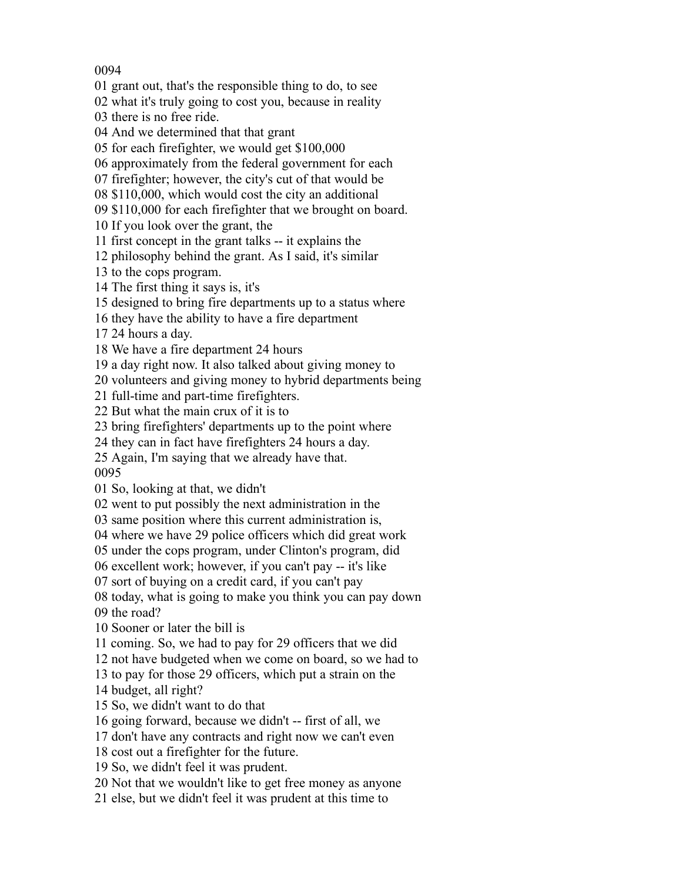## 

grant out, that's the responsible thing to do, to see

what it's truly going to cost you, because in reality

there is no free ride.

And we determined that that grant

for each firefighter, we would get \$100,000

approximately from the federal government for each

firefighter; however, the city's cut of that would be

\$110,000, which would cost the city an additional

\$110,000 for each firefighter that we brought on board.

If you look over the grant, the

first concept in the grant talks -- it explains the

philosophy behind the grant. As I said, it's similar

to the cops program.

The first thing it says is, it's

designed to bring fire departments up to a status where

they have the ability to have a fire department

24 hours a day.

We have a fire department 24 hours

a day right now. It also talked about giving money to

volunteers and giving money to hybrid departments being

full-time and part-time firefighters.

But what the main crux of it is to

bring firefighters' departments up to the point where

they can in fact have firefighters 24 hours a day.

Again, I'm saying that we already have that.

So, looking at that, we didn't

went to put possibly the next administration in the

same position where this current administration is,

where we have 29 police officers which did great work

under the cops program, under Clinton's program, did

excellent work; however, if you can't pay -- it's like

sort of buying on a credit card, if you can't pay

 today, what is going to make you think you can pay down the road?

Sooner or later the bill is

coming. So, we had to pay for 29 officers that we did

not have budgeted when we come on board, so we had to

to pay for those 29 officers, which put a strain on the

budget, all right?

So, we didn't want to do that

going forward, because we didn't -- first of all, we

don't have any contracts and right now we can't even

cost out a firefighter for the future.

So, we didn't feel it was prudent.

Not that we wouldn't like to get free money as anyone

else, but we didn't feel it was prudent at this time to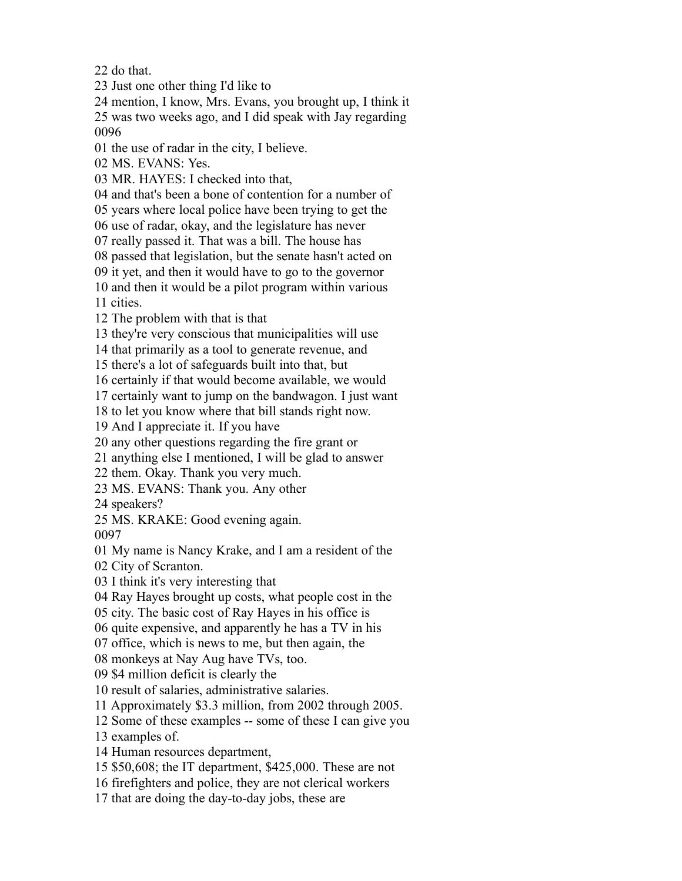do that.

Just one other thing I'd like to

 mention, I know, Mrs. Evans, you brought up, I think it was two weeks ago, and I did speak with Jay regarding 

the use of radar in the city, I believe.

MS. EVANS: Yes.

MR. HAYES: I checked into that,

and that's been a bone of contention for a number of

years where local police have been trying to get the

use of radar, okay, and the legislature has never

really passed it. That was a bill. The house has

passed that legislation, but the senate hasn't acted on

it yet, and then it would have to go to the governor

 and then it would be a pilot program within various cities.

The problem with that is that

they're very conscious that municipalities will use

that primarily as a tool to generate revenue, and

there's a lot of safeguards built into that, but

certainly if that would become available, we would

certainly want to jump on the bandwagon. I just want

to let you know where that bill stands right now.

And I appreciate it. If you have

any other questions regarding the fire grant or

anything else I mentioned, I will be glad to answer

them. Okay. Thank you very much.

MS. EVANS: Thank you. Any other

speakers?

MS. KRAKE: Good evening again.

My name is Nancy Krake, and I am a resident of the

City of Scranton.

I think it's very interesting that

Ray Hayes brought up costs, what people cost in the

city. The basic cost of Ray Hayes in his office is

quite expensive, and apparently he has a TV in his

office, which is news to me, but then again, the

monkeys at Nay Aug have TVs, too.

\$4 million deficit is clearly the

result of salaries, administrative salaries.

Approximately \$3.3 million, from 2002 through 2005.

Some of these examples -- some of these I can give you

examples of.

Human resources department,

\$50,608; the IT department, \$425,000. These are not

firefighters and police, they are not clerical workers

that are doing the day-to-day jobs, these are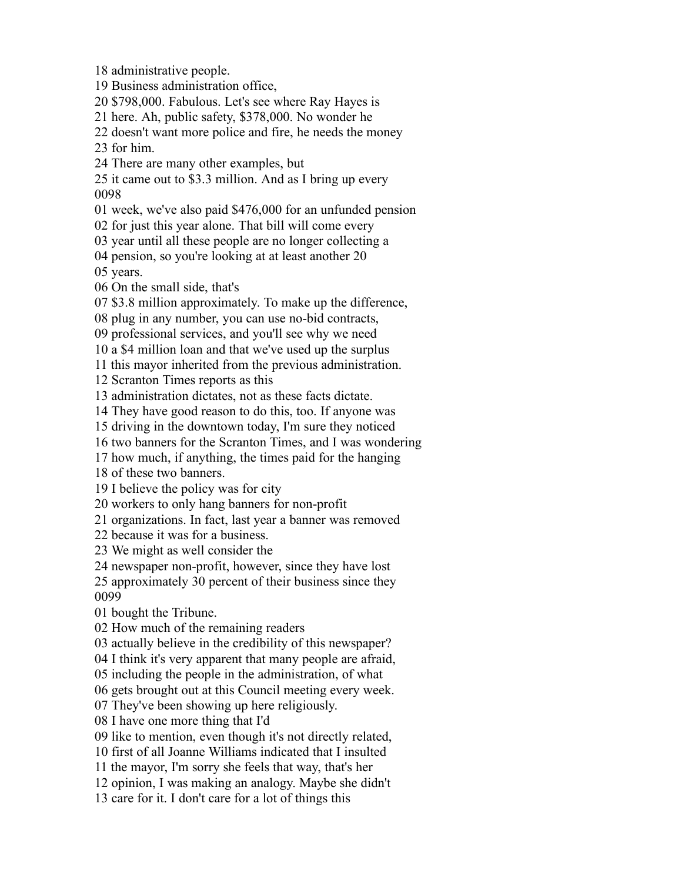Business administration office, \$798,000. Fabulous. Let's see where Ray Hayes is here. Ah, public safety, \$378,000. No wonder he doesn't want more police and fire, he needs the money for him. There are many other examples, but it came out to \$3.3 million. And as I bring up every week, we've also paid \$476,000 for an unfunded pension for just this year alone. That bill will come every year until all these people are no longer collecting a pension, so you're looking at at least another 20 years. On the small side, that's \$3.8 million approximately. To make up the difference, plug in any number, you can use no-bid contracts, professional services, and you'll see why we need a \$4 million loan and that we've used up the surplus this mayor inherited from the previous administration. Scranton Times reports as this administration dictates, not as these facts dictate. They have good reason to do this, too. If anyone was driving in the downtown today, I'm sure they noticed two banners for the Scranton Times, and I was wondering how much, if anything, the times paid for the hanging of these two banners. I believe the policy was for city workers to only hang banners for non-profit organizations. In fact, last year a banner was removed because it was for a business. We might as well consider the newspaper non-profit, however, since they have lost approximately 30 percent of their business since they bought the Tribune. How much of the remaining readers actually believe in the credibility of this newspaper? I think it's very apparent that many people are afraid, including the people in the administration, of what gets brought out at this Council meeting every week. They've been showing up here religiously. I have one more thing that I'd like to mention, even though it's not directly related, first of all Joanne Williams indicated that I insulted the mayor, I'm sorry she feels that way, that's her opinion, I was making an analogy. Maybe she didn't care for it. I don't care for a lot of things this

administrative people.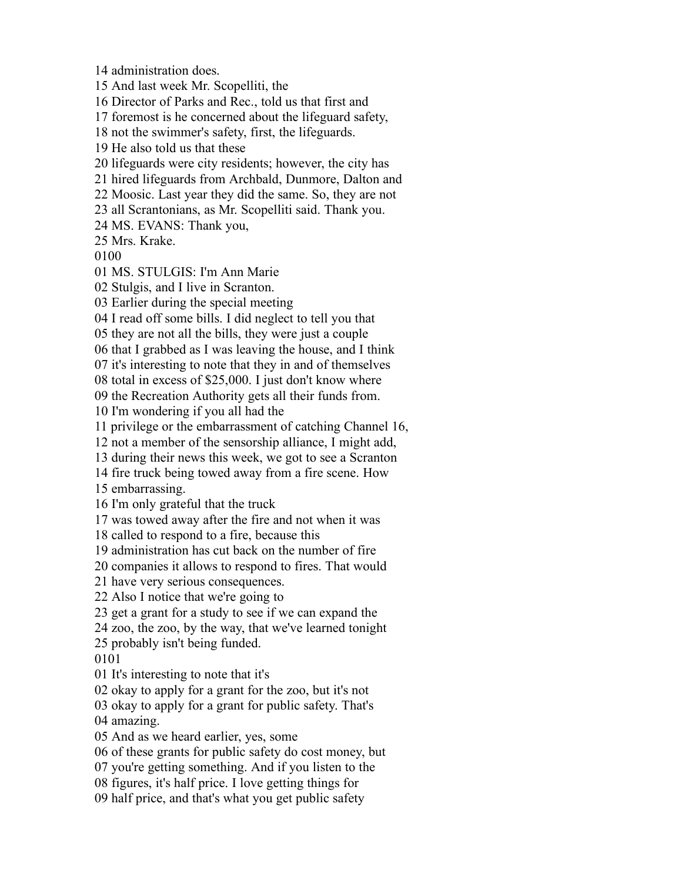administration does.

And last week Mr. Scopelliti, the

Director of Parks and Rec., told us that first and

foremost is he concerned about the lifeguard safety,

not the swimmer's safety, first, the lifeguards.

He also told us that these

lifeguards were city residents; however, the city has

hired lifeguards from Archbald, Dunmore, Dalton and

Moosic. Last year they did the same. So, they are not

all Scrantonians, as Mr. Scopelliti said. Thank you.

MS. EVANS: Thank you,

Mrs. Krake.

MS. STULGIS: I'm Ann Marie

Stulgis, and I live in Scranton.

Earlier during the special meeting

I read off some bills. I did neglect to tell you that

they are not all the bills, they were just a couple

that I grabbed as I was leaving the house, and I think

it's interesting to note that they in and of themselves

total in excess of \$25,000. I just don't know where

the Recreation Authority gets all their funds from.

I'm wondering if you all had the

privilege or the embarrassment of catching Channel 16,

not a member of the sensorship alliance, I might add,

during their news this week, we got to see a Scranton

fire truck being towed away from a fire scene. How

embarrassing.

I'm only grateful that the truck

was towed away after the fire and not when it was

called to respond to a fire, because this

administration has cut back on the number of fire

companies it allows to respond to fires. That would

have very serious consequences.

Also I notice that we're going to

get a grant for a study to see if we can expand the

zoo, the zoo, by the way, that we've learned tonight

probably isn't being funded.

It's interesting to note that it's

okay to apply for a grant for the zoo, but it's not

 okay to apply for a grant for public safety. That's amazing.

And as we heard earlier, yes, some

of these grants for public safety do cost money, but

you're getting something. And if you listen to the

figures, it's half price. I love getting things for

half price, and that's what you get public safety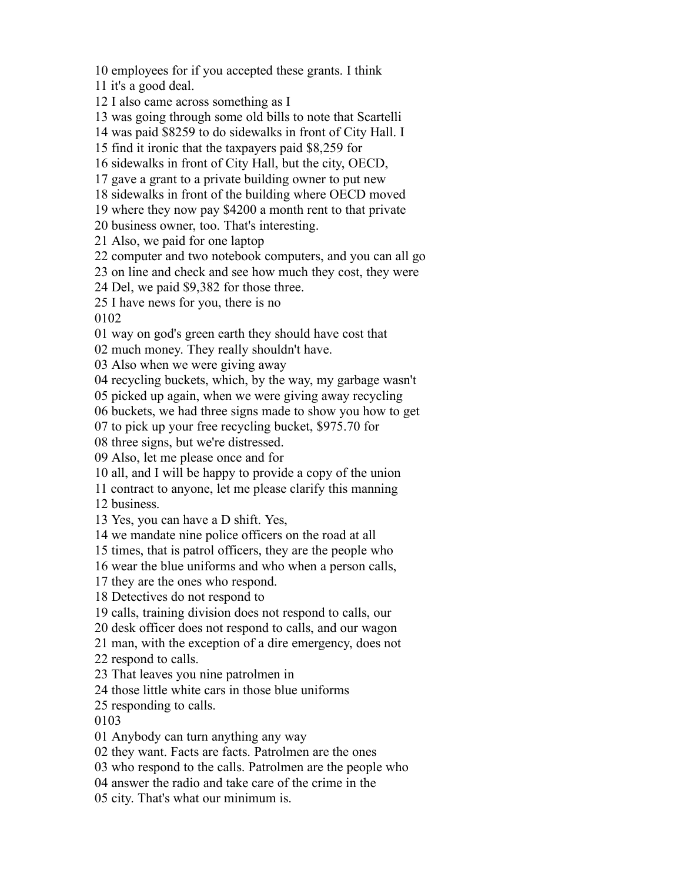employees for if you accepted these grants. I think

it's a good deal.

I also came across something as I

was going through some old bills to note that Scartelli

was paid \$8259 to do sidewalks in front of City Hall. I

find it ironic that the taxpayers paid \$8,259 for

sidewalks in front of City Hall, but the city, OECD,

gave a grant to a private building owner to put new

sidewalks in front of the building where OECD moved

where they now pay \$4200 a month rent to that private

business owner, too. That's interesting.

Also, we paid for one laptop

computer and two notebook computers, and you can all go

on line and check and see how much they cost, they were

Del, we paid \$9,382 for those three.

I have news for you, there is no

way on god's green earth they should have cost that

much money. They really shouldn't have.

Also when we were giving away

recycling buckets, which, by the way, my garbage wasn't

picked up again, when we were giving away recycling

buckets, we had three signs made to show you how to get

to pick up your free recycling bucket, \$975.70 for

three signs, but we're distressed.

Also, let me please once and for

all, and I will be happy to provide a copy of the union

contract to anyone, let me please clarify this manning

business.

Yes, you can have a D shift. Yes,

we mandate nine police officers on the road at all

times, that is patrol officers, they are the people who

wear the blue uniforms and who when a person calls,

they are the ones who respond.

Detectives do not respond to

calls, training division does not respond to calls, our

desk officer does not respond to calls, and our wagon

man, with the exception of a dire emergency, does not

respond to calls.

That leaves you nine patrolmen in

those little white cars in those blue uniforms

responding to calls.

Anybody can turn anything any way

they want. Facts are facts. Patrolmen are the ones

who respond to the calls. Patrolmen are the people who

answer the radio and take care of the crime in the

city. That's what our minimum is.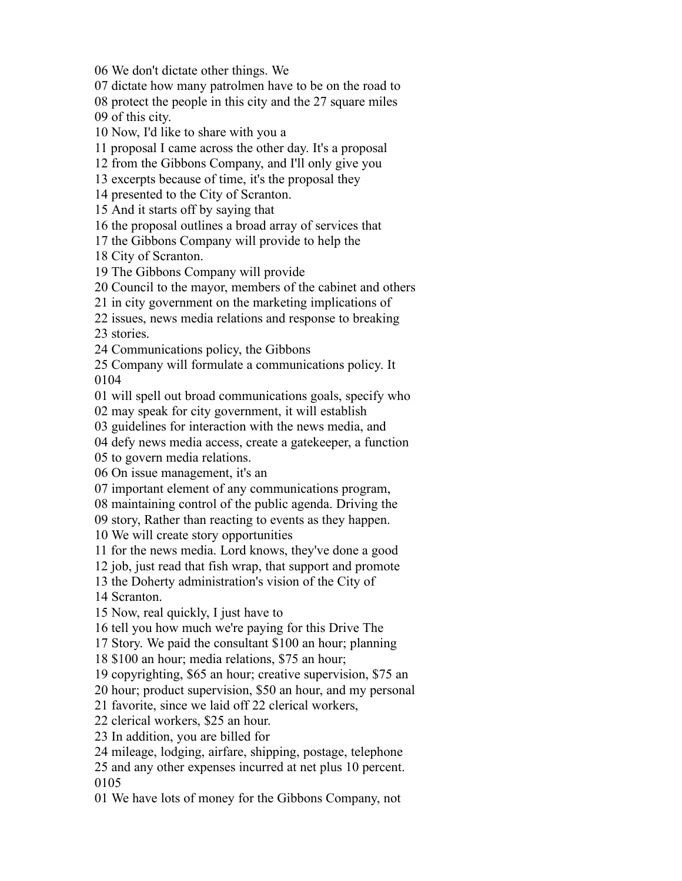We don't dictate other things. We

dictate how many patrolmen have to be on the road to

protect the people in this city and the 27 square miles

of this city.

Now, I'd like to share with you a

proposal I came across the other day. It's a proposal

from the Gibbons Company, and I'll only give you

excerpts because of time, it's the proposal they

presented to the City of Scranton.

And it starts off by saying that

the proposal outlines a broad array of services that

the Gibbons Company will provide to help the

City of Scranton.

The Gibbons Company will provide

Council to the mayor, members of the cabinet and others

in city government on the marketing implications of

 issues, news media relations and response to breaking stories.

Communications policy, the Gibbons

 Company will formulate a communications policy. It 

will spell out broad communications goals, specify who

may speak for city government, it will establish

guidelines for interaction with the news media, and

defy news media access, create a gatekeeper, a function

to govern media relations.

On issue management, it's an

important element of any communications program,

maintaining control of the public agenda. Driving the

story, Rather than reacting to events as they happen.

We will create story opportunities

for the news media. Lord knows, they've done a good

job, just read that fish wrap, that support and promote

the Doherty administration's vision of the City of

Scranton.

Now, real quickly, I just have to

tell you how much we're paying for this Drive The

Story. We paid the consultant \$100 an hour; planning

\$100 an hour; media relations, \$75 an hour;

copyrighting, \$65 an hour; creative supervision, \$75 an

hour; product supervision, \$50 an hour, and my personal

favorite, since we laid off 22 clerical workers,

clerical workers, \$25 an hour.

In addition, you are billed for

mileage, lodging, airfare, shipping, postage, telephone

 and any other expenses incurred at net plus 10 percent. 

We have lots of money for the Gibbons Company, not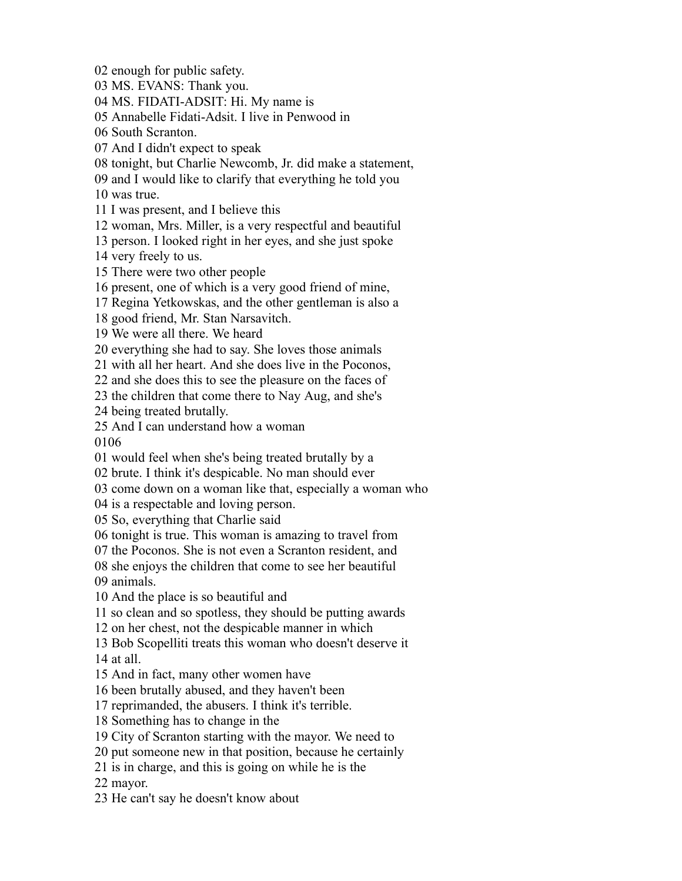enough for public safety.

MS. EVANS: Thank you.

MS. FIDATI-ADSIT: Hi. My name is

Annabelle Fidati-Adsit. I live in Penwood in

South Scranton.

And I didn't expect to speak

tonight, but Charlie Newcomb, Jr. did make a statement,

and I would like to clarify that everything he told you

was true.

I was present, and I believe this

woman, Mrs. Miller, is a very respectful and beautiful

person. I looked right in her eyes, and she just spoke

very freely to us.

There were two other people

present, one of which is a very good friend of mine,

Regina Yetkowskas, and the other gentleman is also a

good friend, Mr. Stan Narsavitch.

We were all there. We heard

everything she had to say. She loves those animals

with all her heart. And she does live in the Poconos,

and she does this to see the pleasure on the faces of

the children that come there to Nay Aug, and she's

being treated brutally.

And I can understand how a woman

would feel when she's being treated brutally by a

brute. I think it's despicable. No man should ever

come down on a woman like that, especially a woman who

is a respectable and loving person.

So, everything that Charlie said

tonight is true. This woman is amazing to travel from

the Poconos. She is not even a Scranton resident, and

 she enjoys the children that come to see her beautiful animals.

And the place is so beautiful and

so clean and so spotless, they should be putting awards

on her chest, not the despicable manner in which

 Bob Scopelliti treats this woman who doesn't deserve it at all.

And in fact, many other women have

been brutally abused, and they haven't been

reprimanded, the abusers. I think it's terrible.

Something has to change in the

City of Scranton starting with the mayor. We need to

put someone new in that position, because he certainly

is in charge, and this is going on while he is the

mayor.

He can't say he doesn't know about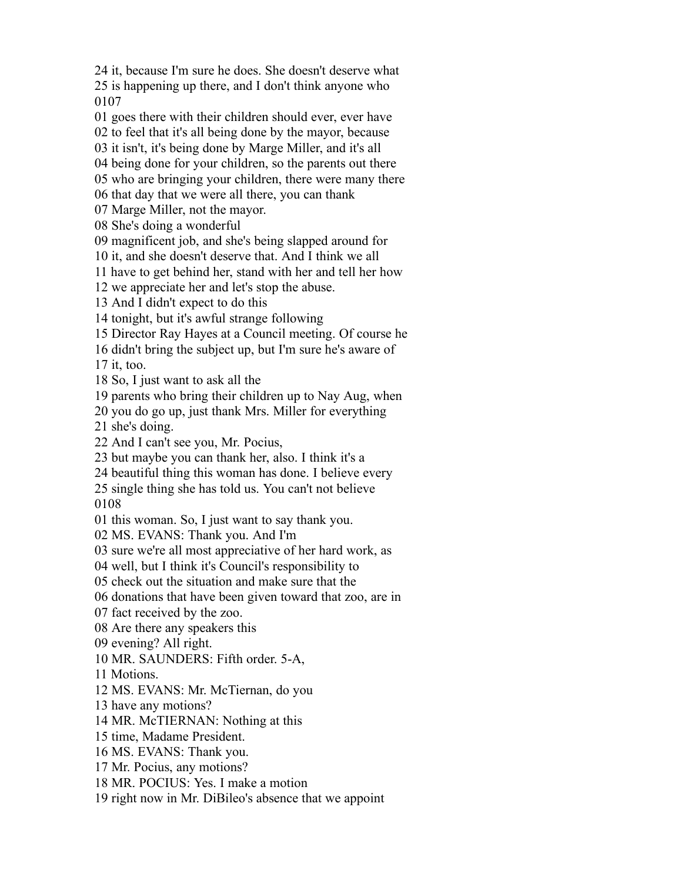it, because I'm sure he does. She doesn't deserve what

 is happening up there, and I don't think anyone who 

goes there with their children should ever, ever have

to feel that it's all being done by the mayor, because

it isn't, it's being done by Marge Miller, and it's all

being done for your children, so the parents out there

who are bringing your children, there were many there

that day that we were all there, you can thank

Marge Miller, not the mayor.

She's doing a wonderful

magnificent job, and she's being slapped around for

it, and she doesn't deserve that. And I think we all

have to get behind her, stand with her and tell her how

we appreciate her and let's stop the abuse.

And I didn't expect to do this

tonight, but it's awful strange following

Director Ray Hayes at a Council meeting. Of course he

didn't bring the subject up, but I'm sure he's aware of

it, too.

So, I just want to ask all the

parents who bring their children up to Nay Aug, when

you do go up, just thank Mrs. Miller for everything

she's doing.

And I can't see you, Mr. Pocius,

but maybe you can thank her, also. I think it's a

beautiful thing this woman has done. I believe every

 single thing she has told us. You can't not believe 

this woman. So, I just want to say thank you.

MS. EVANS: Thank you. And I'm

sure we're all most appreciative of her hard work, as

well, but I think it's Council's responsibility to

check out the situation and make sure that the

donations that have been given toward that zoo, are in

fact received by the zoo.

Are there any speakers this

evening? All right.

MR. SAUNDERS: Fifth order. 5-A,

Motions.

MS. EVANS: Mr. McTiernan, do you

have any motions?

MR. McTIERNAN: Nothing at this

time, Madame President.

MS. EVANS: Thank you.

Mr. Pocius, any motions?

MR. POCIUS: Yes. I make a motion

right now in Mr. DiBileo's absence that we appoint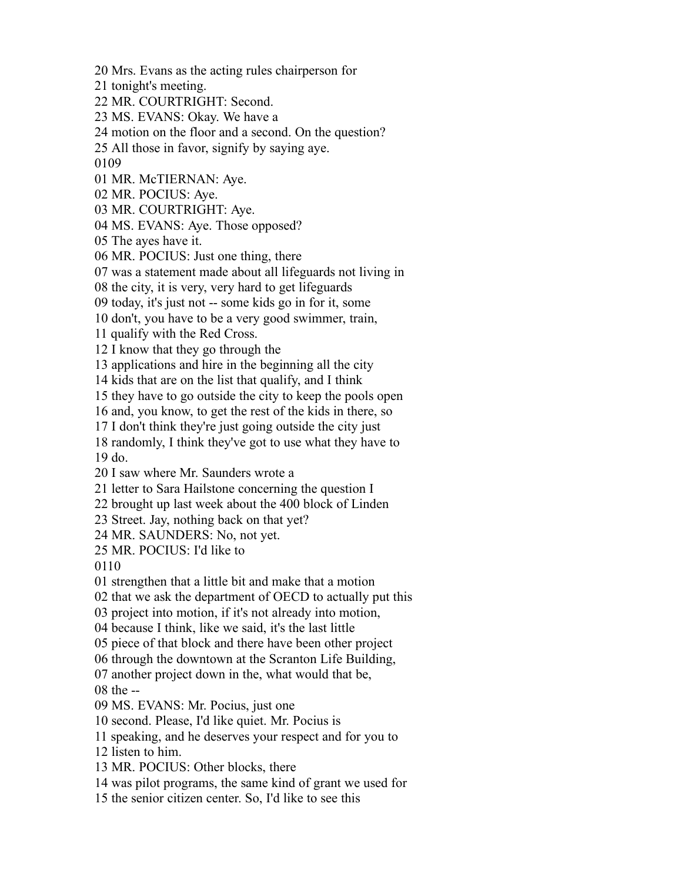Mrs. Evans as the acting rules chairperson for

tonight's meeting.

MR. COURTRIGHT: Second.

MS. EVANS: Okay. We have a

motion on the floor and a second. On the question?

All those in favor, signify by saying aye.

MR. McTIERNAN: Aye.

MR. POCIUS: Aye.

MR. COURTRIGHT: Aye.

MS. EVANS: Aye. Those opposed?

The ayes have it.

MR. POCIUS: Just one thing, there

was a statement made about all lifeguards not living in

the city, it is very, very hard to get lifeguards

today, it's just not -- some kids go in for it, some

don't, you have to be a very good swimmer, train,

qualify with the Red Cross.

I know that they go through the

applications and hire in the beginning all the city

kids that are on the list that qualify, and I think

they have to go outside the city to keep the pools open

and, you know, to get the rest of the kids in there, so

I don't think they're just going outside the city just

 randomly, I think they've got to use what they have to do.

I saw where Mr. Saunders wrote a

letter to Sara Hailstone concerning the question I

brought up last week about the 400 block of Linden

Street. Jay, nothing back on that yet?

MR. SAUNDERS: No, not yet.

MR. POCIUS: I'd like to

strengthen that a little bit and make that a motion

that we ask the department of OECD to actually put this

project into motion, if it's not already into motion,

because I think, like we said, it's the last little

piece of that block and there have been other project

through the downtown at the Scranton Life Building,

another project down in the, what would that be,

the --

MS. EVANS: Mr. Pocius, just one

second. Please, I'd like quiet. Mr. Pocius is

speaking, and he deserves your respect and for you to

listen to him.

MR. POCIUS: Other blocks, there

was pilot programs, the same kind of grant we used for

the senior citizen center. So, I'd like to see this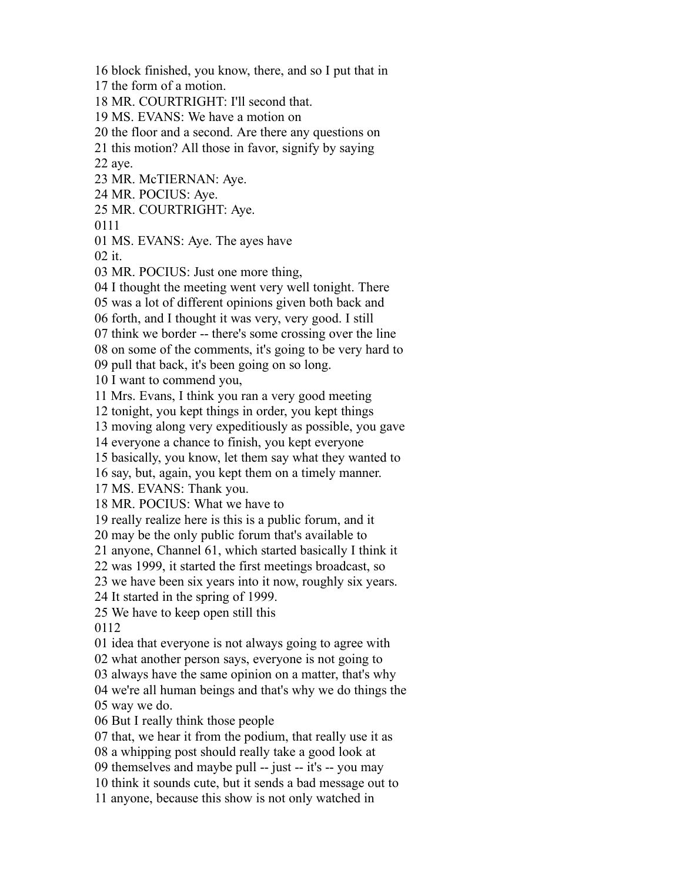the form of a motion. MR. COURTRIGHT: I'll second that. MS. EVANS: We have a motion on the floor and a second. Are there any questions on this motion? All those in favor, signify by saying aye. MR. McTIERNAN: Aye. MR. POCIUS: Aye. MR. COURTRIGHT: Aye. MS. EVANS: Aye. The ayes have it. MR. POCIUS: Just one more thing, I thought the meeting went very well tonight. There was a lot of different opinions given both back and forth, and I thought it was very, very good. I still think we border -- there's some crossing over the line on some of the comments, it's going to be very hard to pull that back, it's been going on so long. I want to commend you, Mrs. Evans, I think you ran a very good meeting tonight, you kept things in order, you kept things moving along very expeditiously as possible, you gave everyone a chance to finish, you kept everyone basically, you know, let them say what they wanted to say, but, again, you kept them on a timely manner. MS. EVANS: Thank you. MR. POCIUS: What we have to really realize here is this is a public forum, and it may be the only public forum that's available to anyone, Channel 61, which started basically I think it was 1999, it started the first meetings broadcast, so we have been six years into it now, roughly six years. It started in the spring of 1999. We have to keep open still this idea that everyone is not always going to agree with what another person says, everyone is not going to always have the same opinion on a matter, that's why we're all human beings and that's why we do things the way we do. But I really think those people that, we hear it from the podium, that really use it as a whipping post should really take a good look at themselves and maybe pull -- just -- it's -- you may think it sounds cute, but it sends a bad message out to anyone, because this show is not only watched in

block finished, you know, there, and so I put that in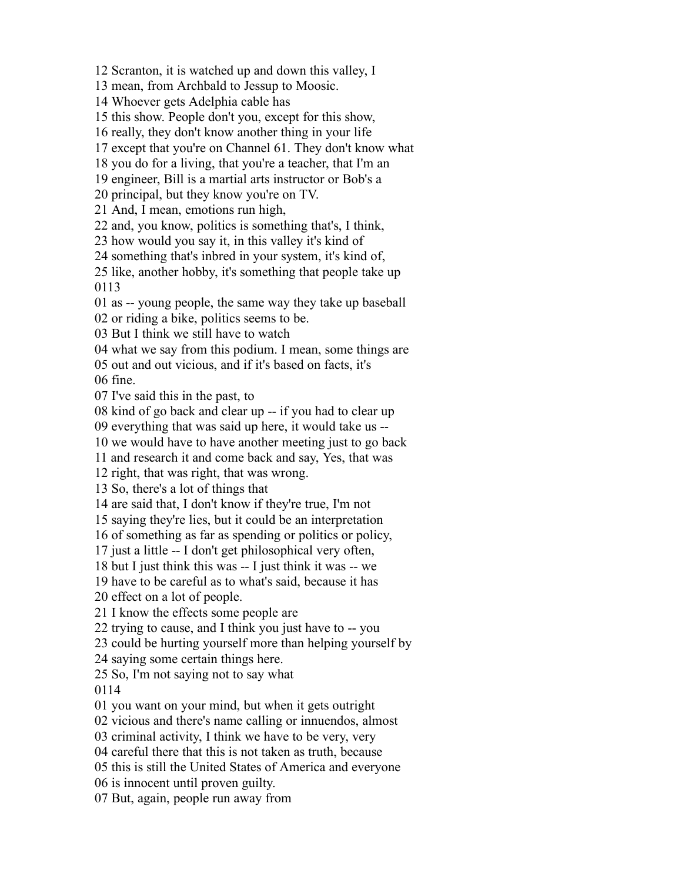Scranton, it is watched up and down this valley, I

mean, from Archbald to Jessup to Moosic.

Whoever gets Adelphia cable has

this show. People don't you, except for this show,

really, they don't know another thing in your life

except that you're on Channel 61. They don't know what

you do for a living, that you're a teacher, that I'm an

engineer, Bill is a martial arts instructor or Bob's a

principal, but they know you're on TV.

And, I mean, emotions run high,

and, you know, politics is something that's, I think,

how would you say it, in this valley it's kind of

something that's inbred in your system, it's kind of,

 like, another hobby, it's something that people take up 

as -- young people, the same way they take up baseball

or riding a bike, politics seems to be.

But I think we still have to watch

what we say from this podium. I mean, some things are

out and out vicious, and if it's based on facts, it's

fine.

I've said this in the past, to

kind of go back and clear up -- if you had to clear up

everything that was said up here, it would take us --

we would have to have another meeting just to go back

and research it and come back and say, Yes, that was

right, that was right, that was wrong.

So, there's a lot of things that

are said that, I don't know if they're true, I'm not

saying they're lies, but it could be an interpretation

of something as far as spending or politics or policy,

just a little -- I don't get philosophical very often,

but I just think this was -- I just think it was -- we

have to be careful as to what's said, because it has

effect on a lot of people.

I know the effects some people are

trying to cause, and I think you just have to -- you

could be hurting yourself more than helping yourself by

saying some certain things here.

So, I'm not saying not to say what

you want on your mind, but when it gets outright

vicious and there's name calling or innuendos, almost

criminal activity, I think we have to be very, very

careful there that this is not taken as truth, because

this is still the United States of America and everyone

is innocent until proven guilty.

But, again, people run away from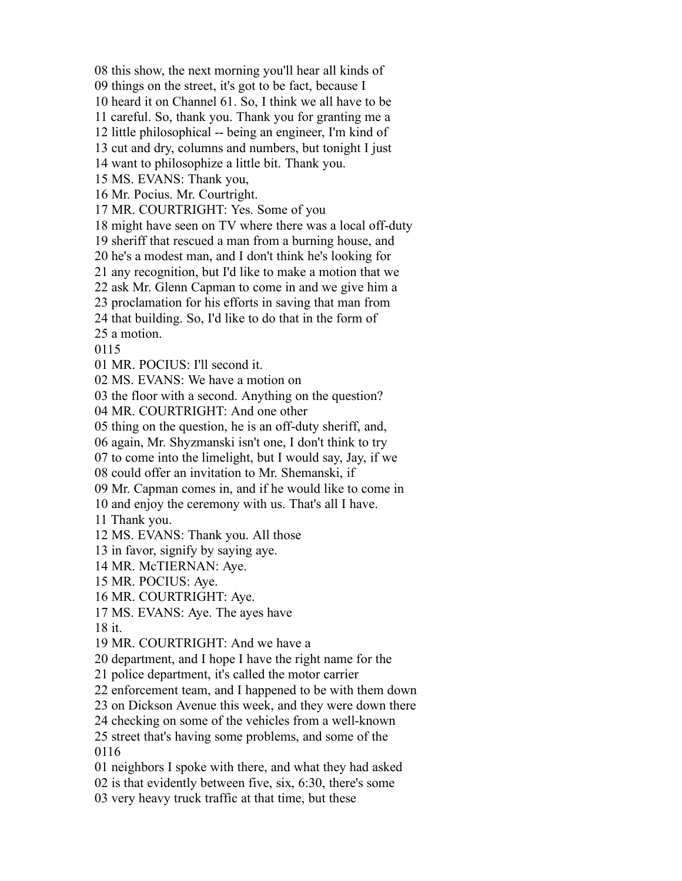this show, the next morning you'll hear all kinds of

things on the street, it's got to be fact, because I

heard it on Channel 61. So, I think we all have to be

careful. So, thank you. Thank you for granting me a

little philosophical -- being an engineer, I'm kind of

cut and dry, columns and numbers, but tonight I just

want to philosophize a little bit. Thank you.

MS. EVANS: Thank you,

Mr. Pocius. Mr. Courtright.

MR. COURTRIGHT: Yes. Some of you

might have seen on TV where there was a local off-duty

sheriff that rescued a man from a burning house, and

he's a modest man, and I don't think he's looking for

any recognition, but I'd like to make a motion that we

ask Mr. Glenn Capman to come in and we give him a

proclamation for his efforts in saving that man from

that building. So, I'd like to do that in the form of

a motion.

MR. POCIUS: I'll second it.

MS. EVANS: We have a motion on

the floor with a second. Anything on the question?

MR. COURTRIGHT: And one other

thing on the question, he is an off-duty sheriff, and,

again, Mr. Shyzmanski isn't one, I don't think to try

to come into the limelight, but I would say, Jay, if we

could offer an invitation to Mr. Shemanski, if

Mr. Capman comes in, and if he would like to come in

and enjoy the ceremony with us. That's all I have.

Thank you.

MS. EVANS: Thank you. All those

in favor, signify by saying aye.

MR. McTIERNAN: Aye.

MR. POCIUS: Aye.

MR. COURTRIGHT: Aye.

MS. EVANS: Aye. The ayes have

it.

MR. COURTRIGHT: And we have a

department, and I hope I have the right name for the

police department, it's called the motor carrier

enforcement team, and I happened to be with them down

on Dickson Avenue this week, and they were down there

checking on some of the vehicles from a well-known

 street that's having some problems, and some of the 

neighbors I spoke with there, and what they had asked

is that evidently between five, six, 6:30, there's some

very heavy truck traffic at that time, but these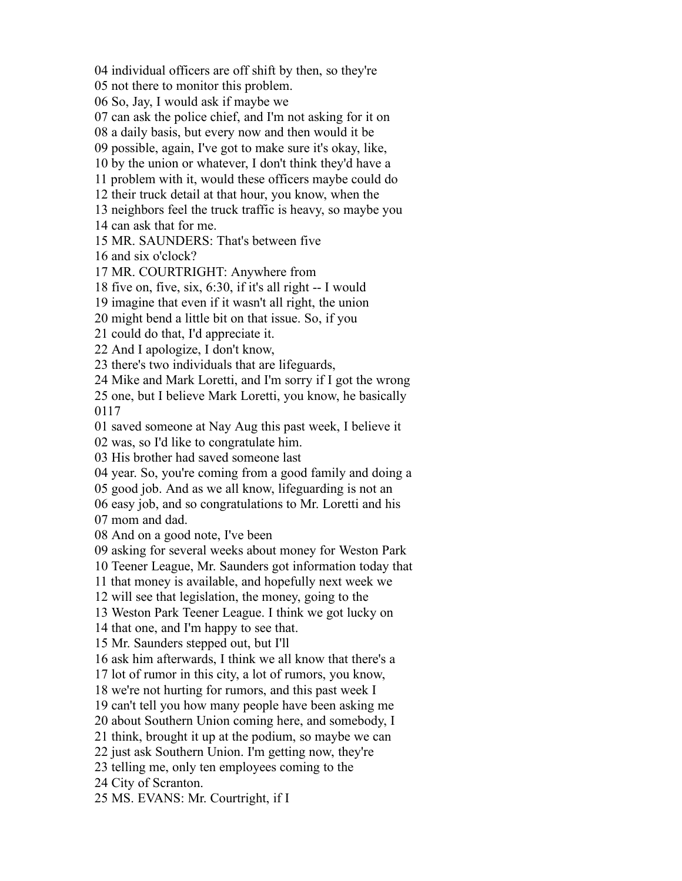individual officers are off shift by then, so they're

not there to monitor this problem.

So, Jay, I would ask if maybe we

can ask the police chief, and I'm not asking for it on

a daily basis, but every now and then would it be

possible, again, I've got to make sure it's okay, like,

by the union or whatever, I don't think they'd have a

problem with it, would these officers maybe could do

their truck detail at that hour, you know, when the

neighbors feel the truck traffic is heavy, so maybe you

can ask that for me.

MR. SAUNDERS: That's between five

and six o'clock?

MR. COURTRIGHT: Anywhere from

five on, five, six, 6:30, if it's all right -- I would

imagine that even if it wasn't all right, the union

might bend a little bit on that issue. So, if you

could do that, I'd appreciate it.

And I apologize, I don't know,

there's two individuals that are lifeguards,

Mike and Mark Loretti, and I'm sorry if I got the wrong

 one, but I believe Mark Loretti, you know, he basically 

saved someone at Nay Aug this past week, I believe it

was, so I'd like to congratulate him.

His brother had saved someone last

year. So, you're coming from a good family and doing a

good job. And as we all know, lifeguarding is not an

easy job, and so congratulations to Mr. Loretti and his

mom and dad.

And on a good note, I've been

asking for several weeks about money for Weston Park

Teener League, Mr. Saunders got information today that

that money is available, and hopefully next week we

will see that legislation, the money, going to the

Weston Park Teener League. I think we got lucky on

that one, and I'm happy to see that.

Mr. Saunders stepped out, but I'll

ask him afterwards, I think we all know that there's a

lot of rumor in this city, a lot of rumors, you know,

we're not hurting for rumors, and this past week I

can't tell you how many people have been asking me

about Southern Union coming here, and somebody, I

think, brought it up at the podium, so maybe we can

just ask Southern Union. I'm getting now, they're

telling me, only ten employees coming to the

City of Scranton.

MS. EVANS: Mr. Courtright, if I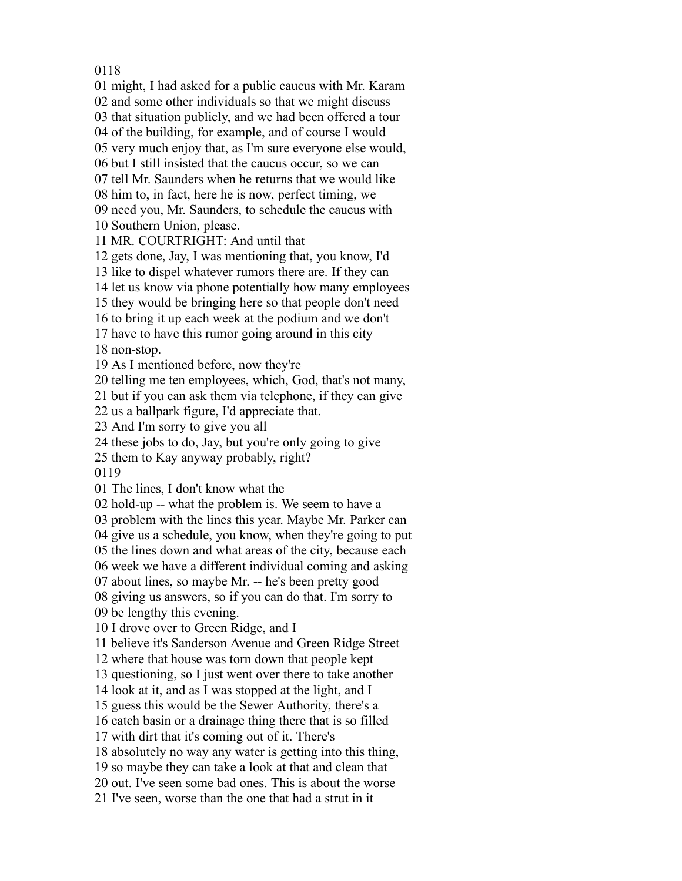might, I had asked for a public caucus with Mr. Karam

and some other individuals so that we might discuss

that situation publicly, and we had been offered a tour

of the building, for example, and of course I would

very much enjoy that, as I'm sure everyone else would,

but I still insisted that the caucus occur, so we can

tell Mr. Saunders when he returns that we would like

him to, in fact, here he is now, perfect timing, we

need you, Mr. Saunders, to schedule the caucus with

Southern Union, please.

MR. COURTRIGHT: And until that

gets done, Jay, I was mentioning that, you know, I'd

like to dispel whatever rumors there are. If they can

let us know via phone potentially how many employees

they would be bringing here so that people don't need

to bring it up each week at the podium and we don't

 have to have this rumor going around in this city non-stop.

As I mentioned before, now they're

telling me ten employees, which, God, that's not many,

but if you can ask them via telephone, if they can give

us a ballpark figure, I'd appreciate that.

And I'm sorry to give you all

these jobs to do, Jay, but you're only going to give

them to Kay anyway probably, right?

The lines, I don't know what the

hold-up -- what the problem is. We seem to have a

problem with the lines this year. Maybe Mr. Parker can

give us a schedule, you know, when they're going to put

the lines down and what areas of the city, because each

week we have a different individual coming and asking

about lines, so maybe Mr. -- he's been pretty good

giving us answers, so if you can do that. I'm sorry to

be lengthy this evening.

I drove over to Green Ridge, and I

believe it's Sanderson Avenue and Green Ridge Street

where that house was torn down that people kept

questioning, so I just went over there to take another

look at it, and as I was stopped at the light, and I

guess this would be the Sewer Authority, there's a

catch basin or a drainage thing there that is so filled

with dirt that it's coming out of it. There's

absolutely no way any water is getting into this thing,

so maybe they can take a look at that and clean that

out. I've seen some bad ones. This is about the worse

I've seen, worse than the one that had a strut in it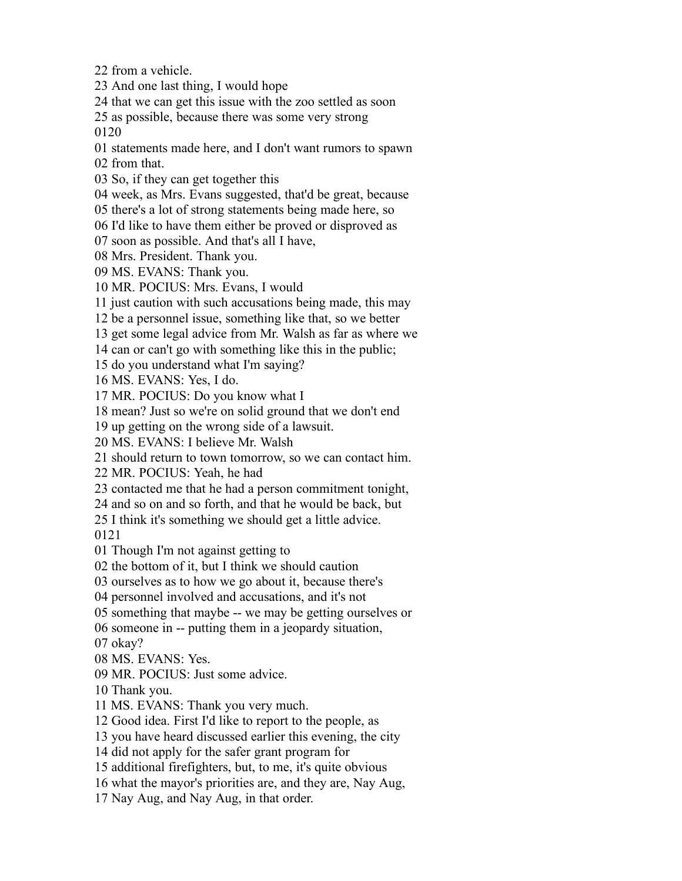from a vehicle.

And one last thing, I would hope

that we can get this issue with the zoo settled as soon

as possible, because there was some very strong

statements made here, and I don't want rumors to spawn

from that.

So, if they can get together this

week, as Mrs. Evans suggested, that'd be great, because

there's a lot of strong statements being made here, so

I'd like to have them either be proved or disproved as

soon as possible. And that's all I have,

Mrs. President. Thank you.

MS. EVANS: Thank you.

MR. POCIUS: Mrs. Evans, I would

just caution with such accusations being made, this may

be a personnel issue, something like that, so we better

get some legal advice from Mr. Walsh as far as where we

can or can't go with something like this in the public;

do you understand what I'm saying?

MS. EVANS: Yes, I do.

MR. POCIUS: Do you know what I

mean? Just so we're on solid ground that we don't end

up getting on the wrong side of a lawsuit.

MS. EVANS: I believe Mr. Walsh

should return to town tomorrow, so we can contact him.

MR. POCIUS: Yeah, he had

contacted me that he had a person commitment tonight,

and so on and so forth, and that he would be back, but

I think it's something we should get a little advice.

Though I'm not against getting to

the bottom of it, but I think we should caution

ourselves as to how we go about it, because there's

personnel involved and accusations, and it's not

something that maybe -- we may be getting ourselves or

someone in -- putting them in a jeopardy situation,

okay?

MS. EVANS: Yes.

MR. POCIUS: Just some advice.

Thank you.

MS. EVANS: Thank you very much.

Good idea. First I'd like to report to the people, as

you have heard discussed earlier this evening, the city

did not apply for the safer grant program for

additional firefighters, but, to me, it's quite obvious

what the mayor's priorities are, and they are, Nay Aug,

Nay Aug, and Nay Aug, in that order.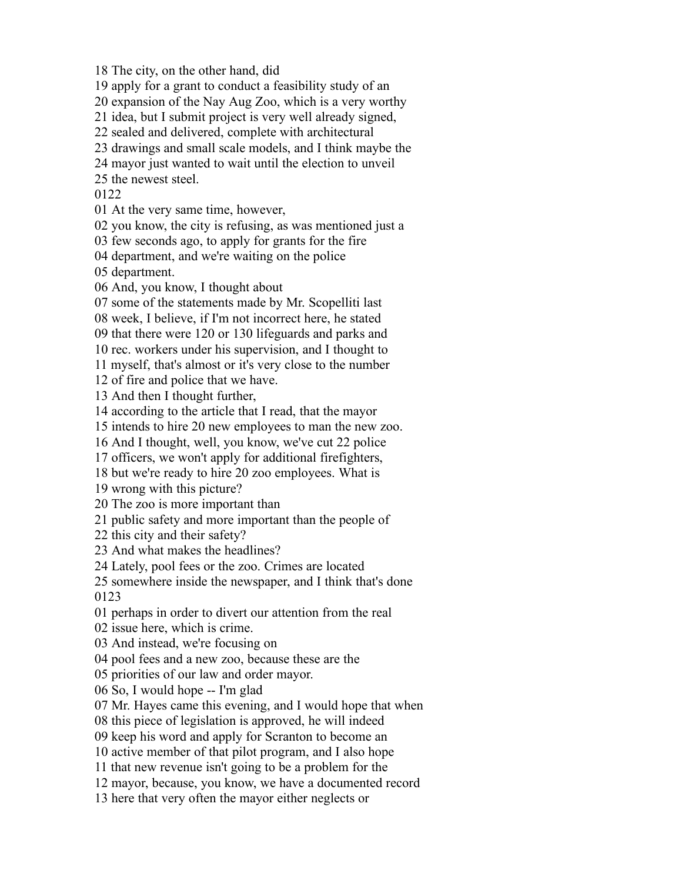The city, on the other hand, did

apply for a grant to conduct a feasibility study of an

expansion of the Nay Aug Zoo, which is a very worthy

idea, but I submit project is very well already signed,

sealed and delivered, complete with architectural

drawings and small scale models, and I think maybe the

mayor just wanted to wait until the election to unveil

the newest steel.

At the very same time, however,

you know, the city is refusing, as was mentioned just a

few seconds ago, to apply for grants for the fire

department, and we're waiting on the police

department.

And, you know, I thought about

some of the statements made by Mr. Scopelliti last

week, I believe, if I'm not incorrect here, he stated

that there were 120 or 130 lifeguards and parks and

rec. workers under his supervision, and I thought to

myself, that's almost or it's very close to the number

of fire and police that we have.

And then I thought further,

according to the article that I read, that the mayor

intends to hire 20 new employees to man the new zoo.

And I thought, well, you know, we've cut 22 police

officers, we won't apply for additional firefighters,

but we're ready to hire 20 zoo employees. What is

wrong with this picture?

The zoo is more important than

public safety and more important than the people of

this city and their safety?

And what makes the headlines?

Lately, pool fees or the zoo. Crimes are located

 somewhere inside the newspaper, and I think that's done 

perhaps in order to divert our attention from the real

issue here, which is crime.

And instead, we're focusing on

pool fees and a new zoo, because these are the

priorities of our law and order mayor.

So, I would hope -- I'm glad

Mr. Hayes came this evening, and I would hope that when

this piece of legislation is approved, he will indeed

keep his word and apply for Scranton to become an

active member of that pilot program, and I also hope

that new revenue isn't going to be a problem for the

mayor, because, you know, we have a documented record

here that very often the mayor either neglects or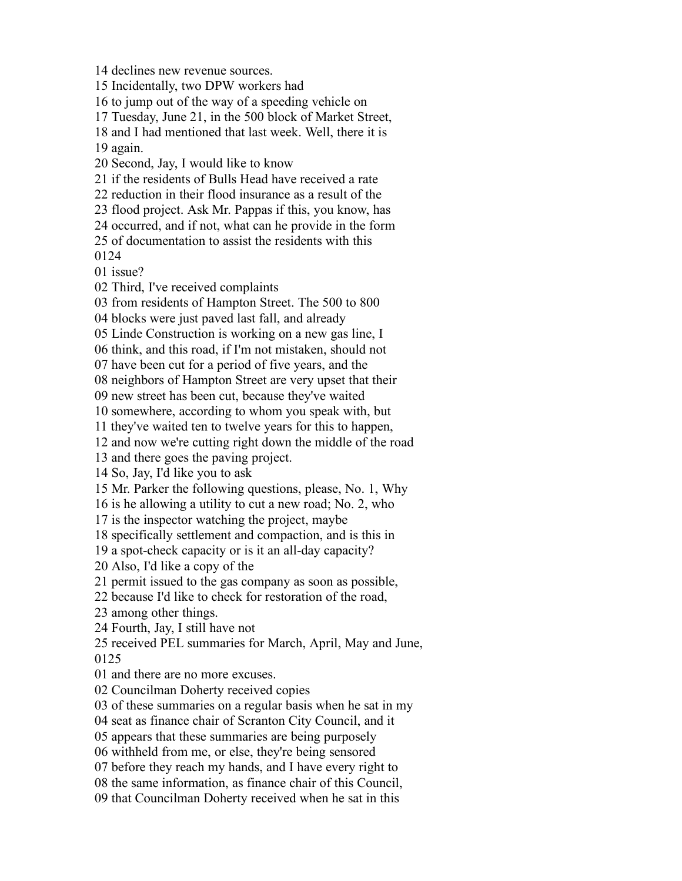declines new revenue sources. Incidentally, two DPW workers had to jump out of the way of a speeding vehicle on Tuesday, June 21, in the 500 block of Market Street, and I had mentioned that last week. Well, there it is again. Second, Jay, I would like to know if the residents of Bulls Head have received a rate reduction in their flood insurance as a result of the flood project. Ask Mr. Pappas if this, you know, has occurred, and if not, what can he provide in the form of documentation to assist the residents with this issue? Third, I've received complaints from residents of Hampton Street. The 500 to 800 blocks were just paved last fall, and already Linde Construction is working on a new gas line, I think, and this road, if I'm not mistaken, should not have been cut for a period of five years, and the neighbors of Hampton Street are very upset that their new street has been cut, because they've waited somewhere, according to whom you speak with, but they've waited ten to twelve years for this to happen, and now we're cutting right down the middle of the road and there goes the paving project. So, Jay, I'd like you to ask Mr. Parker the following questions, please, No. 1, Why is he allowing a utility to cut a new road; No. 2, who is the inspector watching the project, maybe specifically settlement and compaction, and is this in a spot-check capacity or is it an all-day capacity? Also, I'd like a copy of the permit issued to the gas company as soon as possible, because I'd like to check for restoration of the road, among other things. Fourth, Jay, I still have not received PEL summaries for March, April, May and June, and there are no more excuses. Councilman Doherty received copies of these summaries on a regular basis when he sat in my seat as finance chair of Scranton City Council, and it appears that these summaries are being purposely withheld from me, or else, they're being sensored before they reach my hands, and I have every right to the same information, as finance chair of this Council, that Councilman Doherty received when he sat in this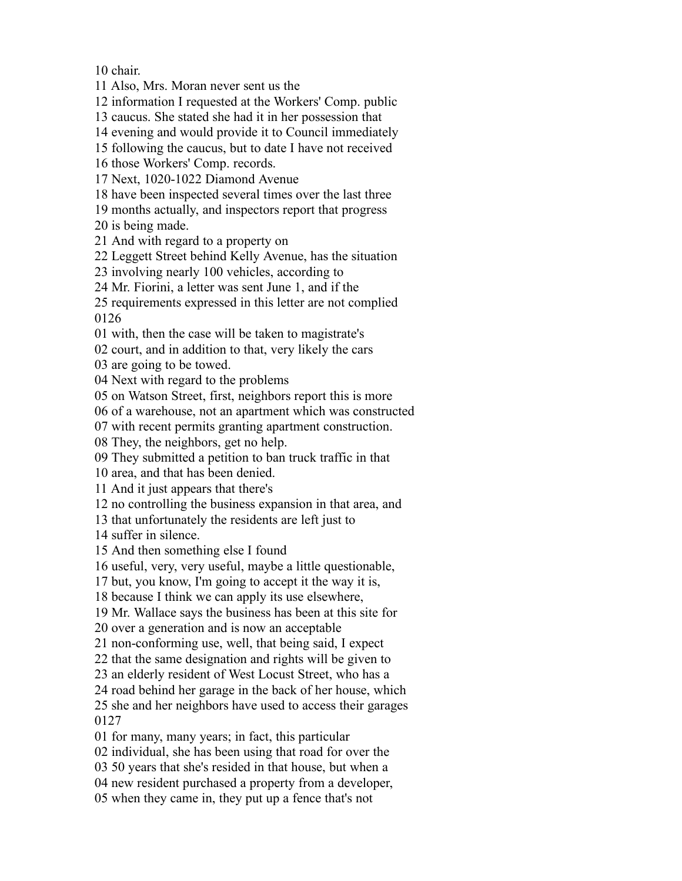chair.

Also, Mrs. Moran never sent us the

information I requested at the Workers' Comp. public

caucus. She stated she had it in her possession that

evening and would provide it to Council immediately

following the caucus, but to date I have not received

those Workers' Comp. records.

Next, 1020-1022 Diamond Avenue

have been inspected several times over the last three

months actually, and inspectors report that progress

is being made.

And with regard to a property on

Leggett Street behind Kelly Avenue, has the situation

involving nearly 100 vehicles, according to

Mr. Fiorini, a letter was sent June 1, and if the

 requirements expressed in this letter are not complied 

with, then the case will be taken to magistrate's

court, and in addition to that, very likely the cars

are going to be towed.

Next with regard to the problems

on Watson Street, first, neighbors report this is more

of a warehouse, not an apartment which was constructed

with recent permits granting apartment construction.

They, the neighbors, get no help.

They submitted a petition to ban truck traffic in that

area, and that has been denied.

And it just appears that there's

no controlling the business expansion in that area, and

that unfortunately the residents are left just to

suffer in silence.

And then something else I found

useful, very, very useful, maybe a little questionable,

but, you know, I'm going to accept it the way it is,

because I think we can apply its use elsewhere,

Mr. Wallace says the business has been at this site for

over a generation and is now an acceptable

non-conforming use, well, that being said, I expect

that the same designation and rights will be given to

an elderly resident of West Locust Street, who has a

road behind her garage in the back of her house, which

 she and her neighbors have used to access their garages 

for many, many years; in fact, this particular

individual, she has been using that road for over the

50 years that she's resided in that house, but when a

new resident purchased a property from a developer,

when they came in, they put up a fence that's not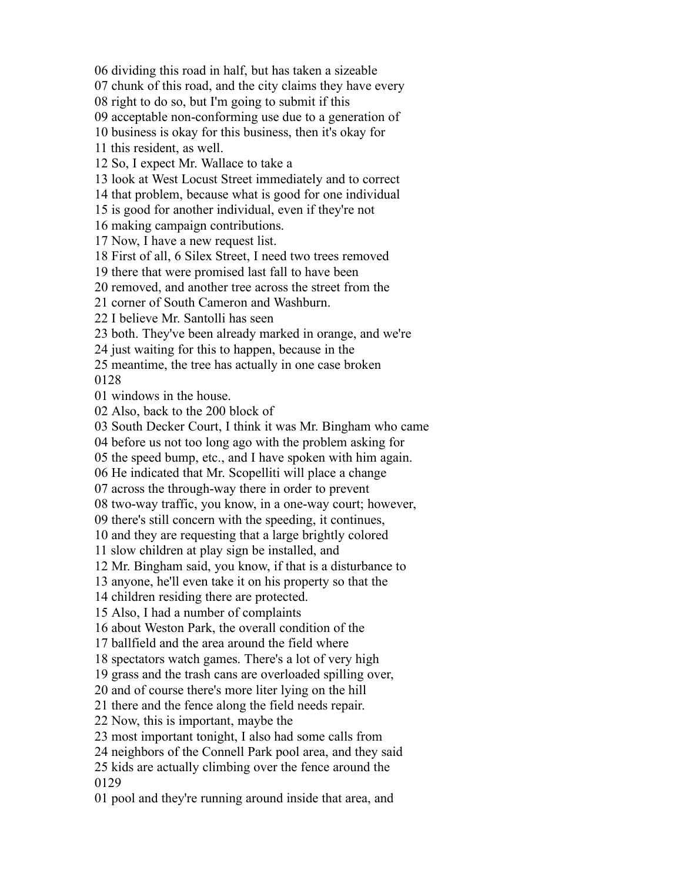dividing this road in half, but has taken a sizeable

chunk of this road, and the city claims they have every

right to do so, but I'm going to submit if this

acceptable non-conforming use due to a generation of

business is okay for this business, then it's okay for

this resident, as well.

So, I expect Mr. Wallace to take a

look at West Locust Street immediately and to correct

that problem, because what is good for one individual

is good for another individual, even if they're not

making campaign contributions.

Now, I have a new request list.

First of all, 6 Silex Street, I need two trees removed

there that were promised last fall to have been

removed, and another tree across the street from the

corner of South Cameron and Washburn.

I believe Mr. Santolli has seen

both. They've been already marked in orange, and we're

just waiting for this to happen, because in the

 meantime, the tree has actually in one case broken 

windows in the house.

Also, back to the 200 block of

South Decker Court, I think it was Mr. Bingham who came

before us not too long ago with the problem asking for

the speed bump, etc., and I have spoken with him again.

He indicated that Mr. Scopelliti will place a change

across the through-way there in order to prevent

two-way traffic, you know, in a one-way court; however,

there's still concern with the speeding, it continues,

and they are requesting that a large brightly colored

slow children at play sign be installed, and

Mr. Bingham said, you know, if that is a disturbance to

anyone, he'll even take it on his property so that the

children residing there are protected.

Also, I had a number of complaints

about Weston Park, the overall condition of the

ballfield and the area around the field where

spectators watch games. There's a lot of very high

grass and the trash cans are overloaded spilling over,

and of course there's more liter lying on the hill

there and the fence along the field needs repair.

Now, this is important, maybe the

most important tonight, I also had some calls from

neighbors of the Connell Park pool area, and they said

 kids are actually climbing over the fence around the 

pool and they're running around inside that area, and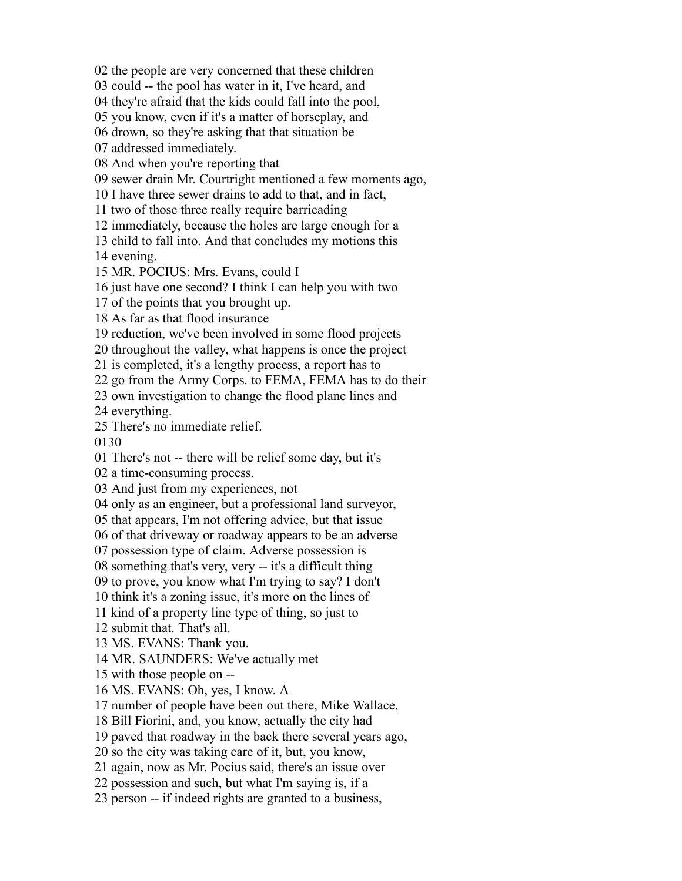the people are very concerned that these children

could -- the pool has water in it, I've heard, and

they're afraid that the kids could fall into the pool,

you know, even if it's a matter of horseplay, and

drown, so they're asking that that situation be

addressed immediately.

And when you're reporting that

sewer drain Mr. Courtright mentioned a few moments ago,

I have three sewer drains to add to that, and in fact,

two of those three really require barricading

immediately, because the holes are large enough for a

child to fall into. And that concludes my motions this

evening.

MR. POCIUS: Mrs. Evans, could I

just have one second? I think I can help you with two

of the points that you brought up.

As far as that flood insurance

reduction, we've been involved in some flood projects

throughout the valley, what happens is once the project

is completed, it's a lengthy process, a report has to

go from the Army Corps. to FEMA, FEMA has to do their

own investigation to change the flood plane lines and

everything.

There's no immediate relief.

There's not -- there will be relief some day, but it's

a time-consuming process.

And just from my experiences, not

only as an engineer, but a professional land surveyor,

that appears, I'm not offering advice, but that issue

of that driveway or roadway appears to be an adverse

possession type of claim. Adverse possession is

something that's very, very -- it's a difficult thing

to prove, you know what I'm trying to say? I don't

think it's a zoning issue, it's more on the lines of

kind of a property line type of thing, so just to

submit that. That's all.

MS. EVANS: Thank you.

MR. SAUNDERS: We've actually met

with those people on --

MS. EVANS: Oh, yes, I know. A

number of people have been out there, Mike Wallace,

Bill Fiorini, and, you know, actually the city had

paved that roadway in the back there several years ago,

so the city was taking care of it, but, you know,

again, now as Mr. Pocius said, there's an issue over

possession and such, but what I'm saying is, if a

person -- if indeed rights are granted to a business,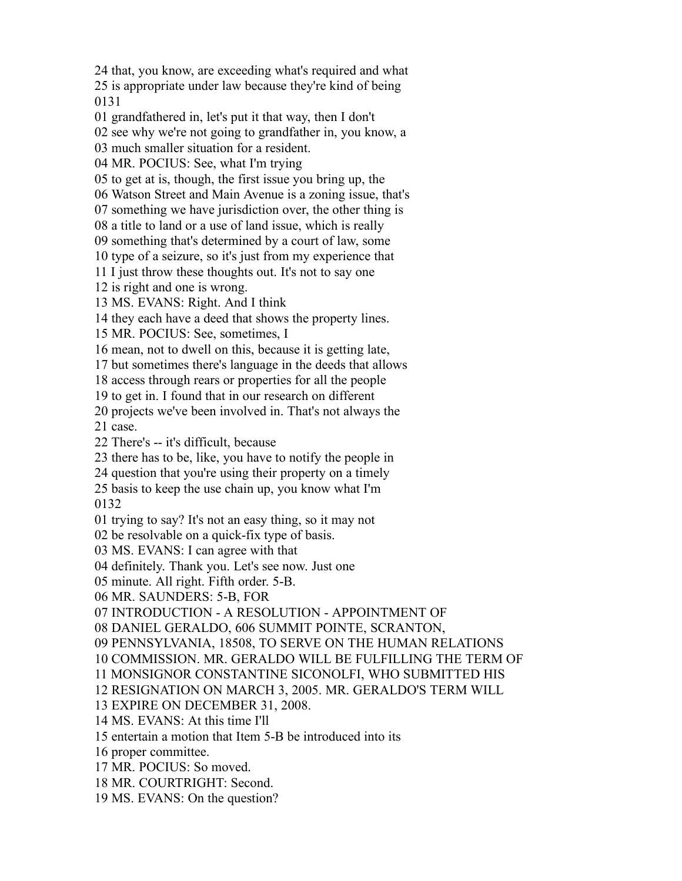that, you know, are exceeding what's required and what

 is appropriate under law because they're kind of being 

grandfathered in, let's put it that way, then I don't

see why we're not going to grandfather in, you know, a

much smaller situation for a resident.

MR. POCIUS: See, what I'm trying

to get at is, though, the first issue you bring up, the

Watson Street and Main Avenue is a zoning issue, that's

something we have jurisdiction over, the other thing is

a title to land or a use of land issue, which is really

something that's determined by a court of law, some

type of a seizure, so it's just from my experience that

I just throw these thoughts out. It's not to say one

is right and one is wrong.

MS. EVANS: Right. And I think

they each have a deed that shows the property lines.

MR. POCIUS: See, sometimes, I

mean, not to dwell on this, because it is getting late,

but sometimes there's language in the deeds that allows

access through rears or properties for all the people

to get in. I found that in our research on different

projects we've been involved in. That's not always the

case.

There's -- it's difficult, because

there has to be, like, you have to notify the people in

question that you're using their property on a timely

 basis to keep the use chain up, you know what I'm 

trying to say? It's not an easy thing, so it may not

be resolvable on a quick-fix type of basis.

MS. EVANS: I can agree with that

definitely. Thank you. Let's see now. Just one

minute. All right. Fifth order. 5-B.

MR. SAUNDERS: 5-B, FOR

INTRODUCTION - A RESOLUTION - APPOINTMENT OF

DANIEL GERALDO, 606 SUMMIT POINTE, SCRANTON,

PENNSYLVANIA, 18508, TO SERVE ON THE HUMAN RELATIONS

COMMISSION. MR. GERALDO WILL BE FULFILLING THE TERM OF

MONSIGNOR CONSTANTINE SICONOLFI, WHO SUBMITTED HIS

RESIGNATION ON MARCH 3, 2005. MR. GERALDO'S TERM WILL

EXPIRE ON DECEMBER 31, 2008.

MS. EVANS: At this time I'll

entertain a motion that Item 5-B be introduced into its

proper committee.

MR. POCIUS: So moved.

MR. COURTRIGHT: Second.

MS. EVANS: On the question?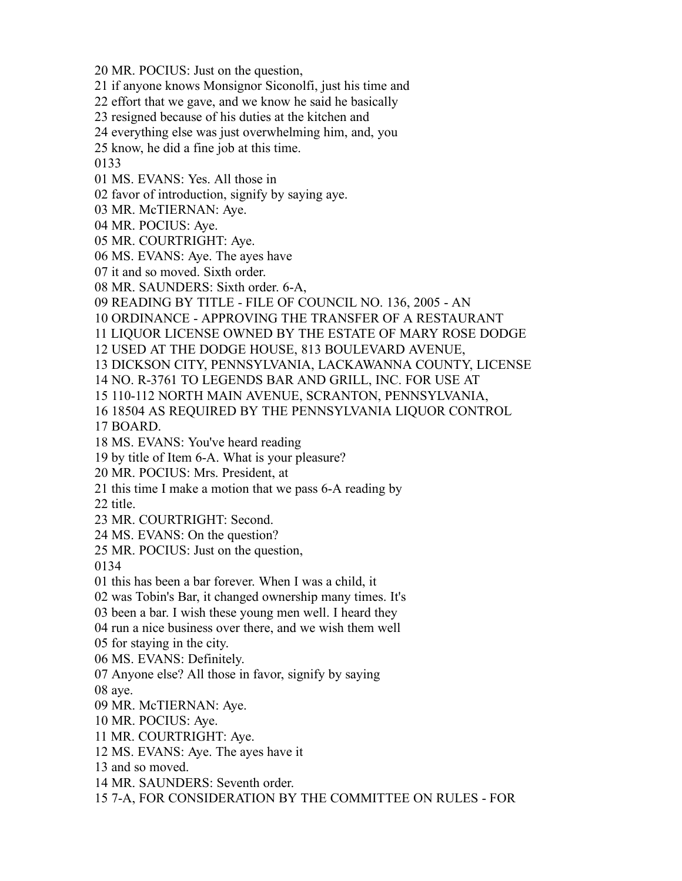MR. POCIUS: Just on the question,

if anyone knows Monsignor Siconolfi, just his time and

effort that we gave, and we know he said he basically

resigned because of his duties at the kitchen and

everything else was just overwhelming him, and, you

know, he did a fine job at this time.

MS. EVANS: Yes. All those in

favor of introduction, signify by saying aye.

MR. McTIERNAN: Aye.

MR. POCIUS: Aye.

MR. COURTRIGHT: Aye.

MS. EVANS: Aye. The ayes have

it and so moved. Sixth order.

MR. SAUNDERS: Sixth order. 6-A,

READING BY TITLE - FILE OF COUNCIL NO. 136, 2005 - AN

ORDINANCE - APPROVING THE TRANSFER OF A RESTAURANT

LIQUOR LICENSE OWNED BY THE ESTATE OF MARY ROSE DODGE

USED AT THE DODGE HOUSE, 813 BOULEVARD AVENUE,

DICKSON CITY, PENNSYLVANIA, LACKAWANNA COUNTY, LICENSE

NO. R-3761 TO LEGENDS BAR AND GRILL, INC. FOR USE AT

110-112 NORTH MAIN AVENUE, SCRANTON, PENNSYLVANIA,

18504 AS REQUIRED BY THE PENNSYLVANIA LIQUOR CONTROL

BOARD.

MS. EVANS: You've heard reading

by title of Item 6-A. What is your pleasure?

MR. POCIUS: Mrs. President, at

this time I make a motion that we pass 6-A reading by

title.

MR. COURTRIGHT: Second.

MS. EVANS: On the question?

MR. POCIUS: Just on the question,

this has been a bar forever. When I was a child, it

was Tobin's Bar, it changed ownership many times. It's

been a bar. I wish these young men well. I heard they

run a nice business over there, and we wish them well

for staying in the city.

MS. EVANS: Definitely.

Anyone else? All those in favor, signify by saying

aye.

MR. McTIERNAN: Aye.

MR. POCIUS: Aye.

MR. COURTRIGHT: Aye.

MS. EVANS: Aye. The ayes have it

and so moved.

MR. SAUNDERS: Seventh order.

7-A, FOR CONSIDERATION BY THE COMMITTEE ON RULES - FOR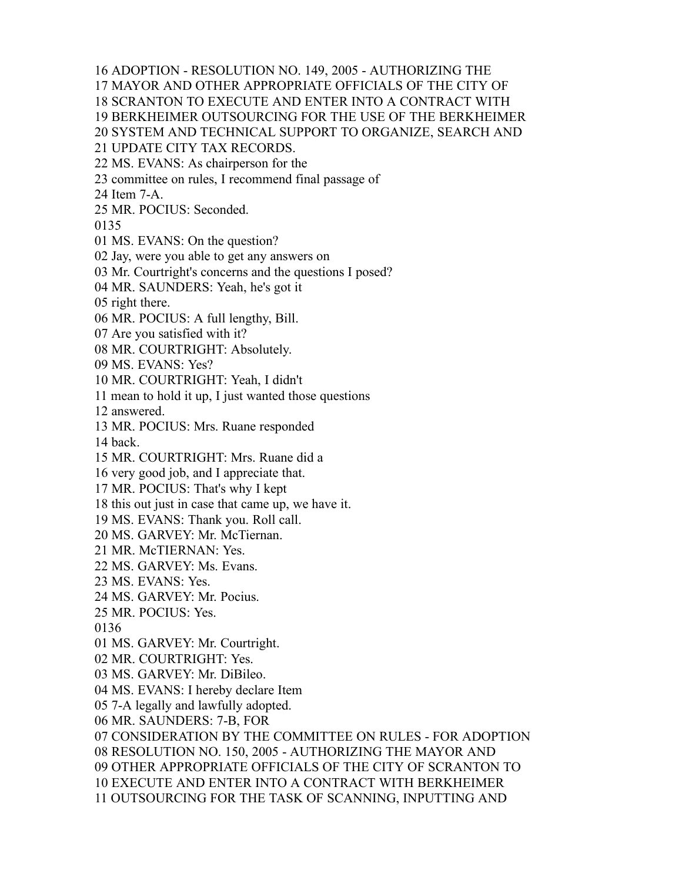ADOPTION - RESOLUTION NO. 149, 2005 - AUTHORIZING THE

MAYOR AND OTHER APPROPRIATE OFFICIALS OF THE CITY OF

SCRANTON TO EXECUTE AND ENTER INTO A CONTRACT WITH

BERKHEIMER OUTSOURCING FOR THE USE OF THE BERKHEIMER

SYSTEM AND TECHNICAL SUPPORT TO ORGANIZE, SEARCH AND

UPDATE CITY TAX RECORDS.

MS. EVANS: As chairperson for the

committee on rules, I recommend final passage of

Item 7-A.

MR. POCIUS: Seconded.

MS. EVANS: On the question?

Jay, were you able to get any answers on

Mr. Courtright's concerns and the questions I posed?

MR. SAUNDERS: Yeah, he's got it

right there.

MR. POCIUS: A full lengthy, Bill.

Are you satisfied with it?

MR. COURTRIGHT: Absolutely.

MS. EVANS: Yes?

MR. COURTRIGHT: Yeah, I didn't

mean to hold it up, I just wanted those questions

answered.

MR. POCIUS: Mrs. Ruane responded

back.

MR. COURTRIGHT: Mrs. Ruane did a

very good job, and I appreciate that.

MR. POCIUS: That's why I kept

this out just in case that came up, we have it.

MS. EVANS: Thank you. Roll call.

MS. GARVEY: Mr. McTiernan.

MR. McTIERNAN: Yes.

MS. GARVEY: Ms. Evans.

MS. EVANS: Yes.

MS. GARVEY: Mr. Pocius.

MR. POCIUS: Yes.

MS. GARVEY: Mr. Courtright.

MR. COURTRIGHT: Yes.

MS. GARVEY: Mr. DiBileo.

MS. EVANS: I hereby declare Item

7-A legally and lawfully adopted.

MR. SAUNDERS: 7-B, FOR

 CONSIDERATION BY THE COMMITTEE ON RULES - FOR ADOPTION RESOLUTION NO. 150, 2005 - AUTHORIZING THE MAYOR AND OTHER APPROPRIATE OFFICIALS OF THE CITY OF SCRANTON TO EXECUTE AND ENTER INTO A CONTRACT WITH BERKHEIMER OUTSOURCING FOR THE TASK OF SCANNING, INPUTTING AND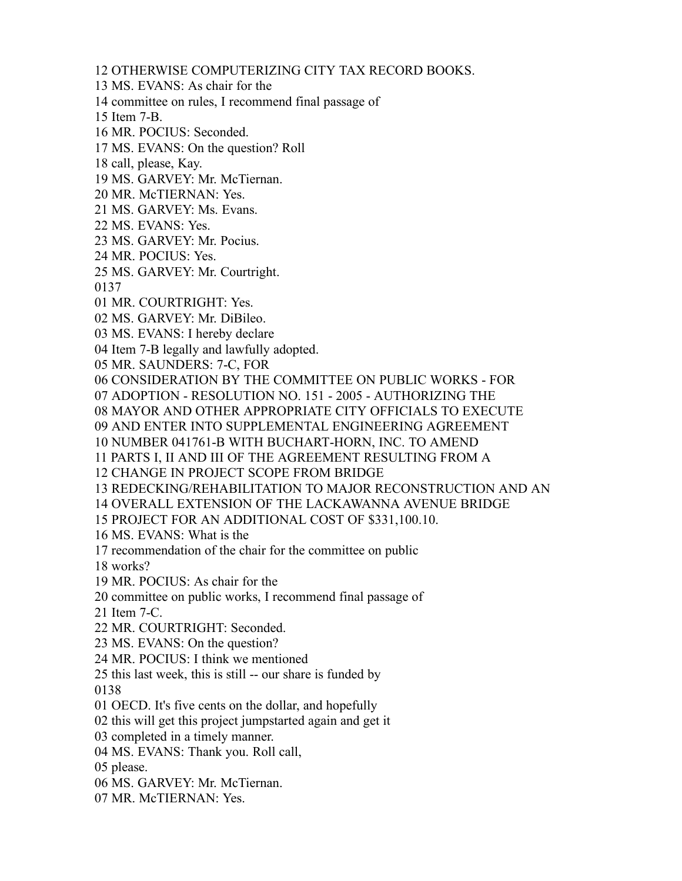OTHERWISE COMPUTERIZING CITY TAX RECORD BOOKS.

MS. EVANS: As chair for the

committee on rules, I recommend final passage of

Item 7-B.

MR. POCIUS: Seconded.

MS. EVANS: On the question? Roll

call, please, Kay.

MS. GARVEY: Mr. McTiernan.

MR. McTIERNAN: Yes.

MS. GARVEY: Ms. Evans.

MS. EVANS: Yes.

MS. GARVEY: Mr. Pocius.

MR. POCIUS: Yes.

MS. GARVEY: Mr. Courtright.

MR. COURTRIGHT: Yes.

MS. GARVEY: Mr. DiBileo.

MS. EVANS: I hereby declare

Item 7-B legally and lawfully adopted.

MR. SAUNDERS: 7-C, FOR

CONSIDERATION BY THE COMMITTEE ON PUBLIC WORKS - FOR

ADOPTION - RESOLUTION NO. 151 - 2005 - AUTHORIZING THE

MAYOR AND OTHER APPROPRIATE CITY OFFICIALS TO EXECUTE

AND ENTER INTO SUPPLEMENTAL ENGINEERING AGREEMENT

NUMBER 041761-B WITH BUCHART-HORN, INC. TO AMEND

PARTS I, II AND III OF THE AGREEMENT RESULTING FROM A

CHANGE IN PROJECT SCOPE FROM BRIDGE

REDECKING/REHABILITATION TO MAJOR RECONSTRUCTION AND AN

OVERALL EXTENSION OF THE LACKAWANNA AVENUE BRIDGE

PROJECT FOR AN ADDITIONAL COST OF \$331,100.10.

MS. EVANS: What is the

recommendation of the chair for the committee on public

works?

MR. POCIUS: As chair for the

committee on public works, I recommend final passage of

Item 7-C.

MR. COURTRIGHT: Seconded.

MS. EVANS: On the question?

MR. POCIUS: I think we mentioned

 this last week, this is still -- our share is funded by 

OECD. It's five cents on the dollar, and hopefully

this will get this project jumpstarted again and get it

completed in a timely manner.

MS. EVANS: Thank you. Roll call,

please.

MS. GARVEY: Mr. McTiernan.

MR. McTIERNAN: Yes.